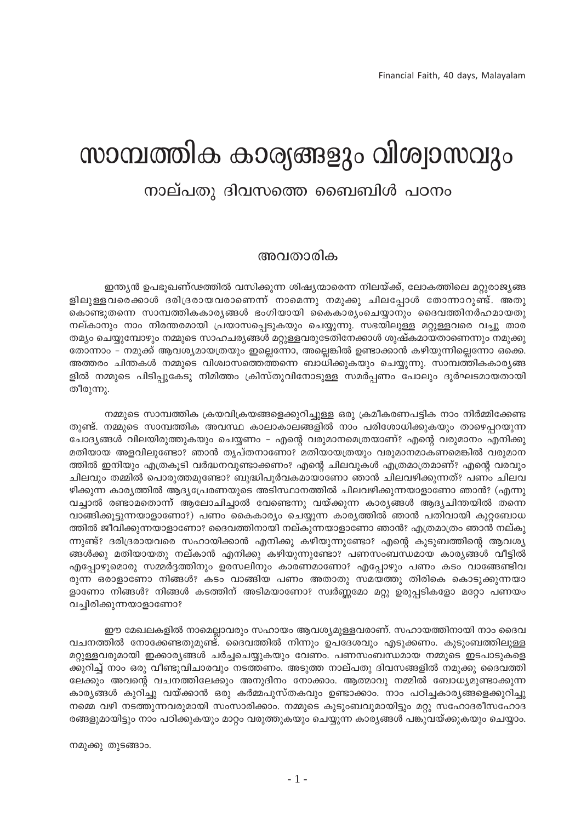# സാമ്പത്തിക കാര്യങ്ങളും വിശ്വാസവും

# നാല്പതു ദിവസത്തെ ബൈബിൾ പഠനം

### അവതാരിക

ഇന്ത്യൻ ഉപഭൂഖണ്ഢത്തിൽ വസിക്കുന്ന ശിഷ്യന്മാരെന്ന നിലയ്ക്ക്, ലോകത്തിലെ മറ്റുരാജ്യങ്ങ ളിലുള്ളവരെക്കാൾ ദരിദ്രരായവരാണെന്ന് നാമെന്നു നമുക്കു ചിലപ്പോൾ തോന്നാറുണ്ട്. അതു കൊണ്ടുതന്നെ സാമ്പത്തികകാര്യങ്ങൾ ഭംഗിയായി കൈകാര്യംചെയ്യാനും ദൈവത്തിനർഹമായതു നല്കാനും നാം നിരന്തരമായി പ്രയാസപ്പെടുകയും ചെയ്യുന്നു. സഭയിലുള്ള മറ്റുള്ളവരെ വച്ചു താര തമ്യം ചെയ്യുമ്പോഴും നമ്മുടെ സാഹചര്യങ്ങൾ മറ്റുള്ളവരുടേതിനേക്കാൾ ശുഷ്കമായതാണെന്നും നമുക്കു തോന്നാം – നമുക്ക് ആവശ്യമായത്രയും ഇല്ലെന്നോ, അല്ലെങ്കിൽ ഉണ്ടാക്കാൻ കഴിയുന്നില്ലെന്നോ ഒക്കെ. അത്തരം ചിന്തകൾ നമ്മുടെ വിശ്വാസത്തെത്തന്നെ ബാധിക്കുകയും ചെയ്യുന്നു. സാമ്പത്തികകാര്യങ്ങ ളിൽ നമ്മുടെ പിടിപ്പുകേടു നിമിത്തം ക്രിസ്തുവിനോടുള്ള സമർപ്പണം പോലും ദുർഘടമായതായി തീരുന്നു.

നമ്മുടെ സാമ്പത്തിക ക്രയവിക്രയങ്ങളെക്കുറിച്ചുള്ള ഒരു ക്രമീകരണപട്ടിക നാം നിർമ്മിക്കേണ്ട തുണ്ട്. നമ്മുടെ സാമ്പത്തിക അവസ്ഥ കാലാകാലങ്ങളിൽ നാം പരിശോധിക്കുകയും താഴെപ്പറയുന്ന ചോദ്യങ്ങൾ വിലയിരുത്തുകയും ചെയ്യണം – എന്റെ വരുമാനമെത്രയാണ്? എന്റെ വരുമാനം എനിക്കു മതിയായ അളവിലുണ്ടോ? ഞാൻ തൃപ്തനാണോ? മതിയായത്രയും വരുമാനമാകണമെങ്കിൽ വരുമാന ത്തിൽ ഇനിയും എത്രകൂടി വർദ്ധനവുണ്ടാക്കണം? എന്റെ ചിലവുകൾ എത്രമാത്രമാണ്? എന്റെ വരവും ചിലവും തമ്മിൽ പൊരുത്തമുണ്ടോ? ബുദ്ധിപൂർവകമായാണോ ഞാൻ ചിലവഴിക്കുന്നത്? പണം ചിലവ ഴിക്കുന്ന കാര്യത്തിൽ ആദ്യപ്രേരണയുടെ അടിസ്ഥാനത്തിൽ ചിലവഴിക്കുന്നയാളാണോ ഞാൻ? (എന്നു വച്ചാൽ രണ്ടാമതൊന്ന് ആലോചിച്ചാൽ വേണ്ടെന്നു വയ്ക്കുന്ന കാര്യങ്ങൾ ആദ്യചിന്തയിൽ തന്നെ വാങ്ങിക്കൂട്ടുന്നയാളാണോ?) പണം കൈകാര്യം ചെയ്യുന്ന കാര്യത്തിൽ ഞാൻ പതിവായി കുറ്റബോധ ത്തിൽ ജീവിക്കുന്നയാളാണോ? ദൈവത്തിനായി നല്കുന്നയാളാണോ ഞാൻ? എത്രമാത്രം ഞാൻ നല്കു ന്നുണ്ട്? ദരിദ്രരായവരെ സഹായിക്കാൻ എനിക്കു കഴിയുന്നുണ്ടോ? എന്റെ കൂടുബത്തിന്റെ ആവശ്യ ങ്ങൾക്കു മതിയായതു നല്കാൻ എനിക്കു കഴിയുന്നുണ്ടോ? പണസംബന്ധമായ കാര്യങ്ങൾ വീട്ടിൽ എപ്പോഴുമൊരു സമ്മർദ്ദത്തിനും ഉരസലിനും കാരണമാണോ? എപ്പോഴും പണം കടം വാങ്ങേണ്ടിവ രുന്ന ഒരാളാണോ നിങ്ങൾ? കടം വാങ്ങിയ പണം അതാതു സമയത്തു തിരികെ കൊടുക്കുന്നയാ ളാണോ നിങ്ങൾ? നിങ്ങൾ കടത്തിന് അടിമയാണോ? സ്വർണ്ണമോ മറ്റു ഉരുപ്പടികളോ മറ്റോ പണയം വച്ചിരിക്കുന്നയാളാണോ?

ഈ മേഖലകളിൽ നാമെല്ലാവരും സഹായം ആവശ്യമുള്ളവരാണ്. സഹായത്തിനായി നാം ദൈവ വചനത്തിൽ നോക്കേണ്ടതുമുണ്ട്. ദൈവത്തിൽ നിന്നും ഉപദേശവും എടുക്കണം. കുടുംബത്തിലുള്ള മറ്റുള്ളവരുമായി ഇക്കാര്യങ്ങൾ ചർച്ചചെയ്യുകയും വേണം. പണസംബന്ധമായ നമ്മുടെ ഇടപാടുകളെ ക്കുറിച്ച് നാം ഒരു വീണ്ടുവിചാരവും നടത്തണം. അടുത്ത നാല്പതു ദിവസങ്ങളിൽ നമുക്കു ദൈവത്തി ലേക്കും അവന്റെ വചനത്തിലേക്കും അനുദിനം നോക്കാം. ആത്മാവു നമ്മിൽ ബോധ്യമുണ്ടാക്കുന്ന കാര്യങ്ങൾ കുറിച്ചു വയ്ക്കാൻ ഒരു കർമ്മപുസ്തകവും ഉണ്ടാക്കാം. നാം പഠിച്ചകാര്യങ്ങളെക്കുറിച്ചു നമ്മെ വഴി നടത്തുന്നവരുമായി സംസാരിക്കാം. നമ്മുടെ കുടുംബവുമായിട്ടും മറ്റു സഹോദരീസഹോദ രങ്ങളുമായിട്ടും നാം പഠിക്കുകയും മാറ്റം വരുത്തുകയും ചെയ്യുന്ന കാര്യങ്ങൾ പങ്കുവയ്ക്കുകയും ചെയ്യാം.

നമുക്കു തുടങ്ങാം.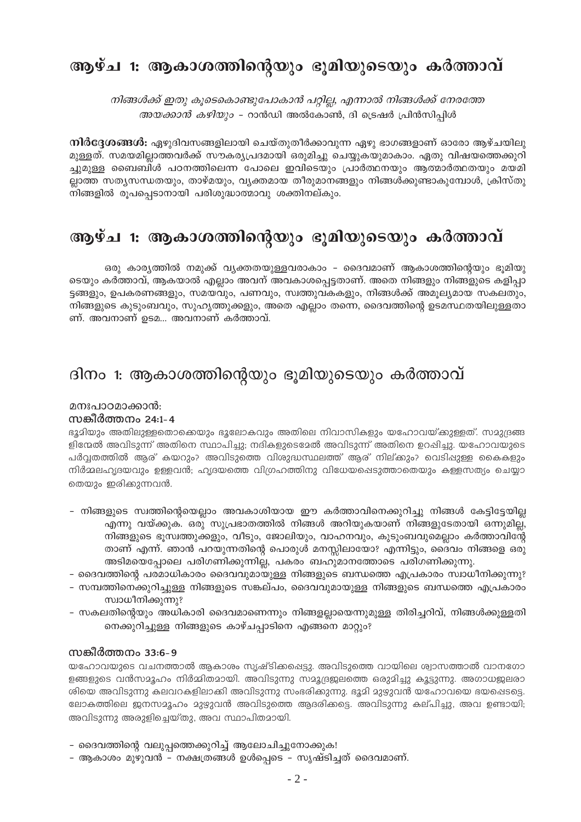# ആഴ്ച 1: ആകാശത്തിന്റെയും ഭൂമിയുടെയും കർത്താവ്

നിങ്ങൾക്ക് ഇതു കൂടെകൊണ്ടുപോകാൻ പറ്റില്ല, എന്നാൽ നിങ്ങൾക്ക് നേരത്തേ *അയക്കാൻ കഴിയും* - റാൻഡി അൽകോൺ, ദി ട്രെഷർ പ്രിൻസിപിൾ

**നിർദ്ദേശങ്ങൾ:** ഏഴുദിവസങ്ങളിലായി ചെയ്തുതീർക്കാവുന്ന ഏഴു ഭാഗങ്ങളാണ് ഓരോ ആഴ്ചയിലു മുള്ളത്. സമയമില്ലാത്തവർക്ക് സൗകര്യപ്രദമായി ഒരുമിച്ചു ചെയ്യുകയുമാകാം. ഏതു വിഷയത്തെക്കുറി ച്ചുമുള്ള ബൈബിൾ പഠനത്തിലെന്ന പോലെ ഇവിടെയും പ്രാർത്ഥനയും ആത്മാർത്ഥതയും മയമി ല്ലാത്ത സത്യസന്ധതയും, താഴ്മയും, വ്യക്തമായ തീരുമാനങ്ങളും നിങ്ങൾക്കുണ്ടാകുമ്പോൾ, ക്രിസ്തു നിങ്ങളിൽ രൂപപ്പെടാനായി പരിശുദ്ധാത്മാവു ശക്തിനല്കും.

# ആഴ്ച 1: ആകാശത്തിന്റെയും ഭൂമിയുടെയും കർത്താവ്

ഒരു കാര്യത്തിൽ നമുക്ക് വ്യക്തതയുള്ളവരാകാം – ദൈവമാണ് ആകാശത്തിന്റെയും ഭൂമിയു ടെയും കർത്താവ്, ആകയാൽ എല്ലാം അവന് അവകാശപ്പെട്ടതാണ്. അതെ നിങ്ങളും നിങ്ങളുടെ കളിപ്പാ ട്ടങ്ങളും, ഉപകരണങ്ങളും, സമയവും, പണവും, സ്വത്തുവകകളും, നിങ്ങൾക്ക് അമൂല്യമായ സകലതും, നിങ്ങളുടെ കുടുംബവും, സുഹൃത്തുക്കളും, അതെ എല്ലാം തന്നെ, ദൈവത്തിന്റെ ഉടമസ്ഥതയിലുള്ളതാ ണ്. അവനാണ് ഉടമ... അവനാണ് കർത്താവ്.

# ദിനം 1: ആകാശത്തിന്റെയും ഭൂമിയുടെയും കർത്താവ്

### മനഃപാറമാക്കാൻ:

### സങ്കീർത്തനം 24:1-4

ഭൂമിയും അതിലുള്ളതൊക്കെയും ഭൂലോകവും അതിലെ നിവാസികളും യഹോവയ്ക്കുള്ളത്. സമുദ്രങ്ങ ളിന്മേൽ അവിടുന്ന് അതിനെ സ്ഥാപിച്ചു; നദികളുടെമേൽ അവിടുന്ന് അതിനെ ഉറപ്പിച്ചു. യഹോവയുടെ പർവ്വതത്തിൽ ആര് കയറും? അവിടുത്തെ വിശുദ്ധസ്ഥലത്ത് ആര് നില്ക്കും? വെടിപ്പുള്ള കൈകളും നിർമ്മലഹൃദയവും ഉള്ളവൻ; ഹൃദയത്തെ വിഗ്രഹത്തിനു വിധേയപ്പെടുത്താതെയും കള്ളസത്യം ചെയ്യാ തെയും ഇരിക്കുന്നവൻ.

- നിങ്ങളുടെ സ്വത്തിന്റെയെല്ലാം അവകാശിയായ ഈ കർത്താവിനെക്കുറിച്ചു നിങ്ങൾ കേട്ടിട്ടേയില്ല എന്നു വയ്ക്കുക. ഒരു സുപ്രഭാതത്തിൽ നിങ്ങൾ അറിയുകയാണ് നിങ്ങളുടേതായി ഒന്നുമില്ല, നിങ്ങളുടെ ഭൂസ്വത്തുക്കളും, വീടും, ജോലിയും, വാഹനവും, കുടുംബവുമെല്ലാം കർത്താവിന്റേ താണ് എന്ന്. ഞാൻ പറയുന്നതിന്റെ പൊരുൾ മനസ്സിലായോ? എന്നിട്ടും, ദൈവം നിങ്ങളെ ഒരു അടിമയെപ്പോലെ പരിഗണിക്കുന്നില്ല, പകരം ബഹുമാനത്തോടെ പരിഗണിക്കുന്നു.
- ദൈവത്തിന്റെ പരമാധികാരം ദൈവവുമായുള്ള നിങ്ങളുടെ ബന്ധത്തെ എപ്രകാരം സ്വാധീനിക്കുന്നു?
- സമ്പത്തിനെക്കുറിച്ചുള്ള നിങ്ങളുടെ സങ്കല്പം, ദൈവവുമായുള്ള നിങ്ങളുടെ ബന്ധത്തെ എപ്രകാരം സ്വാധീനിക്കുന്നു?
- സകലതിന്റെയും അധികാരി ദൈവമാണെന്നും നിങ്ങളല്ലായെന്നുമുള്ള തിരിച്ചറിവ്, നിങ്ങൾക്കുള്ളതി നെക്കുറിച്ചുള്ള നിങ്ങളുടെ കാഴ്ചപ്പാടിനെ എങ്ങനെ മാറ്റും?

### സങ്കീർത്തനം 33:6-9

യഹോവയുടെ വചനത്താൽ ആകാശം സൃഷ്ടിക്കപ്പെട്ടു. അവിടുത്തെ വായിലെ ശ്വാസത്താൽ വാനഗോ ളങ്ങളുടെ വൻസമൂഹം നിർമ്മിതമായി. അവിടുന്നു സമൂദ്രജലത്തെ ഒരുമിച്ചു കൂട്ടുന്നു. അഗാധജലരാ ശിയെ അവിടുന്നു കലവറകളിലാക്കി അവിടുന്നു സംഭരിക്കുന്നു. ഭൂമി മുഴുവൻ യഹോവയെ ഭയപ്പെടട്ടെ. ലോകത്തിലെ ജനസമൂഹം മുഴുവൻ അവിടുത്തെ ആദരിക്കട്ടെ. അവിടുന്നു കല്പിച്ചു, അവ ഉണ്ടായി; അവിടുന്നു അരുളിച്ചെയ്തു, അവ സ്ഥാപിതമായി.

- ദൈവത്തിന്റെ വലുപ്പത്തെക്കുറിച്ച് ആലോചിച്ചുനോക്കുക!
- ആകാശം മുഴുവൻ നക്ഷത്രങ്ങൾ ഉൾപ്പെടെ സൃഷ്ടിച്ചത് ദൈവമാണ്.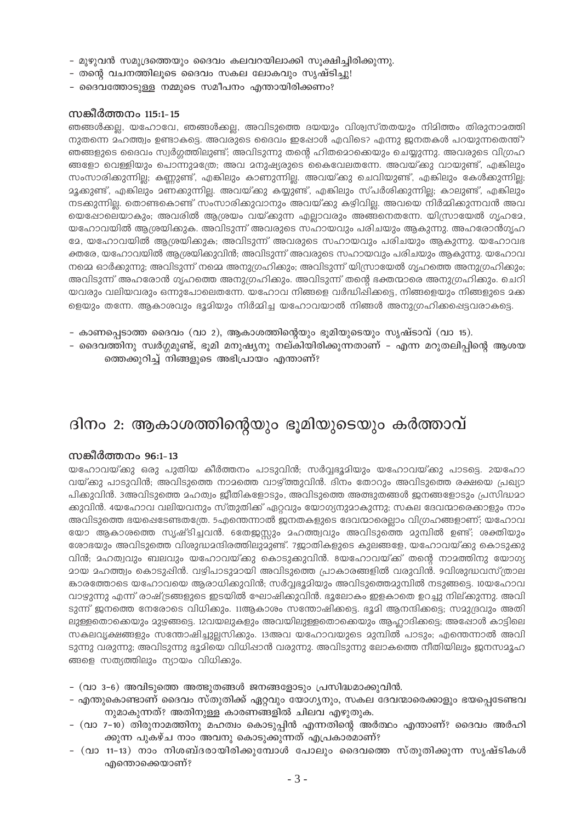- മുഴുവൻ സമുദ്രത്തെയും ദൈവം കലവറയിലാക്കി സുക്ഷിച്ചിരിക്കുന്നു.
- തന്റെ വചനത്തിലൂടെ ദൈവം സകല ലോകവും സൃഷ്ടിച്ചു!
- ദൈവത്തോടുള്ള നമ്മുടെ സമീപനം എന്തായിരിക്കണം?

### സങ്കീർത്തനം 115:1-15

ഞങ്ങൾക്കല്ല, യഹോവേ, ഞങ്ങൾക്കല്ല, അവിടുത്തെ ദയയും വിശ്വസ്തതയും നിമിത്തം തിരുനാമത്തി നുതന്നെ മഹത്ത്വം ഉണ്ടാകട്ടെ. അവരുടെ ദൈവം ഇഷോൾ എവിടെ? എന്നു ജനതകൾ പറയുന്നതെന്ത്? ഞങ്ങളുടെ ദൈവം സ്വർഗ്ഗത്തിലുണ്ട്; അവിടുന്നു തന്റെ ഹിതമൊക്കെയും ചെയ്യുന്നു. അവരുടെ വിഗ്രഹ ങ്ങളോ വെള്ളിയും പൊന്നുമത്രേ; അവ മനുഷ്യരുടെ കൈവേലതന്നേ. അവയ്ക്കു വായുണ്ട്, എങ്കിലും സംസാരിക്കുന്നില്ല; കണ്ണുണ്ട്, എങ്കിലും കാണുന്നില്ല. അവയ്ക്കു ചെവിയുണ്ട്, എങ്കിലും കേൾക്കുന്നില്ല; .<br>മൃക്കുണ്ട്, എങ്കിലും മണക്കുന്നില്ല. അവയ്ക്കു കയ്യുണ്ട്, എങ്കിലും സ്പർശിക്കുന്നില്ല; കാലുണ്ട്, എങ്കിലും നടക്കുന്നില്ല. തൊണ്ടകൊണ്ട് സംസാരിക്കുവാനും അവയ്ക്കു കഴിവില്ല. അവയെ നിർമ്മിക്കുന്നവൻ അവ യെഷോലെയാകും; അവരിൽ ആശ്രയം വയ്ക്കുന്ന എല്ലാവരും അങ്ങനെതന്നേ. യിസ്രായേൽ ഗൃഹമേ, യഹോവയിൽ ആശ്രയിക്കുക. അവിടുന്ന് അവരുടെ സഹായവും പരിചയും ആകുന്നു. അഹരോൻഗൃഹ ഭേ, യഹോവയിൽ ആശ്രയിക്കുക; അവിടുന്ന് അവരുടെ സഹായവും പരിചയും ആകുന്നു. യഹോവഭ ക്തരേ, യഹോവയിൽ ആശ്രയിക്കുവിൻ; അവിടുന്ന് അവരുടെ സഹായവും പരിചയും ആകുന്നു. യഹോവ നമ്മെ ഓർക്കുന്നു; അവിടുന്ന് നമ്മെ അനുഗ്രഹിക്കും; അവിടുന്ന് യിസ്രായേൽ ഗൃഹത്തെ അനുഗ്രഹിക്കും; അവിടുന്ന് അഹരോൻ ഗൃഹത്തെ അനുഗ്രഹിക്കും. അവിടുന്ന് തന്റെ ഭക്തന്മാരെ അനുഗ്രഹിക്കും. ചെറി യവരും വലിയവരും ഒന്നുപോലെതന്നേ. യഹോവ നിങ്ങളെ വർദ്ധിഷിക്കട്ടെ, നിങ്ങളെയും നിങ്ങളുടെ മക്ക ളെയും തന്നേ. ആകാശവും ഭൂമിയും നിർമ്മിച്ച യഹോവയാൽ നിങ്ങൾ അനുഗ്രഹിക്കപ്പെട്ടവരാകട്ടെ.

- കാണപ്പെടാത്ത ദൈവം (വാ 2), ആകാശത്തിന്റെയും ഭൂമിയുടെയും സൃഷ്ടാവ് (വാ 15).
- ദൈവത്തിനു സ്വർഗ്ഗമുണ്ട്, ഭൂമി മനുഷ്യനു നല്കിയിരിക്കുന്നതാണ് എന്ന മറുതലിപ്പിന്റെ ആശയ ത്തെക്കുറിച്ച് നിങ്ങളുടെ അഭിപ്രായം എന്താണ്?

# ദിനം 2: ആകാശത്തിന്റെയും ഭൂമിയുടെയും കർത്താവ്

### സങ്കീർത്തനം 96:1-13

യഹോവയ്ക്കു ഒരു പുതിയ കീർത്തനം പാടുവിൻ; സർവ്വഭൂമിയും യഹോവയ്ക്കു പാടട്ടെ. 2യഹോ വയ്ക്കു പാടുവിൻ; അവിടുത്തെ നാമത്തെ വാഴ്ത്തുവിൻ. ദിനം തോറും അവിടുത്തെ രക്ഷയെ പ്രഖ്യാ പിക്കുവിൻ. 3അവിടുത്തെ മഹത്വം ജീതികളോടും, അവിടുത്തെ അത്ഭുതങ്ങൾ ജനങ്ങളോടും പ്രസിദ്ധമാ ക്കുവിൻ. 4യഹോവ വലിയവനും സ്തുതിക്ക് ഏറ്റവും യോഗ്യനുമാകുന്നു; സകല ദേവന്മാരെക്കാളും നാം അവിടുത്തെ ഭയപ്പെടേണ്ടതത്രേ. 5എന്തെന്നാൽ ജനതകളുടെ ദേവന്മാരെല്ലാം വിഗ്രഹങ്ങളാണ്; യഹോവ യോ ആകാശത്തെ സൃഷ്ടിച്ചവൻ. 6തേജസ്സും മഹത്ത്വവും അവിടുത്തെ മുമ്പിൽ ഉണ്ട്; ശക്തിയും രോഭയും അവിടുത്തെ വിശുദ്ധമന്ദിരത്തിലുമുണ്ട്. 7ജാതികളുടെ കുലങ്ങളേ, യഹോവയ്ക്കു കൊടുക്കു വിൻ; മഹത്വവും ബലവും യഹോവയ്ക്കു കൊടുക്കുവിൻ. 8യഹോവയ്ക്ക് തന്റെ നാമത്തിനു യോഗ്യ മായ മഹത്ത്വം കൊടുപ്പിൻ. വഴിപാടുമായി അവിടുത്തെ പ്രാകാരങ്ങളിൽ വരുവിൻ. 9വിശുദ്ധവസ്ത്രാല കാരത്തോടെ യഹോവയെ ആരാധിക്കുവിൻ; സർവ്വഭൂദിയും അവിടുത്തെമുമ്പിൽ നടുങ്ങട്ടെ. 10യഹോവ വാഴുന്നു എന്ന് രാഷ്ട്രങ്ങളുടെ ഇടയിൽ ഘോഷിക്കുവിൻ. ഭൂലോകം ഇളകാതെ ഉറച്ചു നില്ക്കുന്നു. അവി ടുന്ന് ജനത്തെ നേരോടെ വിധിക്കും. 11ആകാശം സന്തോഷിക്കട്ടെ. ഭൂമി ആനന്ദിക്കട്ടെ; സമുദ്രവും അതി ലുള്ളതൊക്കെയും മുഴ്യങ്ങട്ടെ. 12വയലുകളും അവയിലുള്ളതൊക്കെയും ആഹ്ലാദിക്കട്ടെ; അഷോൾ കാട്ടിലെ സകലവൃക്ഷങ്ങളും സന്തോഷിച്ചുല്ലസിക്കും. 13അവ യഹോവയുടെ മുമ്പിൽ പാടും; എന്തെന്നാൽ അവി ടുന്നു വരുന്നു; അവിടുന്നു ഭൂമിയെ വിധിഷാൻ വരുന്നു. അവിടുന്നു ലോകത്തെ നീതിയിലും ജനസമൂഹ ങ്ങളെ സത്യത്തിലും ന്യായം വിധിക്കും.

- (വാ 3-6) അവിടുത്തെ അത്ഭുതങ്ങൾ ജനങ്ങളോടും പ്രസിദ്ധമാക്കുവിൻ.
- എന്തുകൊണ്ടാണ് ദൈവം സ്തുതിക്ക് ഏറ്റവും യോഗ്യനും, സകല ദേവന്മാരെക്കാളും ഭയപ്പെടേണ്ടവ നുമാകുന്നത്? അതിനുള്ള കാരണങ്ങളിൽ ചിലവ എഴുതുക.
- (വാ 7–10) തിരുനാമത്തിനു മഹത്വം കൊടുപ്പിൻ എന്നതിന്റെ അർത്ഥം എന്താണ്? ദൈവം അർഹി ക്കുന്ന പുകഴ്ച നാം അവനു കൊടുക്കുന്നത് എപ്രകാരമാണ്?
- (വാ 11-13) നാം നിശബ്ദരായിരിക്കുമ്പോൾ പോലും ദൈവത്തെ സ്തുതിക്കുന്ന സൃഷ്ടികൾ എന്തൊക്കെയാണ്?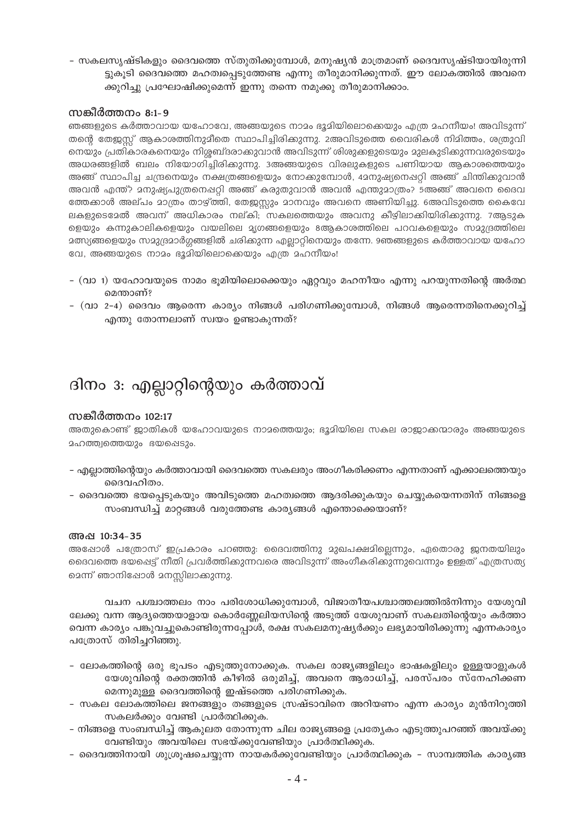– സകലസ്യഷ്ടികളും ദൈവത്തെ സ്തുതിക്കുമ്പോൾ, മനുഷ്യൻ മാത്രമാണ് ദൈവസ്യഷ്ടിയായിരുന്നി ട്ടുകൂടി ദൈവത്തെ മഹത്വപ്പെടുത്തേണ്ട എന്നു തീരുമാനിക്കുന്നത്. ഈ ലോകത്തിൽ അവനെ ക്കുറിച്ചു പ്രഘോഷിക്കുമെന്ന് ഇന്നു തന്നെ നമുക്കു തീരുമാനിക്കാം.

### സങ്കീർത്തനം 8:1-9

ഞങ്ങളുടെ കർത്താവായ യഹോവേ, അങ്ങയുടെ നാമം ഭൂമിയിലൊക്കെയും എത്ര മഹനീയം! അവിടുന്ന് തന്റെ തേജുസ്സ് ആകാശത്തിനുമീതെ സ്ഥാപിച്ചിരിക്കുന്നു. 2അവിടുത്തെ വൈരികൾ നിമിത്തം, ശത്രുവി നെയും പ്രതികാരകനെയും നിശ്ശബ്ദരാക്കുവാൻ അവിടുന്ന് ശിശുക്കളുടെയും മുലകുടിക്കുന്നവരുടെയും അധരങ്ങളിൽ ബലം നിയോഗിച്ചിരിക്കുന്നു. 3അങ്ങയുടെ വിരലുകളുടെ പണിയായ ആകാശത്തെയും അങ്ങ് സ്ഥാപിച്ച ചന്ദ്രനെയും നക്ഷത്രങ്ങളെയും നോക്കുമ്പോൾ, 42നുഷ്യനെഷറ്റി അങ്ങ് ചിന്തിക്കുവാൻ അവൻ എന്ത്? മനുഷ്യപുത്രനെഷറ്റി അങ്ങ് കരുതുവാൻ അവൻ എന്തുമാത്രം? 5അങ്ങ് അവനെ ദൈവ ത്തേക്കാൾ അല്പം മാത്രം താഴ്ത്തി, തേജസ്സും മാനവും അവനെ അണിയിച്ചു. 6അവിടുത്തെ കൈവേ ലകളുടെദേൽ അവന് അധികാരം നല്കി; സകലത്തെയും അവനു കീഴിലാക്കിയിരിക്കുന്നു. 7ആടുക ളെയും കന്നുകാലികളെയും വയലിലെ മൃഗങ്ങളെയും 8ആകാശത്തിലെ പറവകളെയും സമുദ്രത്തിലെ മത്സ്യങ്ങളെയും സമുദ്രമാർഗ്ഗങ്ങളിൽ ചരിക്കുന്ന എല്ലാറ്റിനെയും തന്നേ. 9ഞങ്ങളുടെ കർത്താവായ യഹോ വേ, അങ്ങയുടെ നാമം ഭൂമിയിലൊക്കെയും എത്ര മഹനീയം!

- (വാ 1) യഹോവയുടെ നാമം ഭൂമിയിലൊക്കെയും ഏറ്റവും മഹനീയം എന്നു പറയുന്നതിന്റെ അർത്ഥ മെന്താണ്?
- (വാ 2-4) ദൈവം ആരെന്ന കാര്യം നിങ്ങൾ പരിഗണിക്കുമ്പോൾ, നിങ്ങൾ ആരെന്നതിനെക്കുറിച്ച് എന്തു തോന്നലാണ് സ്വയം ഉണ്ടാകുന്നത്?

# ദിനം 3: എല്ലാറ്റിന്റെയും കർത്താവ്

### സങ്കീർത്തനം 102:17

അതുകൊണ്ട് ജാതികൾ യഹോവയുടെ നാമത്തെയും; ഭൂമിയിലെ സകല രാജാക്കന്മാരും അങ്ങയുടെ മഹത്ത്വത്തെയും ഭയപ്പെടും.

- എല്ലാത്തിന്റെയും കർത്താവായി ദൈവത്തെ സകലരും അംഗീകരിക്കണം എന്നതാണ് എക്കാലത്തെയും ദൈവഹിതം.
- ദൈവത്തെ ഭയപ്പെടുകയും അവിടുത്തെ മഹത്വത്തെ ആദരിക്കുകയും ചെയ്യുകയെന്നതിന് നിങ്ങളെ സംബന്ധിച്ച് മാറ്റങ്ങൾ വരുത്തേണ്ട കാര്യങ്ങൾ എന്തൊക്കെയാണ്?

### അഷ 10:34-35

അഷോൾ പത്രോസ് ഇപ്രകാരം പറഞ്ഞു: ദൈവത്തിനു മുഖപക്ഷമില്ലെന്നും, ഏതൊരു ജനതയിലും ദൈവത്തെ ഭയപ്പെട്ട് നീതി പ്രവർത്തിക്കുന്നവരെ അവിടുന്ന് അംഗീകരിക്കുന്നുവെന്നും ഉള്ളത് എത്രസത്യ മെന്ന് ഞാനിഷോൾ മനസ്സിലാക്കുന്നു.

വചന പശ്ചാത്തലം നാം പരിശോധിക്കുമ്പോൾ, വിജാതീയപശ്ചാത്തലത്തിൽനിന്നും യേശുവി ലേക്കു വന്ന ആദ്യത്തെയാളായ കൊർണ്ണേലിയസിന്റെ അടുത്ത് യേശുവാണ് സകലതിന്റെയും കർത്താ വെന്ന കാര്യം പങ്കുവച്ചുകൊണ്ടിരുന്നപ്പോൾ, രക്ഷ സകലമനുഷ്യർക്കും ലഭ്യമായിരിക്കുന്നു എന്നകാര്യം പത്രോസ് തിരിച്ചറിഞ്ഞു.

- ലോകത്തിന്റെ ഒരു ഭൂപടം എടുത്തുനോക്കുക. സകല രാജ്യങ്ങളിലും ഭാഷകളിലും ഉള്ളയാളുകൾ യേശുവിന്റെ രക്തത്തിൻ കീഴിൽ ഒരുമിച്ച്, അവനെ ആരാധിച്ച്, പരസ്പരം സ്നേഹിക്കണ മെന്നുമുള്ള ദൈവത്തിന്റെ ഇഷ്ടത്തെ പരിഗണിക്കുക.
- സകല ലോകത്തിലെ ജനങ്ങളും തങ്ങളുടെ സ്രഷ്ടാവിനെ അറിയണം എന്ന കാര്യം മുൻനിറുത്തി സകലർക്കും വേണ്ടി പ്രാർത്ഥിക്കുക.
- നിങ്ങളെ സംബന്ധിച്ച് ആകുലത തോന്നുന്ന ചില രാജ്യങ്ങളെ പ്രത്യേകം എടുത്തുപറഞ്ഞ് അവയ്ക്കു വേണ്ടിയും അവയിലെ സഭയ്ക്കുവേണ്ടിയും പ്രാർത്ഥിക്കുക.
- ദൈവത്തിനായി ശുശ്രുഷചെയ്യുന്ന നായകർക്കുവേണ്ടിയും പ്രാർത്ഥിക്കുക സാമ്പത്തിക കാര്യങ്ങ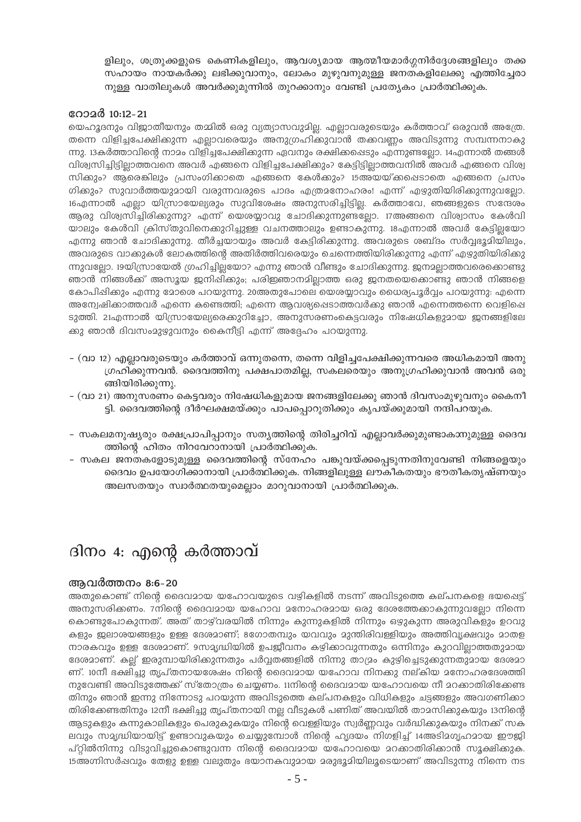ളിലും, ശത്രുക്കളുടെ കെണികളിലും, ആവശ്യമായ ആത്മീയമാർഗ്ഗനിർദ്ദേശങ്ങളിലും തക്ക സഹായം നായകർക്കു ലഭിക്കുവാനും, ലോകം മുഴുവനുമുള്ള ജനതകളിലേക്കു എത്തിച്ചേരാ നുള്ള വാതിലുകൾ അവർക്കുമുന്നിൽ തുറക്കാനും വേണ്ടി പ്രത്യേകം പ്രാർത്ഥിക്കുക.

### റോമർ 10:12-21

യെഹൂദനും വിജാതീയനും തമ്മിൽ ഒരു വ്യത്യാസവുമില്ല. എല്ലാവരുടെയും കർത്താവ് ഒരുവൻ അത്രേ. തന്നെ വിളിച്ചപേക്ഷിക്കുന്ന എല്ലാവരെയും അനുഗ്രഹിക്കുവാൻ തക്കവണ്ണം അവിടുന്നു സമ്പന്നനാകു ന്നു. 13കർത്താവിന്റെ നാമം വിളിച്ചപേക്ഷിക്കുന്ന ഏവനും രക്ഷിക്കപ്പെടും എന്നുണ്ടല്ലോ. 14എന്നാൽ തങ്ങൾ വിശ്വസിച്ചിട്ടില്ലാത്തവനെ അവർ എങ്ങനെ വിളിച്ചപേക്ഷിക്കും? കേട്ടിട്ടില്ലാത്തവനിൽ അവർ എങ്ങനെ വിശ്വ സിക്കും? ആരെങ്കിലും പ്രസംഗിക്കാതെ എങ്ങനെ കേൾക്കും? 15അയയ്ക്കപ്പെടാതെ എങ്ങനെ പ്രസം ഗിക്കും? സുവാർത്തയുമായി വരുന്നവരുടെ പാദം എത്രമനോഹരം! എന്ന് എഴുതിയിരിക്കുന്നുവല്ലോ. 16എന്നാൽ എല്ലാ യിസ്രായേല്യരും സുവിശേഷം അനുസരിച്ചിട്ടില്ല. കർത്താവേ, ഞങ്ങളുടെ സന്ദേശം ആരു വിശ്വസിച്ചിരിക്കുന്നു? എന്ന് യെശയ്യാവു ചോദിക്കുന്നുണ്ടലോ. 17അങ്ങനെ വിശ്വാസം കേൾവി യാലും കേൾവി ക്രിസ്തുവിനെക്കുറിച്ചുള്ള വചനത്താലും ഉണ്ടാകുന്നു. 18എന്നാൽ അവർ കേട്ടില്ലയോ എന്നു ഞാൻ ചോദിക്കുന്നു. തീർച്ചയായും അവർ കേട്ടിരിക്കുന്നു. അവരുടെ ശബ്ദം സർവ്വഭൂമിയിലും, അവരുടെ വാക്കുകൾ ലോകത്തിന്റെ അതിർത്തിവരെയും ചെന്നെത്തിയിരിക്കുന്നു എന്ന് എഴുതിയിരിക്കു ന്നുവല്ലോ. 19യിസ്രായേൽ ഗ്രഹിച്ചില്ലയോ? എന്നു ഞാൻ വീണ്ടും ചോദിക്കുന്നു. ജനമല്ലാത്തവരെക്കൊണ്ടു ഞാൻ നിങ്ങൾക്ക് അസൂയ ജനിഷിക്കും; പരിജ്ഞാനമില്ലാത്ത ഒരു ജനതയെക്കൊണ്ടു ഞാൻ നിങ്ങളെ കോപിഷിക്കും എന്നു മോരെ പറയുന്നു. 20അതുപോലെ യെരയ്യാവും ധൈര്യപൂർവ്വം പറയുന്നു: എന്നെ അന്വേഷിക്കാത്തവർ എന്നെ കണ്ടെത്തി; എന്നെ ആവശ്യപ്പെടാത്തവർക്കു ഞാൻ എന്നെത്തന്നെ വെളിപ്പെ ടുത്തി. 21എന്നാൽ യിസ്രായേല്യരെക്കുറിച്ചോ, അനുസരണംകെട്ടവരും നിഷേധികളുമായ ജനങ്ങളിലേ ക്കു ഞാൻ ദിവസംമുഴ്യുവനും കൈനീട്ടി എന്ന് അദ്ദേഹം പറയുന്നു.

- (വാ 12) എല്ലാവരുടെയും കർത്താവ് ഒന്നുതന്നെ, തന്നെ വിളിച്ചപേക്ഷിക്കുന്നവരെ അധികമായി അനു ഗ്രഹിക്കുന്നവൻ. ദൈവത്തിനു പക്ഷപാതമില്ല, സകലരെയും അനുഗ്രഹിക്കുവാൻ അവൻ ഒരു ങ്ങിയിരിക്കുന്നു.
- (വാ 21) അനുസരണം കെട്ടവരും നിഷേധികളുമായ ജനങ്ങളിലേക്കു ഞാൻ ദിവസംമുഴുവനും കൈനീ ട്ടി. ദൈവത്തിന്റെ ദീർഘക്ഷമയ്ക്കും പാപപ്പൊറുതിക്കും കൃപയ്ക്കുമായി നന്ദിപറയുക.
- സകലമനുഷ്യരും രക്ഷപ്രാപിപ്പാനും സത്യത്തിന്റെ തിരിച്ചറിവ് എല്ലാവർക്കുമുണ്ടാകാനുമുള്ള ദൈവ ത്തിന്റെ ഹിതം നിറവേറാനായി പ്രാർത്ഥിക്കുക.
- സകല ജനതകളോടുമുള്ള ദൈവത്തിന്റെ സ്നേഹം പങ്കുവയ്ക്കപ്പെടുന്നതിനുവേണ്ടി നിങ്ങളെയും ദൈവം ഉപയോഗിക്കാനായി പ്രാർത്ഥിക്കുക. നിങ്ങളിലുള്ള ലൗകീകതയും ഭൗതീകതൃഷ്ണയും അലസതയും സ്വാർത്ഥതയുമെല്ലാം മാറുവാനായി പ്രാർത്ഥിക്കുക.

# ദിനം 4: എന്റെ കർത്താവ്

### അവർത്തനം 8:6-20

അതുകൊണ്ട് നിന്റെ ദൈവമായ യഹോവയുടെ വഴികളിൽ നടന്ന് അവിടുത്തെ കല്പനകളെ ഭയപ്പെട്ട് അനുസരിക്കണം. 7നിന്റെ ദൈവമായ യഹോവ മനോഹരമായ ഒരു ദേശത്തേകാകുന്നുവല്ലോ നിന്നെ കൊണ്ടുപോകുന്നത്. അത് താഴ്വരയിൽ നിന്നും കുന്നുകളിൽ നിന്നും ഒഴുകുന്ന അരുവികളും ഉറവു കളും ജലാശയങ്ങളും ഉള്ള ദേശമാണ്; 8ഗോതമ്പും യവവും മുന്തിരിവള്ളിയും അത്തിവൃക്ഷവും മാതള നാരകവും ഉള്ള ദേശമാണ്. 9സമ്യദ്ധിയിൽ ഉപജീവനം കഴിക്കാവുന്നതും ഒന്നിനും കുറവില്ലാത്തതുമായ ദേശമാണ്. കല് ഇരുമ്പായിരിക്കുന്നതും പർവ്വതങ്ങളിൽ നിന്നു താദ്രം കുഴിച്ചെടുക്കുന്നതുമായ ദേശമാ ണ്. 10നീ ഭക്ഷിച്ചു തൃപ്തനായശേഷം നിന്റെ ദൈവമായ യഹോവ നിനക്കു നല്കിയ മനോഹരദേശത്തി നുവേണ്ടി അവിടുത്തേക്ക് സ്തോത്രം ചെയ്യണം. 11നിന്റെ ദൈവമായ യഹോവയെ നീ മറക്കാതിരിക്കേണ്ട തിനും ഞാൻ ഇന്നു നിന്നോടു പറയുന്ന അവിടുത്തെ കല്പനകളും വിധികളും ചട്ടങ്ങളും അവഗണിക്കാ തിരിക്കേണ്ടതിനും 12നീ ഭക്ഷിച്ചു തൃപ്തനായി നല്ല വീടുകൾ പണിത് അവയിൽ താമസിക്കുകയും 13നിന്റെ ആടുകളും കന്നുകാലികളും പെരുകുകയും നിന്റെ വെള്ളിയും സ്വർണ്ണവും വർദ്ധിക്കുകയും നിനക്ക് സക ലവും സമൃദ്ധിയായിട്ട് ഉണ്ടാവുകയും ചെയ്യുമ്പോൾ നിന്റെ ഹൃദയം നിഗളിച്ച് 14അടിമഗൃഹമായ ഈജി പ്റ്റിൽനിന്നു വിടുവിച്ചുകൊണ്ടുവന്ന നിന്റെ ദൈവമായ യഹോവയെ മറക്കാതിരിക്കാൻ സൂക്ഷിക്കുക. 15അഗ്നിസർഷവും തേളു ഉള്ള വലുതും ഭയാനകവുമായ മരുഭൂമിയിലൂടെയാണ് അവിടുന്നു നിന്നെ നട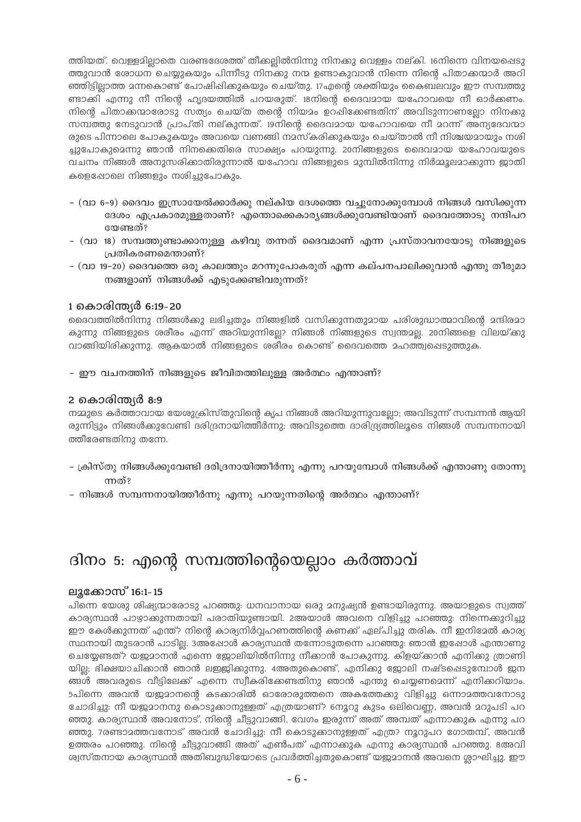ത്തിയത്. വെള്ളമിലാതെ വരണ്ടദേശത്ത് തീക്കലിൽനിന്നു നിനക്കു വെള്ളം നല്കി. 16നിന്നെ വിനയപ്പെടു ത്തുവാൻ രോധന ചെയ്യുകയും പിന്നീടു നിനക്കു നന്മ ഉണ്ടാകുവാൻ നിന്നെ നിന്റെ പിതാക്കന്മാർ അറി ഞ്ഞിട്ടില്ലാത്ത മന്നകൊണ്ട് പോഷിഷിക്കുകയും ചെയ്തു. 17എന്റെ ശക്തിയും കൈബലവും ഈ സമ്പത്തു ണ്ടാക്കി എന്നു നീ നിന്റെ ഹൃദയത്തിൽ പറയരുത്. 18നിന്റെ ദൈവമായ യഹോവയെ നീ ഓർക്കണം. നിന്റെ പിതാക്കന്മാരോടു സത്യം ചെയ്ത തന്റെ നിയമം ഉറപ്പിക്കേണ്ടതിന് അവിടുന്നാണല്ലോ നിനക്കു സമ്പത്തു നേടുവാൻ പ്രാപ്തി നല്കുന്നത്. 19നിന്റെ ദൈവമായ യഹോവയെ നീ മറന്ന് അന്യദേവന്മാ രുടെ പിന്നാലെ പോകുകയും അവയെ വണങ്ങി നമസ്കരിക്കുകയും ചെയ്താൽ നീ നിശ്ചയമായും നശി ച്ചുപോകുമെന്നു ഞാൻ നിനക്കെതിരെ സാക്ഷ്യം പറയുന്നു. 20നിങ്ങളുടെ ദൈവമായ യഹോവയുടെ വചനം നിങ്ങൾ അനുസരിക്കാതിരുന്നാൽ യഹോവ നിങ്ങളുടെ മുമ്പിൽനിന്നു നിർമ്മൂലമാക്കുന്ന ജാതി കളെപ്പോലെ നിങ്ങളും നശിച്ചുപോകും.

- (വാ 6–9) ദൈവം ഇസ്രായേൽക്കാർക്കു നല്കിയ ദേശത്തെ വച്ചുനോക്കുമ്പോൾ നിങ്ങൾ വസിക്കുന്ന ദേശം എപ്രകാരമുള്ളതാണ്? എന്തൊക്കെകാര്യങ്ങൾക്കുവേണ്ടിയാണ് ദൈവത്തോടു നന്ദിപറ യേണ്ടത്?
- (വാ 18) സമ്പത്തുണ്ടാക്കാനുള്ള കഴിവു തന്നത് ദൈവമാണ് എന്ന പ്രസ്താവനയോടു നിങ്ങളുടെ പ്രതികരണമെന്താണ്?
- (വാ 19–20) ദൈവത്തെ ഒരു കാലത്തും മറന്നുപോകരുത് എന്ന കല്പനപാലിക്കുവാൻ എന്തു തീരുമാ നങ്ങളാണ് നിങ്ങൾക്ക് എടുക്കേണ്ടിവരുന്നത്?

### 1 കൊരിന്ത്യർ 6:19-20

ദൈവത്തിൽനിന്നു നിങ്ങൾക്കു ലഭിച്ചതും നിങ്ങളിൽ വസിക്കുന്നതുമായ പരിശുദ്ധാത്മാവിന്റെ മന്ദിരമാ കുന്നു നിങ്ങളുടെ ശരീരം എന്ന് അറിയുന്നില്ലേ? നിങ്ങൾ നിങ്ങളുടെ സ്വന്തമല്ല. 20നിങ്ങളെ വിലയ്ക്കു വാങ്ങിയിരിക്കുന്നു. ആകയാൽ നിങ്ങളുടെ ശരീരം കൊണ്ട് ദൈവത്തെ മഹത്ത്വപ്പെടുത്തുക.

- ഈ വചനത്തിന് നിങ്ങളുടെ ജീവിതത്തിലുള്ള അർത്ഥം എന്താണ്?

### 2 കൊരിന്ത്യർ 8:9

നമ്മുടെ കർത്താവായ യേശുക്രിസ്തുവിന്റെ കൃപ നിങ്ങൾ അറിയുന്നുവല്ലോ; അവിടുന്ന് സമ്പന്നൻ ആയി രുന്നിട്ടും നിങ്ങൾക്കുവേണ്ടി ദരിദ്രനായിത്തീർന്നു; അവിടുത്തെ ദാരിദ്ര്യത്തിലൂടെ നിങ്ങൾ സമ്പന്നനായി ത്തീരേണ്ടതിനു തന്നേ.

- ക്രിസ്തു നിങ്ങൾക്കുവേണ്ടി ദരിദ്രനായിത്തീർന്നു എന്നു പറയുമ്പോൾ നിങ്ങൾക്ക് എന്താണു തോന്നു ന്നത്?
- നിങ്ങൾ സമ്പന്നനായിത്തീർന്നു എന്നു പറയുന്നതിന്റെ അർത്ഥം എന്താണ്?

# ദിനം 5: എന്റെ സമ്പത്തിന്റെയെല്ലാം കർത്താവ്

### ലുക്കോസ് 16:1-15

പിന്നെ യേശു ശിഷ്യന്മാരോടു പറഞ്ഞു: ധനവാനായ ഒരു മനുഷ്യൻ ഉണ്ടായിരുന്നു. അയാളുടെ സ്വത്ത് കാര്യസ്ഥൻ പാഴ്ചാക്കുന്നതായി പരാതിയുണ്ടായി. 2അയാൾ അവനെ വിളിച്ചു പറഞ്ഞു: നിന്നെക്കുറിച്ചു ഈ കേൾക്കുന്നത് എന്ത്? നിന്റെ കാര്യനിർവ്വഹണത്തിന്റെ കണക്ക് ഏല്പിച്ചു തരിക. നീ ഇനിദേൽ കാര്യ സ്ഥനായി തുടരാൻ പാടില്ല. 3അഷോൾ കാര്യസ്ഥൻ തന്നോടുതന്നെ പറഞ്ഞു: ഞാൻ ഇഷോൾ എന്താണു ചെയ്യേണ്ടത്? യജമാനൻ എന്നെ ജോലിയിൽനിന്നു നീക്കാൻ പോകുന്നു. കിളയ്ക്കാൻ എനിക്കു ത്രാണി യില്ല; ഭിക്ഷയാചിക്കാൻ ഞാൻ ലഇജിക്കുന്നു. 4അതുകൊണ്ട്, എനിക്കു ജോലി നഷ്ടപ്പെടുമ്പോൾ ജന ങ്ങൾ അവരുടെ വീട്ടിലേക്ക് എന്നെ സ്വീകരിക്കേണ്ടതിനു ഞാൻ എന്തു ചെയ്യണമെന്ന് എനിക്കറിയാം. 5പിന്നെ അവൻ യജമാനന്റെ കടക്കാരിൽ ഓരോരുത്തനെ അകത്തേക്കു വിളിച്ചു ഒന്നാമത്തവനോടു ചോദിച്ചു: നീ യജമാനനു കൊടുക്കാനുള്ളത് എത്രയാണ്? 6നൂറു കുടം ഒലിവെണ്ണ, അവൻ മറുപടി പറ ഞ്ഞു. കാര്യസ്ഥൻ അവനോട്, നിന്റെ ചീട്ടുവാങ്ങി, വേഗം ഇരുന്ന് അത് അമ്പത് എന്നാക്കുക എന്നു പറ ഞ്ഞു. 7രണ്ടാമത്തവനോട് അവൻ ചോദിച്ചു: നീ കൊടുക്കാനുള്ളത് എത്ര? നൂറുപറ ഗോതമ്പ്, അവൻ ഉത്തരം പറഞ്ഞു. നിന്റെ ചീട്ടുവാങ്ങി അത് എൺപത് എന്നാക്കുക എന്നു കാര്യസ്ഥൻ പറഞ്ഞു. 8അവി ശ്വസ്തനായ കാര്യസ്ഥൻ അതിബുദ്ധിയോടെ പ്രവർത്തിച്ചതുകൊണ്ട് യജ്ജമാനൻ അവനെ ശ്ലാഘിച്ചു. ഈ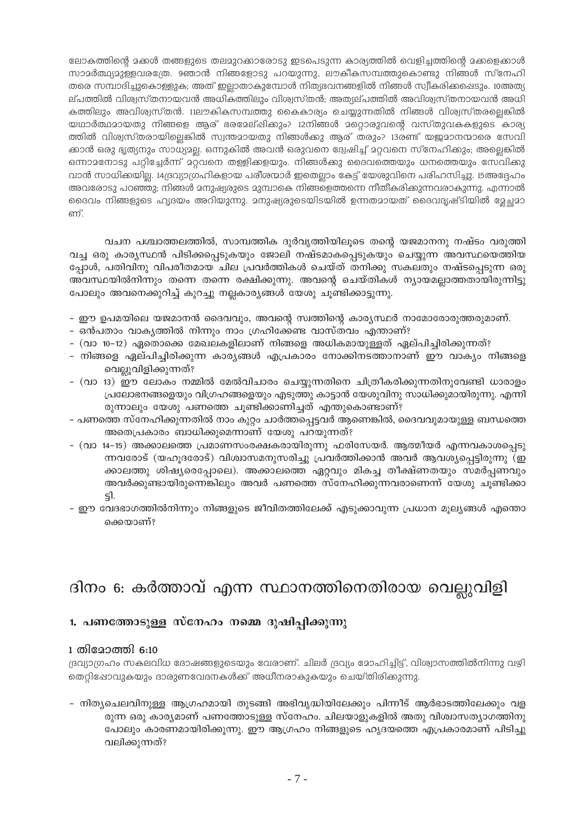ലോകത്തിന്റെ മക്കൾ തങ്ങളുടെ തലമുറക്കാരോടു ഇടപെടുന്ന കാര്യത്തിൽ വെളിച്ചത്തിന്റെ മക്കളെക്കാൾ സാമർത്ഥ്യമുള്ളവരത്രേ. 9ഞാൻ നിങ്ങളോടു പറയുന്നു, ലൗകീകസമ്പത്തുകൊണ്ടു നിങ്ങൾ സ്നേഹി തരെ സമ്പാദിച്ചുകൊള്ളുക; അത് ഇല്ലാതാകുമ്പോൾ നിത്യഭവനങ്ങളിൽ നിങ്ങൾ സ്വീകരിക്കപ്പെടും. 10അത്യ ല്പത്തിൽ വിശ്വസ്തനായവൻ അധികത്തിലും വിശ്വസ്തൻ; അത്യല്പത്തിൽ അവിശ്വസ്തനായവൻ അധി കത്തിലും അവിശ്വസ്തൻ. 11ലൗകികസമ്പത്തു കൈകാര്യം ചെയ്യുന്നതിൽ നിങ്ങൾ വിശ്വസ്തരല്ലെങ്കിൽ യഥാർത്ഥമായതു നിങ്ങളെ ആര് ഭരമേല്ഷിക്കും? 12നിങ്ങൾ മറ്റൊരുവന്റെ വസ്തുവകകളുടെ കാര്യ ത്തിൽ വിശ്വസ്തരായില്ലെങ്കിൽ സ്വന്തമായതു നിങ്ങൾക്കു ആര് തരും? 13രണ്ട് യജ്ജമാനന്മാരെ സേവി ക്കാൻ ഒരു ഭൃത്യനും സാധ്യമല്ല. ഒന്നുകിൽ അവൻ ഒരുവനെ ദ്വേഷിച്ച് മറ്റവനെ സ്നേഹിക്കും; അല്ലെങ്കിൽ ഒന്നാമനോടു പറ്റിച്ചേർന്ന് മറ്റവനെ തള്ളിക്കളയും. നിങ്ങൾക്കു ദൈവത്തെയും ധനത്തെയും സേവിക്കു വാൻ സാധിക്കയില്ല. 14ദ്രവ്യാഗ്രഹികളായ പരീശന്മാർ ഇതെല്ലാം കേട്ട് യേശുവിനെ പരിഹസിച്ചു. 15അദ്ദേഹം അവരോടു പറഞ്ഞു; നിങ്ങൾ മനുഷ്യരുടെ മുമ്പാകെ നിങ്ങളെത്തന്നെ നീതീകരിക്കുന്നവരാകുന്നു. എന്നാൽ ദൈവം നിങ്ങളുടെ ഹൃദയം അറിയുന്നു. മനുഷ്യരുടെയിടയിൽ ഉന്നതമായത് ദൈവദൃഷ്ടിയിൽ ഉേച്ചമാ ണ്

വചന പശ്ചാത്തലത്തിൽ, സാമ്പത്തിക ദുർവൃത്തിയിലൂടെ തന്റെ യജമാനനു നഷ്ടം വരുത്തി വച്ച ഒരു കാര്യസ്ഥൻ പിടിക്കപ്പെടുകയും ജോലി നഷ്ടമാകപ്പെടുകയും ചെയ്യുന്ന അവസ്ഥയെത്തിയ പ്പോൾ, പതിവിനു വിപരീതമായ ചില പ്രവർത്തികൾ ചെയ്ത് തനിക്കു സകലതും നഷ്ടപ്പെടുന്ന ഒരു അവസ്ഥയിൽനിന്നും തന്നെ തന്നെ രക്ഷിക്കുന്നു. അവന്റെ ചെയ്തികൾ ന്യായമല്ലാത്തതായിരുന്നിട്ടു പോലും അവനെക്കുറിച്ച് കുറച്ചു നല്ലകാര്യങ്ങൾ യേശു ചൂണ്ടിക്കാട്ടുന്നു.

- ഈ ഉപമയിലെ യജമാനൻ ദൈവവും, അവന്റെ സ്വത്തിന്റെ കാര്യസ്ഥർ നാമോരോരുത്തരുമാണ്.
- ഒൻപതാം വാകൃത്തിൽ നിന്നും നാം ഗ്രഹിക്കേണ്ട വാസ്തവം എന്താണ്?
- (വാ 10–12) ഏതൊക്കെ മേഖലകളിലാണ് നിങ്ങളെ അധികമായുള്ളത് ഏല്പിച്ചിരിക്കുന്നത്?
- നിങ്ങളെ ഏല്പിച്ചിരിക്കുന്ന കാര്യങ്ങൾ എപ്രകാരം നോക്കിനടത്താനാണ് ഈ വാക്യം നിങ്ങളെ വെല്ലുവിളിക്കുന്നത്?
- (വാ 13) ഈ ലോകം നമ്മിൽ മേൽവിചാരം ചെയ്യുന്നതിനെ ചിത്രീകരിക്കുന്നതിനുവേണ്ടി ധാരാളം പ്രലോഭനങ്ങളെയും വിഗ്രഹങ്ങളെയും എടുത്തു കാട്ടാൻ യേശുവിനു സാധിക്കുമായിരുന്നു. എന്നി രുന്നാലും യേശു പണത്തെ ചൂണ്ടിക്കാണിച്ചത് എന്തുകൊണ്ടാണ്?
- പണത്തെ സ്നേഹിക്കുന്നതിൽ നാം കുറ്റം ചാർത്തപ്പെട്ടവർ ആണെങ്കിൽ, ദൈവവുമായുള്ള ബന്ധത്തെ അതെപ്രകാരം ബാധിക്കുമെന്നാണ് യേശു പറയുന്നത്?
- (വാ 14-15) അക്കാലത്തെ പ്രമാണസംരക്ഷകരായിരുന്നു ഫരിസേയർ. ആത്മീയർ എന്നവകാശപ്പെടു ന്നവരോട് (യഹുദരോട്) വിശ്വാസമനുസരിച്ചു പ്രവർത്തിക്കാൻ അവർ ആവശ്യപ്പെട്ടിരുന്നു (ഇ ക്കാലത്തു ശിഷ്യരെപ്പോലെ). അക്കാലത്തെ ഏറ്റവും മികച്ച തീക്ഷ്ണതയും സമർപ്പണവും അവർക്കുണ്ടായിരുന്നെങ്കിലും അവർ പണത്തെ സ്നേഹിക്കുന്നവരാണെന്ന് യേശു ചൂണ്ടിക്കാ ട്ടി.
- ഈ വേദഭാഗത്തിൽനിന്നും നിങ്ങളുടെ ജീവിതത്തിലേക്ക് എടുക്കാവുന്ന പ്രധാന മൂല്യങ്ങൾ എന്തൊ ക്കെയാണ്?

# ദിനം 6: കർത്താവ് എന്ന സ്ഥാനത്തിനെതിരായ വെല്ലുവിളി

### 1. പണത്തോടുള്ള സ്നേഹം നമ്മെ ദുഷിപ്പിക്കുന്നു

### 1 തിമോത്തി 6:10

ദ്രവ്യാഗ്രഹം സകലവിധ ദോഷങ്ങളുടെയും വേരാണ്. ചിലർ ദ്രവ്യം മോഹിച്ചിട്ട്, വിശ്വാസത്തിൽനിന്നു വഴി തെറ്റിഷോവുകയും ദാരുണവേദനകൾക്ക് അധീനരാകുകയും ചെയ്തിരിക്കുന്നു.

- നിത്യചെലവിനുള്ള ആഗ്രഹമായി തുടങ്ങി അഭിവൃദ്ധിയിലേക്കും പിന്നീട് ആർഭാടത്തിലേക്കും വള രുന്ന ഒരു കാര്യമാണ് പണത്തോടുള്ള സ്നേഹം. ചിലയാളുകളിൽ അതു വിശ്വാസത്യാഗത്തിനു പോലും കാരണമായിരിക്കുന്നു. ഈ ആഗ്രഹം നിങ്ങളുടെ ഹൃദയത്തെ എപ്രകാരമാണ് പിടിച്ചു വലിക്കുന്നത്?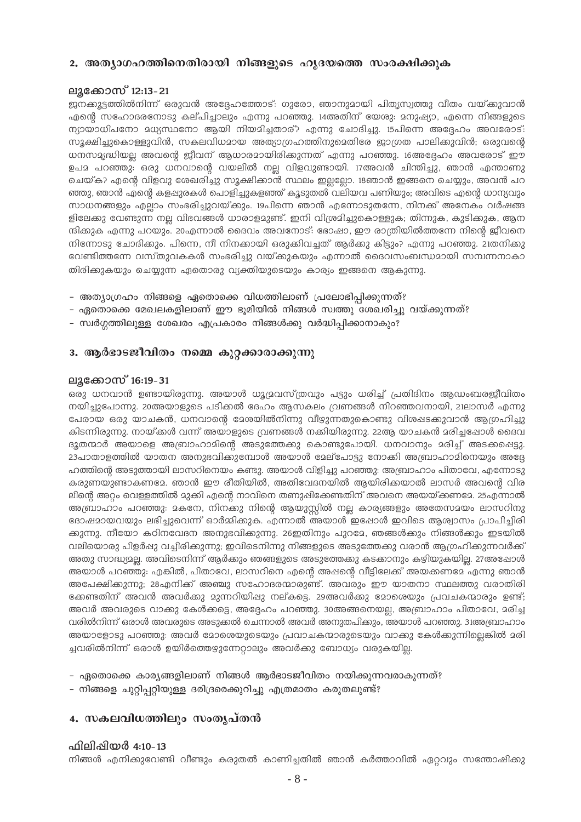### 2. അത്യാഗഹത്തിനെതിരായി നിങ്ങളുടെ ഹൃദയത്തെ സംരക്ഷിക്കുക

### ലൂക്കോസ് 12:13-21

ജനക്കൂട്ടത്തിൽനിന്ന് ഒരുവൻ അദ്ദേഹത്തോട്: ഗുരോ, ഞാനുമായി പിതൃസ്വത്തു വീതം വയ്ക്കുവാൻ എന്റെ സഹോദരനോടു കല്പിച്ചാലും എന്നു പറഞ്ഞു. 14അതിന് യേശു: മനുഷ്യാ, എന്നെ നിങ്ങളുടെ ന്യായാധിപനോ മധ്യസ്ഥനോ ആയി നിയമിച്ചതാര്? എന്നു ചോദിച്ചു. 15പിന്നെ അദ്ദേഹം അവരോട്: സുക്ഷിച്ചുകൊള്ളുവിൻ, സകലവിധമായ അത്യാഗ്രഹത്തിനുമെതിരേ ജാഗ്രത പാലിക്കുവിൻ; ഒരുവന്റെ ധനസമൃദ്ധിയല്ല അവന്റെ ജീവന് ആധാരമായിരിക്കുന്നത് എന്നു പറഞ്ഞു. 16അദ്ദേഹം അവരോട് ഈ ഉപമ പറഞ്ഞു: ഒരു ധനവാന്റെ വയലിൽ നല്ല വിളവുണ്ടായി. 17അവൻ ചിന്തിച്ചു, ഞാൻ എന്താണു ചെയ്ക? എന്റെ വിളവു ശേഖരിച്ചു സൂക്ഷിക്കാൻ സ്ഥലം ഇല്ലലോ. 18ഞാൻ ഇങ്ങനെ ചെയ്യും, അവൻ പറ ഞ്ഞു, ഞാൻ എന്റെ കളപ്പുരകൾ പൊളിച്ചുകളഞ്ഞ് കൂടുതൽ വലിയവ പണിയും; അവിടെ എന്റെ ധാന്യവും സാധനങ്ങളും എല്ലാം സംഭരിച്ചുവയ്ക്കും. 19പിന്നെ ഞാൻ എന്നോടുതന്നേ, നിനക്ക് അനേകം വർഷങ്ങ ളിലേക്കു വേണ്ടുന്ന നല്ല വിഭവങ്ങൾ ധാരാളമുണ്ട്. ഇനി വിശ്രമിച്ചുകൊള്ളുക; തിന്നുക, കുടിക്കുക, ആന ന്ദിക്കുക എന്നു പറയും. 20എന്നാൽ ദൈവം അവനോട്: ഭോഷാ, ഈ രാത്രിയിൽത്തന്നേ നിന്റെ ജീവനെ നിന്നോടു ചോദിക്കും. പിന്നെ, നീ നിനക്കായി ഒരുക്കിവച്ചത് ആർക്കു കിട്ടും? എന്നു പറഞ്ഞു. 21തനിക്കു വേണ്ടിത്തന്നേ വസ്തുവകകൾ സംഭരിച്ചു വയ്ക്കുകയും എന്നാൽ ദൈവസംബന്ധമായി സമ്പന്നനാകാ തിരിക്കുകയും ചെയ്യുന്ന ഏതൊരു വ്യക്തിയുടെയും കാര്യം ഇങ്ങനെ ആകുന്നു.

- അത്യാഗ്രഹം നിങ്ങളെ ഏതൊക്കെ വിധത്തിലാണ് പ്രലോഭിപ്പിക്കുന്നത്?
- ഏതൊക്കെ മേഖലകളിലാണ് ഈ ഭുമിയിൽ നിങ്ങൾ സ്വത്തു ശേഖരിച്ചു വയ്ക്കുന്നത്?
- സ്വർഗ്ഗത്തിലുള്ള ശേഖരം എപ്രകാരം നിങ്ങൾക്കു വർദ്ധിപ്പിക്കാനാകും?

### 3. ആർഭാടജീവിതം നമ്മെ കുറ്റക്കാരാക്കുന്നു

### ലുക്കോസ് 16:19-31

ഒരു ധനവാൻ ഉണ്ടായിരുന്നു. അയാൾ ധുദ്രവസ്ത്രവും പട്ടും ധരിച്ച് പ്രതിദിനം ആഡംബരജീവിതം നയിച്ചുപോന്നു. 20അയാളുടെ പടിക്കൽ ദേഹം ആസകലം വ്രണങ്ങൾ നിറഞ്ഞവനായി, 21ലാസർ എന്നു പേരായ ഒരു യാചകൻ, ധനവാന്റെ ദേശയിൽനിന്നു വീഴുന്നതുകൊണ്ടു വിശഷടക്കുവാൻ ആഗ്രഹിച്ചു കിടന്നിരുന്നു. നായ്ക്കൾ വന്ന് അയാളുടെ വ്രണങ്ങൾ നക്കിയിരുന്നു. 22ആ യാചകൻ മരിച്ചപ്പോൾ ദൈവ ദൂതന്മാർ അയാളെ അബ്രാഹാമിന്റെ അടുത്തേക്കു കൊണ്ടുപോയി. ധനവാനും മരിച്ച് അടക്കപ്പെട്ടു. 23പാതാളത്തിൽ യാതന അനുഭവിക്കുമ്പോൾ അയാൾ മേല്പോട്ടു നോക്കി അബ്രാഹാമിനെയും അദ്ദേ ഹത്തിന്റെ അടുത്തായി ലാസറിനെയം കണ്ടു. അയാൾ വിളിച്ചു പറഞ്ഞു: അബ്രാഹാം പിതാവേ, എന്നോടു കരുണയുണ്ടാകണമേ. ഞാൻ ഈ രീതിയിൽ, അതിവേദനയിൽ ആയിരിക്കയാൽ ലാസർ അവന്റെ വിര ലിന്റെ അറ്റം വെള്ളത്തിൽ മുക്കി എന്റെ നാവിനെ തണുഷിക്കേണ്ടതിന് അവനെ അയയ്ക്കണമേ. 25എന്നാൽ അബ്രാഹാം പറഞ്ഞു: മകനേ, നിനക്കു നിന്റെ ആയുസ്ലിൽ നല്ല കാര്യങ്ങളും അതേസമയം ലാസറിനു ദോഷമായവയും ലഭിച്ചുവെന്ന് ഓർമ്മിക്കുക. എന്നാൽ അയാൾ ഇപ്പോൾ ഇവിടെ ആശ്വാസം പ്രാപിച്ചിരി ക്കുന്നു. നീയോ കഠിനവേദന അനുഭവിക്കുന്നു. 26ഇതിനും പുറദേ, ഞങ്ങൾക്കും നിങ്ങൾക്കും ഇടയിൽ വലിയൊരു പിളർഷു വച്ചിരിക്കുന്നു; ഇവിടെനിന്നു നിങ്ങളുടെ അടുത്തേക്കു വരാൻ ആഗ്രഹിക്കുന്നവർക്ക് അതു സാദ്ധ്യമല. അവിടെനിന്ന് ആർക്കും ഞങ്ങളുടെ അടുത്തേക്കു കടക്കാനും കഴ്വിയുകയില. 27അഷോൾ അയാൾ പറഞ്ഞു: എങ്കിൽ, പിതാവേ, ലാസറിനെ എന്റെ അഷന്റെ വീട്ടിലേക്ക് അയക്കണമേ എന്നു ഞാൻ അപേക്ഷിക്കുന്നു; 28എനിക്ക് അഞ്ചു സഹോദരന്മാരുണ്ട്. അവരും ഈ യാതനാ സ്ഥലത്തു വരാതിരി ക്കേണ്ടതിന് അവൻ അവർക്കു മുന്നറിയിഷു നല്കട്ടെ. 29അവർക്കു മോശെയും പ്രവചകന്മാരും ഉണ്ട്; അവർ അവരുടെ വാക്കു കേൾക്കട്ടെ, അദ്ദേഹം പറഞ്ഞു. 30അങ്ങനെയല്ല, അബ്രാഹാം പിതാവേ, മരിച്ച വരിൽനിന്ന് ഒരാൾ അവരുടെ അടുക്കൽ ചെന്നാൽ അവർ അനുതപിക്കും, അയാൾ പറഞ്ഞു. 31അബ്രാഹാം അയാളോടു പറഞ്ഞു: അവർ മോശെയുടെയും പ്രവാചകന്മാരുടെയും വാക്കു കേൾക്കുന്നില്ലെങ്കിൽ മരി ച്ചവരിൽനിന്ന് ഒരാൾ ഉയിർത്തെഴുന്നേറ്റാലും അവർക്കു ബോധ്യം വരുകയില്ല.

- ഏതൊക്കെ കാര്യങ്ങളിലാണ് നിങ്ങൾ ആർഭാടജീവിതം നയിക്കുന്നവരാകുന്നത്?
- നിങ്ങളെ ചുറ്റിപ്പറ്റിയുള്ള ദരിദ്രരെക്കുറിച്ചു എത്രമാതം കരുതലുണ്ട്?

### 4. സകലവിധത്തിലും സംതൃപ്തൻ

### ഫിലിഷിയർ 4:10-13

നിങ്ങൾ എനിക്കുവേണ്ടി വീണ്ടും കരുതൽ കാണിച്ചതിൽ ഞാൻ കർത്താവിൽ ഏറ്റവും സന്തോഷിക്കു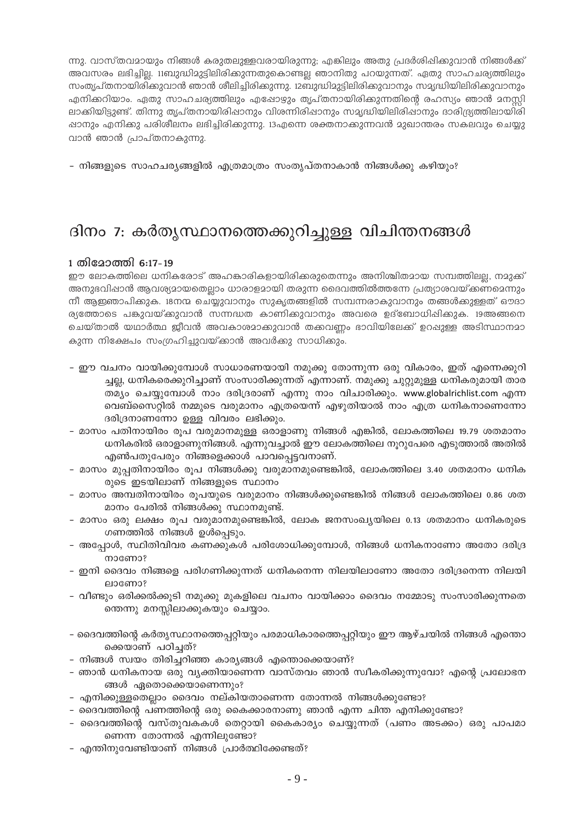ന്നു. വാസ്തവമായും നിങ്ങൾ കരുതലുള്ളവരായിരുന്നു; എങ്കിലും അതു പ്രദർശിഷിക്കുവാൻ നിങ്ങൾക്ക് അവസരം ലഭിച്ചില്ല. 11ബുദ്ധിമുട്ടിലിരിക്കുന്നതുകൊണ്ടല്ല ഞാനിതു പറയുന്നത്. ഏതു സാഹചര്യത്തിലും സംത്യപ്തനായിരിക്കുവാൻ ഞാൻ ശീലിച്ചിരിക്കുന്നു. 12ബുദ്ധിമുട്ടിലിരിക്കുവാനും സമൃദ്ധിയിലിരിക്കുവാനും എനിക്കറിയാം. ഏതു സാഹചര്യത്തിലും എഷോഴും തൃപ്തനായിരിക്കുന്നതിന്റെ രഹസ്യം ഞാൻ മനസ്സി ലാക്കിയിട്ടുണ്ട്. തിന്നു തൃപ്തനായിരിഷാനും വിശന്നിരിഷാനും സമൃദ്ധിയിലിരിഷാനും ദാരിദ്ര്യത്തിലായിരി ഷാനും എനിക്കു പരിശീലനം ലഭിച്ചിരിക്കുന്നു. 13എന്നെ ശക്തനാക്കുന്നവൻ മുഖാന്തരം സകലവും ചെയ്യു വാൻ ഞാൻ പ്രാപ്തനാകുന്നു.

– നിങ്ങളുടെ സാഹചര്യങ്ങളിൽ എത്രമാത്രം സംതൃപ്തനാകാൻ നിങ്ങൾക്കു കഴിയും?

### ദിനം 7: കർതൃസ്ഥാനത്തെക്കുറിച്ചുള്ള വിചിന്തനങ്ങൾ

### 1 തിമോത്തി 6:17-19

ഈ ലോകത്തിലെ ധനികരോട് അഹങ്കാരികളായിരിക്കരുതെന്നും അനിശ്ചിതമായ സമ്പത്തിലല്ല, നമുക്ക് അനുഭവിഷാൻ ആവശ്യമായതെല്ലാം ധാരാളമായി തരുന്ന ദൈവത്തിൽത്തന്നേ പ്രത്യാശവയ്ക്കണമെന്നും നീ ആഇഞാപിക്കുക. 18നന്മ ചെയ്യുവാനും സുകൃതങ്ങളിൽ സമ്പന്നരാകുവാനും തങ്ങൾക്കുള്ളത് ഔദാ ര്യത്തോടെ പങ്കുവയ്ക്കുവാൻ സന്നദ്ധത കാണിക്കുവാനും അവരെ ഉദ്ബോധിപ്പിക്കുക. 19അങ്ങനെ ചെയ്താൽ യഥാർത്ഥ ജീവൻ അവകാശമാക്കുവാൻ തക്കവണം ഭാവിയിലേക്ക് ഉറപ്പുള്ള അടിസ്ഥാനമാ കുന്ന നിക്ഷേപം സംഗ്രഹിച്ചുവയ്ക്കാൻ അവർക്കു സാധിക്കും.

- ഈ വചനം വായിക്കുമ്പോൾ സാധാരണയായി നമുക്കു തോന്നുന്ന ഒരു വികാരം, ഇത് എന്നെക്കുറി ച്ചല്ല, ധനികരെക്കുറിച്ചാണ് സംസാരിക്കുന്നത് എന്നാണ്. നമുക്കു ചുറ്റുമുള്ള ധനികരുമായി താര തമ്യം ചെയ്യുമ്പോൾ നാം ദരിദ്രരാണ് എന്നു നാം വിചാരിക്കും. www.globalrichlist.com എന്ന വെബ്സൈറ്റിൽ നമ്മുടെ വരുമാനം എത്രയെന്ന് എഴുതിയാൽ നാം എത്ര ധനികനാണെന്നോ ദരിദ്രനാണന്നോ ഉള്ള വിവരം ലഭിക്കും.
- മാസം പതിനായിരം രൂപ വരുമാനമുള്ള ഒരാളാണു നിങ്ങൾ എങ്കിൽ, ലോകത്തിലെ 19.79 ശതമാനം ധനികരിൽ ഒരാളാണുനിങ്ങൾ. എന്നുവച്ചാൽ ഈ ലോകത്തിലെ നൂറുപേരെ എടുത്താൽ അതിൽ എൺപതുപേരും നിങ്ങളെക്കാൾ പാവപ്പെട്ടവനാണ്.
- മാസം മുപ്പതിനായിരം രൂപ നിങ്ങൾക്കു വരുമാനമുണ്ടെങ്കിൽ, ലോകത്തിലെ 3.40 ശതമാനം ധനിക രുടെ ഇടയിലാണ് നിങ്ങളുടെ സ്ഥാനം
- മാസം അമ്പതിനായിരം രൂപയുടെ വരുമാനം നിങ്ങൾക്കുണ്ടെങ്കിൽ നിങ്ങൾ ലോകത്തിലെ 0.86 ശത മാനം പേരിൽ നിങ്ങൾക്കു സ്ഥാനമുണ്ട്.
- മാസം ഒരു ലക്ഷം രൂപ വരുമാനമുണ്ടെങ്കിൽ, ലോക ജനസംഖ്യയിലെ 0.13 ശതമാനം ധനികരുടെ ഗണത്തിൽ നിങ്ങൾ ഉൾപ്പെടും.
- അപ്പോൾ, സ്ഥിതിവിവര കണക്കുകൾ പരിശോധിക്കുമ്പോൾ, നിങ്ങൾ ധനികനാണോ അതോ ദരിദ്ര mocomo?
- ഇനി ദൈവം നിങ്ങളെ പരിഗണിക്കുന്നത് ധനികനെന്ന നിലയിലാണോ അതോ ദരിദ്രനെന്ന നിലയി ലാണോ?
- വീണ്ടും ഒരിക്കൽക്കൂടി നമുക്കു മുകളിലെ വചനം വായിക്കാം ദൈവം നമ്മോടു സംസാരിക്കുന്നതെ ത്തെന്നു മനസ്സിലാക്കുകയും ചെയ്യാം.
- ദൈവത്തിന്റെ കർതൃസ്ഥാനത്തെപ്പറ്റിയും പരമാധികാരത്തെപ്പറ്റിയും ഈ ആഴ്ചയിൽ നിങ്ങൾ എന്തൊ ക്കെയാണ് പഠിച്ചത്?
- നിങ്ങൾ സ്വയം തിരിച്ചറിഞ്ഞ കാര്യങ്ങൾ എന്തൊക്കെയാണ്?
- ഞാൻ ധനികനായ ഒരു വ്യക്തിയാണെന്ന വാസ്തവം ഞാൻ സ്വീകരിക്കുന്നുവോ? എന്റെ പ്രലോഭന ങ്ങൾ ഏതൊക്കെയാണെന്നും?
- എനിക്കുള്ളതെല്ലാം ദൈവം നല്കിയതാണെന്ന തോന്നൽ നിങ്ങൾക്കുണ്ടോ?
- ദൈവത്തിന്റെ പണത്തിന്റെ ഒരു കൈക്കാരനാണു ഞാൻ എന്ന ചിന്ത എനിക്കുണ്ടോ?
- ദൈവത്തിന്റെ വസ്തുവകകൾ തെറ്റായി കൈകാര്യം ചെയ്യുന്നത് (പണം അടക്കം) ഒരു പാപമാ ണെന്ന തോന്നൽ എന്നിലുണ്ടോ?
- എന്തിനുവേണ്ടിയാണ് നിങ്ങൾ പ്രാർത്ഥിക്കേണ്ടത്?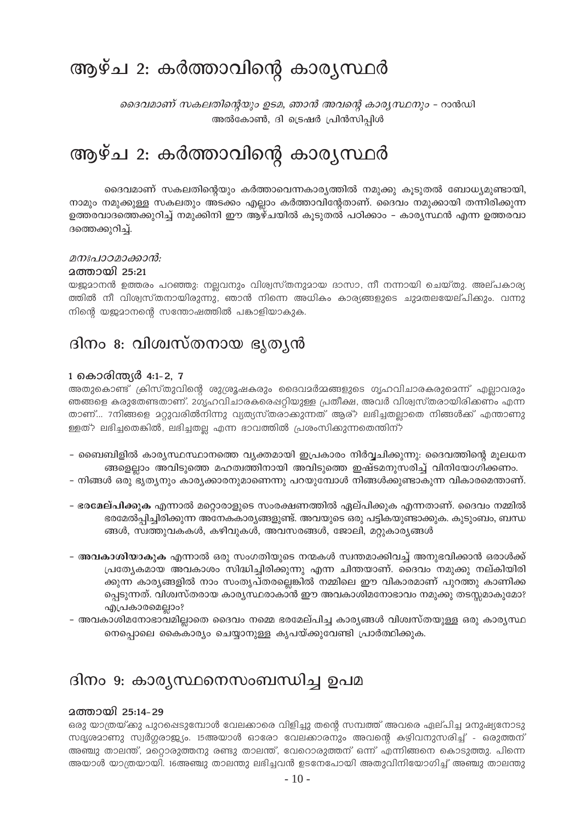# ആഴ്ച 2: കർത്താവിന്റെ കാര്യസ്ഥർ

ദൈവമാണ് സകലതിന്റെയും ഉടമ, ഞാൻ അവന്റെ കാര്യസ്ഥനും - റാൻഡി അൽകോൺ, ദി ട്രെഷർ പ്രിൻസിപ്പിൾ

# ആഴ്ച 2: കർത്താവിന്റെ കാര്യസ്ഥർ

ദൈവമാണ് സകലതിന്റെയും കർത്താവെന്നകാര്യത്തിൽ നമുക്കു കൂടുതൽ ബോധ്യമുണ്ടായി, നാമും നമുക്കുള്ള സകലതും അടക്കം എല്ലാം കർത്താവിന്റേതാണ്. ദൈവം നമുക്കായി തന്നിരിക്കുന്ന ഉത്തരവാദത്തെക്കുറിച്ച് നമുക്കിനി ഈ ആഴ്ചയിൽ കൂടുതൽ പഠിക്കാം – കാര്യസ്ഥൻ എന്ന ഉത്തരവാ ദത്തെക്കുറിച്ച്.

### മനഃപാറമാക്കാൻ:

### <u> ദത്തായി 25:21</u>

യജ്ജമാനൻ ഉത്തരം പറഞ്ഞു: നല്ലവനും വിശ്വസ്തനുമായ ദാസാ, നീ നന്നായി ചെയ്തു. അല്പകാര്യ ത്തിൽ നീ വിശ്വസ്തനായിരുന്നു, ഞാൻ നിന്നെ അധികം കാര്യങ്ങളുടെ ചുമതലയേല്പിക്കും. വന്നു നിന്റെ യജമാനന്റെ സന്തോഷത്തിൽ പങ്കാളിയാകുക.

### ദിനം 8: വിശ്വസ്തനായ ഭൃത്യൻ

### 1 കൊരിന്ത്യർ 4:1-2, 7

അതുകൊണ്ട് ക്രിസ്തുവിന്റെ ശുശ്രൂഷകരും ദൈവമർമ്മങ്ങളുടെ ഗൃഹവിചാരകരുമെന്ന് എല്ലാവരും ഞങ്ങളെ കരുതേണ്ടതാണ്. 2ഗൃഹവിചാരകരെഷറ്റിയുള്ള പ്രതീക്ഷ, അവർ വിശ്വസ്തരായിരിക്കണം എന്ന താണ്... 7നിങ്ങളെ മറ്റുവരിൽനിന്നു വ്യത്യസ്തരാക്കുന്നത് ആര്? ലഭിച്ചതല്ലാതെ നിങ്ങൾക്ക് എന്താണു ള്ളത്? ലഭിച്ചതെങ്കിൽ, ലഭിച്ചതല്ല എന്ന ഭാവത്തിൽ പ്രശംസിക്കുന്നതെന്തിന്?

- ബൈബിളിൽ കാര്യസ്ഥസ്ഥാനത്തെ വ്യക്തമായി ഇപ്രകാരം നിർവ്വചിക്കുന്നു: ദൈവത്തിന്റെ മൂലധന ങ്ങളെല്ലാം അവിടുത്തെ മഹത്വത്തിനായി അവിടുത്തെ ഇഷ്ടമനുസരിച്ച് വിനിയോഗിക്കണം.
- നിങ്ങൾ ഒരു ഭൃത്യനും കാര്യക്കാരനുമാണെന്നു പറയുമ്പോൾ നിങ്ങൾക്കുണ്ടാകുന്ന വികാരമെന്താണ്.
- ഭരമേല്പിക്കുക എന്നാൽ മറ്റൊരാളുടെ സംരക്ഷണത്തിൽ ഏല്പിക്കുക എന്നതാണ്. ദൈവം നമ്മിൽ ഭരമേൽപ്പിച്ചിരിക്കുന്ന അനേകകാര്യങ്ങളുണ്ട്. അവയുടെ ഒരു പട്ടികയുണ്ടാക്കുക. കുടുംബം, ബന്ധ ങ്ങൾ, സ്വത്തുവകകൾ, കഴിവുകൾ, അവസരങ്ങൾ, ജോലി, മറ്റുകാര്യങ്ങൾ
- അ**വകാശിയാകുക** എന്നാൽ ഒരു സംഗതിയുടെ നന്മകൾ സ്വന്തമാക്കിവച്ച് അനുഭവിക്കാൻ ഒരാൾക്ക് പ്രത്യേകമായ അവകാശം സിദ്ധിച്ചിരിക്കുന്നു എന്ന ചിന്തയാണ്. ദൈവം നമുക്കു നല്കിയിരി ക്കുന്ന കാര്യങ്ങളിൽ നാം സംതൃപ്തരല്ലെങ്കിൽ നമ്മിലെ ഈ വികാരമാണ് പുറത്തു കാണിക്ക പ്പെടുന്നത്. വിശ്വസ്തരായ കാര്യസ്ഥരാകാൻ ഈ അവകാശിമനോഭാവം നമുക്കു തടസ്സമാകുമോ? എപ്രകാരമെല്ലാം?
- അവകാശിമനോഭാവമില്ലാതെ ദൈവം നമ്മെ ഭരമേല്പിച്ച കാര്യങ്ങൾ വിശ്വസ്തയുള്ള ഒരു കാര്യസ്ഥ നെപ്പൊലെ കൈകാര്യം ചെയ്യാനുള്ള കൃപയ്ക്കുവേണ്ടി പ്രാർത്ഥിക്കുക.

### ദിനം 9: കാര്യസ്ഥനെസംബന്ധിച്ച ഉപമ

### **മത്തായി 25:14-29**

ഒരു യാത്രയ്ക്കു പുറപ്പെടുമ്പോൾ വേലക്കാരെ വിളിച്ചു തന്റെ സമ്പത്ത് അവരെ ഏല്പിച്ച മനുഷ്യനോടു സദൃശ്രമാണു സ്വർഗ്ഗരാജ്യം. 15അയാൾ ഓരോ വേലക്കാരനും അവന്റെ കഴിവനുസരിച്ച് - ഒരുത്തന് അഞ്ചു താലന്ത്, മറ്റൊരുത്തനു രണ്ടു താലന്ത്, വേറൊരുത്തന് ഒന്ന് എന്നിങ്ങനെ കൊടുത്തു. പിന്നെ അയാൾ യാത്രയായി. 16അഞ്ചു താലന്തു ലഭിച്ചവൻ ഉടനേപോയി അതുവിനിയോഗിച്ച് അഞ്ചു താലന്തു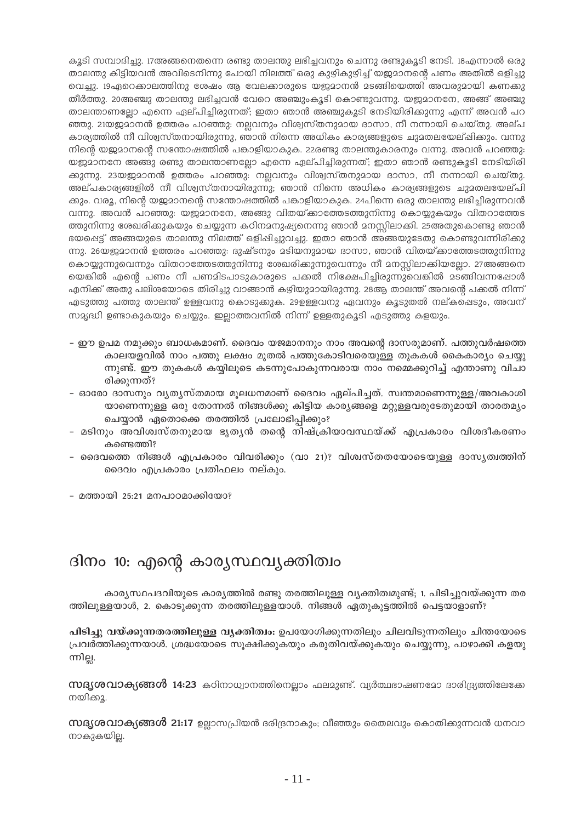കൂടി സമ്പാദിച്ചു. 17അങ്ങനെതന്നെ രണ്ടു താലന്തു ലഭിച്ചവനും ചെന്നു രണ്ടുകൂടി നേടി. 18എന്നാൽ ഒരു താലന്തു കിട്ടിയവൻ അവിടെനിന്നു പോയി നിലത്ത് ഒരു കുഴികുഴിച്ച് യജ്ജമാനന്റെ പണം അതിൽ ഒളിച്ചു വെച്ചു. 19ഏറെക്കാലത്തിനു ശേഷം ആ വേലക്കാരുടെ യജ്ജമാനൻ മടങ്ങിയെത്തി അവരുമായി കണക്കു തീർത്തു. 20അഞ്ചു താലന്തു ലഭിച്ചവൻ വേറെ അഞ്ചുംകൂടി കൊണ്ടുവന്നു. യജമാനനേ, അങ്ങ് അഞ്ചു താലന്താണല്ലോ എന്നെ ഏല്പിച്ചിരുന്നത്; ഇതാ ഞാൻ അഞ്ചുകൂടി നേടിയിരിക്കുന്നു എന്ന് അവൻ പറ ഞ്ഞു. 21യജ്ജമാനൻ ഉത്തരം പറഞ്ഞു: നല്ലവനും വിശ്വസ്തനുമായ ദാസാ, നീ നന്നായി ചെയ്തു. അല്പ കാര്യത്തിൽ നീ വിശ്വസ്തനായിരുന്നു, ഞാൻ നിന്നെ അധികം കാര്യങ്ങളുടെ ചുമതലയേല്ഷിക്കും. വന്നു നിന്റെ യജ്യമാനന്റെ സന്തോഷത്തിൽ പങ്കാളിയാകുക. 22രണ്ടു താലന്തുകാരനും വന്നു. അവൻ പറഞ്ഞു: യജമാനനേ അങ്ങു രണ്ടു താലന്താണല്ലോ എന്നെ ഏല്പിച്ചിരുന്നത്; ഇതാ ഞാൻ രണ്ടുകൂടി നേടിയിരി ക്കുന്നു. 23യജ്ജമാനൻ ഉത്തരം പറഞ്ഞു: നല്ലവനും വിശ്വസ്തനുമായ ദാസാ, നീ നന്നായി ചെയ്തു. അല്പകാര്യങ്ങളിൽ നീ വിശ്വസ്തനായിരുന്നു; ഞാൻ നിന്നെ അധികം കാര്യങ്ങളുടെ ചുമതലയേല്പി ക്കും. വരൂ, നിന്റെ യജ്ജമാനന്റെ സന്തോഷത്തിൽ പങ്കാളിയാകുക. 24പിന്നെ ഒരു താലന്തു ലഭിച്ചിരുന്നവൻ വന്നു. അവൻ പറഞ്ഞു: യജ്ജമാനനേ, അങ്ങു വിതയ്ക്കാത്തേടത്തുനിന്നു കൊയ്യുകയും വിതറാത്തേട ത്തുനിന്നു ശേഖരിക്കുകയും ചെയ്യുന്ന കഠിനമനുഷ്യനെന്നു ഞാൻ മനസ്സിലാക്കി. 25അതുകൊണ്ടു ഞാൻ ഭയപ്പെട്ട് അങ്ങയുടെ താലന്തു നിലത്ത് ഒളിപ്പിച്ചുവച്ചു. ഇതാ ഞാൻ അങ്ങയുടേതു കൊണ്ടുവന്നിരിക്കു ന്നു. 26യജുമാനൻ ഉത്തരം പറഞ്ഞു: ദുഷ്ടനും മടിയനുമായ ദാസാ, ഞാൻ വിതയ്ക്കാത്തേടത്തുനിന്നു കൊയ്യുന്നുവെന്നും വിതറാത്തേടത്തുനിന്നു ശേഖരിക്കുന്നുവെന്നും നീ മനസ്സിലാക്കിയല്ലോ. 27അങ്ങനെ യെങ്കിൽ എന്റെ പണം നീ പണമിടപാടുകാരുടെ പക്കൽ നിക്ഷേപിച്ചിരുന്നുവെങ്കിൽ മടങ്ങിവന്നപ്പോൾ എനിക്ക് അതു പലിശയോടെ തിരിച്ചു വാങ്ങാൻ കഴിയുമായിരുന്നു. 28ആ താലന്ത് അവന്റെ പക്കൽ നിന്ന് എടുത്തു പത്തു താലന്ത് ഉള്ളവനു കൊടുക്കുക. 29ഉള്ളവനു ഏവനും കൂടുതൽ നല്കപ്പെടും, അവന് സമ്യദ്ധി ഉണ്ടാകുകയും ചെയ്യും. ഇലാത്തവനിൽ നിന്ന് ഉള്ളതുകൂടി എടുത്തു കളയും.

- ഈ ഉപമ നമുക്കും ബാധകമാണ്. ദൈവം യജമാനനും നാം അവന്റെ ദാസരുമാണ്. പത്തുവർഷത്തെ കാലയളവിൽ നാം പത്തു ലക്ഷം മുതൽ പത്തുകോടിവരെയുള്ള തുകകൾ കൈകാര്യം ചെയ്യു ന്നുണ്ട്. ഈ തുകകൾ കയ്യിലൂടെ കടന്നുപോകുന്നവരായ നാം നമ്മെക്കുറിച്ച് എന്താണു വിചാ രിക്കുന്നത്?
- ഓരോ ദാസനും വൃതൃസ്തമായ മുലധനമാണ് ദൈവം ഏല്പിച്ചത്. സ്വന്തമാണെന്നുള്ള/അവകാശി യാണെന്നുള്ള ഒരു തോന്നൽ നിങ്ങൾക്കു കിട്ടിയ കാര്യങ്ങളെ മറ്റുള്ളവരുടേതുമായി താരതമ്യം ചെയ്യാൻ ഏതൊക്കെ തരത്തിൽ പ്രലോഭിപ്പിക്കും?
- മടിനും അവിശ്വസ്തനുമായ ഭൃതൃൻ തന്റെ നിഷ്ക്രിയാവസ്ഥയ്ക്ക് എപ്രകാരം വിശദീകരണം കണ്ടെത്തി?
- ദൈവത്തെ നിങ്ങൾ എപ്രകാരം വിവരിക്കും (വാ 21)? വിശ്വസ്തതയോടെയുള്ള ദാസ്യത്വത്തിന് ദൈവം എപ്രകാരം പ്രതിഫലം നല്കും.
- മത്തായി 25:21 മനപാഠമാക്കിയോ?

### ദിനം 10: എന്റെ കാര്യസ്ഥവ്യക്തിത്വം

കാര്യസ്ഥപദവിയുടെ കാര്യത്തിൽ രണ്ടു തരത്തിലുള്ള വ്യക്തിത്വമുണ്ട്; 1. പിടിച്ചുവയ്ക്കുന്ന തര ത്തിലുള്ളയാൾ, 2. കൊടുക്കുന്ന തരത്തിലുള്ളയാൾ. നിങ്ങൾ ഏതുകൂട്ടത്തിൽ പെട്ടയാളാണ്?

പിടിച്ചു വയ്ക്കുന്നതരത്തിലുള്ള വ്യക്തിത്വം: ഉപയോഗിക്കുന്നതിലും ചിലവിടുന്നതിലും ചിന്തയോടെ പ്രവർത്തിക്കുന്നയാൾ. ശ്രദ്ധയോടെ സൂക്ഷിക്കുകയും കരുതിവയ്ക്കുകയും ചെയ്യുന്നു, പാഴാക്കി കളയു ന്നില്ല.

 $\omega$ നുദൃശവാക്യങ്ങൾ 14:23 കഠിനാധ്വാനത്തിനെല്ലാം ഫലമുണ്ട്. വ്യർത്ഥഭാഷണമോ ദാരിദ്ര്യത്തിലേക്കേ നയിക്കു.

 $\mathbf{m}$ ദ്യശവാക്യങ്ങൾ 21:17 ഉല്ലാസപ്രിയൻ ദരിദ്രനാകും; വീഞ്ഞും തൈലവും കൊതിക്കുന്നവൻ ധനവാ നാകുകയില.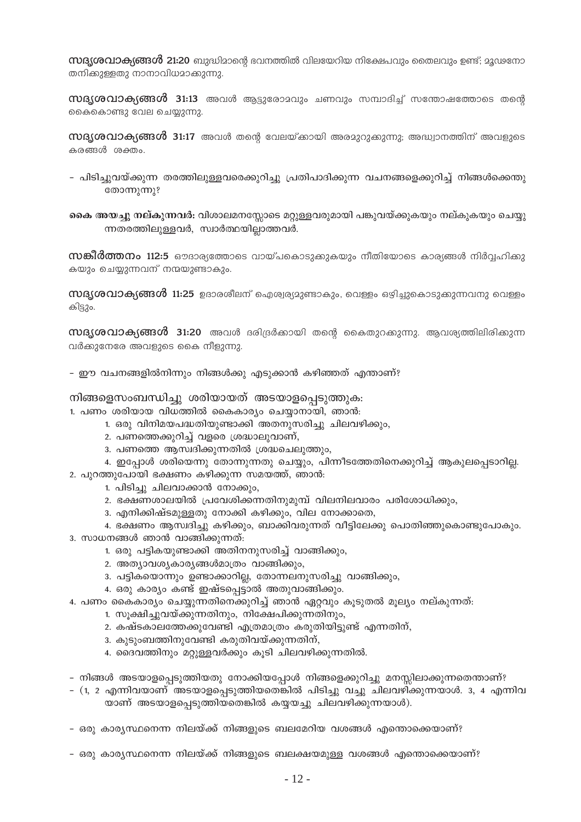സ്ഥൃശവാക്യങ്ങൾ 21:20 ബുദ്ധിമാന്റെ ഭവനത്തിൽ വിലയേറിയ നിക്ഷേപവും തൈലവും ഉണ്ട്; മൂഢനോ തനിക്കുള്ളതു നാനാവിധമാക്കുന്നു.

 $\mathbf{m}$ ദ്യശവാക്യങ്ങൾ 31:13 അവൾ ആട്ടുരോമവും ചണവും സമ്പാദിച്ച് സന്തോഷത്തോടെ തന്റെ കൈകൊണ്ടു വേല ചെയ്യുന്നു.

 $\omega$ ദൃശവാക്യങ്ങൾ 31:17 അവൾ തന്റെ വേലയ്ക്കായി അരമുറുക്കുന്നു; അദ്ധ്വാനത്തിന് അവളുടെ കരങ്ങൾ ശക്തം.

– പിടിച്ചുവയ്ക്കുന്ന തരത്തിലുള്ളവരെക്കുറിച്ചു പ്രതിപാദിക്കുന്ന വചനങ്ങളെക്കുറിച്ച് നിങ്ങൾക്കെന്തു തോന്നുന്നു?

കൈ അയച്ചു നല്കുന്നവർ: വിശാലമനസ്സോടെ മറ്റുള്ളവരുമായി പങ്കുവയ്ക്കുകയും നല്കുകയും ചെയ്യു ന്നതരത്തിലുള്ളവർ, സ്വാർത്ഥയില്ലാത്തവർ.

**സങ്കീർത്തനം 112:5** ഔദാര്യത്തോടെ വായ്പകൊടുക്കുകയും നീതിയോടെ കാര്യങ്ങൾ നിർവ്വഹിക്കു കയും ചെയ്യുന്നവന് നന്മയുണ്ടാകും.

 $\rm m$ ദ്യശവാക്യങ്ങൾ 11:25 ഉദാരശീലന് ഐശ്വര്യമുണ്ടാകും, വെള്ളം ഒഴിച്ചുകൊടുക്കുന്നവനു വെള്ളം കിട്ടും.

സദൃശവാക്യങ്ങൾ 31:20 അവൾ ദരിദ്രർക്കായി തന്റെ കൈതുറക്കുന്നു. ആവശ്യത്തിലിരിക്കുന്ന വർക്കുനേരേ അവളുടെ കൈ നീളുന്നു.

– ഈ വചനങ്ങളിൽനിന്നും നിങ്ങൾക്കു എടുക്കാൻ കഴിഞ്ഞത് എന്താണ്?

#### നിങ്ങളെസംബന്ധിച്ചു ശരിയായത് അടയാളപ്പെടുത്തുക:

- 1. പണം ശരിയായ വിധത്തിൽ കൈകാര്യം ചെയ്യാനായി, ഞാൻ:
	- 1. ഒരു വിനിമയപദ്ധതിയുണ്ടാക്കി അതനുസരിച്ചു ചിലവഴിക്കും,
	- 2. പണത്തെക്കുറിച്ച് വളരെ ശ്രദ്ധാലുവാണ്,
	- 3. പണത്തെ ആസ്വദിക്കുന്നതിൽ ശ്രദ്ധചെലുത്തും,
- 4. ഇപ്പോൾ ശരിയെന്നു തോന്നുന്നതു ചെയ്യും, പിന്നീടത്തേതിനെക്കുറിച്ച് ആകുലപ്പെടാറില്ല. 2. പുറത്തുപോയി ഭക്ഷണം കഴിക്കുന്ന സമയത്ത്, ഞാൻ:
	- 1. പിടിച്ചു ചിലവാക്കാൻ നോക്കും,
	- 2. ഭക്ഷണശാലയിൽ പ്രവേശിക്കന്നതിനുമുമ്പ് വിലനിലവാരം പരിശോധിക്കും,
	- 3. എനിക്കിഷ്ടമുള്ളതു നോക്കി കഴിക്കും, വില നോക്കാതെ,
- 4. ഭക്ഷണം ആസ്വദിച്ചു കഴിക്കും, ബാക്കിവരുന്നത് വീട്ടിലേക്കു പൊതിഞ്ഞുകൊണ്ടുപോകും. 3. സാധനങ്ങൾ ഞാൻ വാങ്ങിക്കുന്നത്:
	- 1. ഒരു പട്ടികയുണ്ടാക്കി അതിനനുസരിച്ച് വാങ്ങിക്കും,
	- 2. അത്യാവശ്യകാര്യങ്ങൾമാത്രം വാങ്ങിക്കും,
	- 3. പട്ടികയൊന്നും ഉണ്ടാക്കാറില്ല, തോന്നലനുസരിച്ചു വാങ്ങിക്കും,
	- 4. ഒരു കാര്യം കണ്ട് ഇഷ്ടപ്പെട്ടാൽ അതുവാങ്ങിക്കും.
- 4. പണം കൈകാര്യം ചെയ്യുന്നതിനെക്കുറിച്ച് ഞാൻ ഏറ്റവും കൂടുതൽ മൂല്യം നല്കുന്നത്:
	- 1. സൂക്ഷിച്ചുവയ്ക്കുന്നതിനും, നിക്ഷേപിക്കുന്നതിനും,
	- 2. കഷ്ടകാലത്തേക്കുവേണ്ടി എത്രമാത്രം കരുതിയിട്ടുണ്ട് എന്നതിന്,
	- 3. കുടുംബത്തിനുവേണ്ടി കരുതിവയ്ക്കുന്നതിന്,
	- 4. ദൈവത്തിനും മറ്റുള്ളവർക്കും കൂടി ചിലവഴിക്കുന്നതിൽ.
- നിങ്ങൾ അടയാളപ്പെടുത്തിയതു നോക്കിയപ്പോൾ നിങ്ങളെക്കുറിച്ചു മനസ്സിലാക്കുന്നതെന്താണ്?
- (1, 2 എന്നിവയാണ് അടയാളപ്പെടുത്തിയതെങ്കിൽ പിടിച്ചു വച്ചു ചിലവഴിക്കുന്നയാൾ. 3, 4 എന്നിവ യാണ് അടയാളപ്പെടുത്തിയതെങ്കിൽ കയ്യയച്ചു ചിലവഴിക്കുന്നയാൾ).
- ഒരു കാര്യസ്ഥനെന്ന നിലയ്ക്ക് നിങ്ങളുടെ ബലമേറിയ വശങ്ങൾ എന്തൊക്കെയാണ്?
- ഒരു കാര്യസ്ഥനെന്ന നിലയ്ക്ക് നിങ്ങളുടെ ബലക്ഷയമുള്ള വശങ്ങൾ എന്തൊക്കെയാണ്?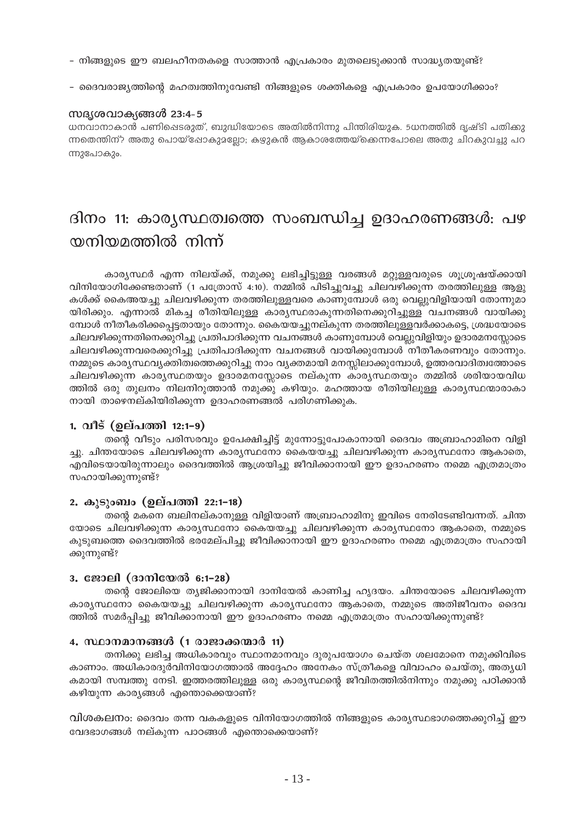- നിങ്ങളുടെ ഈ ബലഹീനതകളെ സാത്താൻ എപ്രകാരം മുതലെടുക്കാൻ സാദ്ധ്യതയുണ്ട്?
- ദൈവരാജ്യത്തിന്റെ മഹത്വത്തിനുവേണ്ടി നിങ്ങളുടെ ശക്തികളെ എപ്രകാരം ഉപയോഗിക്കാം?

### സദൃശവാക്യങ്ങൾ 23:4-5

ധനവാനാകാൻ പണിഷെടരുത്, ബുദ്ധിയോടെ അതിൽനിന്നു പിന്തിരിയുക. 5ധനത്തിൽ ദൃഷ്ടി പതിക്കു ന്നതെന്തിന്? അതു പൊയ്ഷോകുമല്ലോ; കഴുകൻ ആകാശത്തേയ്ക്കെന്നപോലെ അതു ചിറകുവച്ചു പറ ന്നുപോകും.

# ദിനം 11: കാര്യസ്ഥത്വത്തെ സംബന്ധിച്ച ഉദാഹരണങ്ങൾ: പഴ യനിയമത്തിൽ നിന്ന്

കാര്യസ്ഥർ എന്ന നിലയ്ക്ക്, നമുക്കു ലഭിച്ചിട്ടുള്ള വരങ്ങൾ മറ്റുള്ളവരുടെ ശൂശ്രൂഷയ്ക്കായി വിനിയോഗിക്കേണ്ടതാണ് (1 പത്രോസ് 4:10). നമ്മിൽ പിടിച്ചുവച്ചു ചിലവഴിക്കുന്ന തരത്തിലുള്ള ആളു കൾക്ക് കൈഅയച്ചു ചിലവഴിക്കുന്ന തരത്തിലുള്ളവരെ കാണുമ്പോൾ ഒരു വെല്ലുവിളിയായി തോന്നുമാ യിരിക്കും. എന്നാൽ മികച്ച രീതിയിലുള്ള കാര്യസ്ഥരാകുന്നതിനെക്കുറിച്ചുള്ള വചനങ്ങൾ വായിക്കു മ്പോൾ നീതീകരിക്കപ്പെട്ടതായും തോന്നും. കൈയയച്ചുനല്കുന്ന തരത്തിലുള്ളവർക്കാകട്ടെ, ശ്രദ്ധയോടെ ചിലവഴിക്കുന്നതിനെക്കുറിച്ചു പ്രതിപാദിക്കുന്ന വചനങ്ങൾ കാണുമ്പോൾ വെല്ലുവിളിയും ഉദാരമനസ്സോടെ ചിലവഴിക്കുന്നവരെക്കുറിച്ചു പ്രതിപാദിക്കുന്ന വചനങ്ങൾ വായിക്കുമ്പോൾ നീതീകരണവും തോന്നും. നമ്മുടെ കാര്യസ്ഥവ്യക്തിത്വത്തെക്കുറിച്ചു നാം വ്യക്തമായി മനസ്സിലാക്കുമ്പോൾ, ഉത്തരവാദിത്വത്തോടെ ചിലവഴിക്കുന്ന കാര്യസ്ഥതയും ഉദാരമനസ്സോടെ നല്കുന്ന കാര്യസ്ഥതയും തമ്മിൽ ശരിയായവിധ ത്തിൽ ഒരു തുലനം നിലനിറുത്താൻ നമുക്കു കഴിയും. മഹത്തായ രീതിയിലുള്ള കാര്യസ്ഥന്മാരാകാ നായി താഴെനല്കിയിരിക്കുന്ന ഉദാഹരണങ്ങൽ പരിഗണിക്കുക.

### 1. വീട് (ഉല്പത്തി 12:1-9)

തന്റെ വീടും പരിസരവും ഉപേക്ഷിച്ചിട്ട് മുന്നോട്ടുപോകാനായി ദൈവം അബ്രാഹാമിനെ വിളി ച്ചു. ചിന്തയോടെ ചിലവഴിക്കുന്ന കാര്യസ്ഥനോ കൈയയച്ചു ചിലവഴിക്കുന്ന കാര്യസ്ഥനോ ആകാതെ, എവിടെയായിരുന്നാലും ദൈവത്തിൽ ആശ്രയിച്ചു ജീവിക്കാനായി ഈ ഉദാഹരണം നമ്മെ എത്രമാത്രം സഹായിക്കുന്നുണ്ട്?

### 2. കൂടുംബം (ഉല്പത്തി 22:1-18)

തന്റെ മകനെ ബലിനല്കാനുള്ള വിളിയാണ് അബ്രാഹാമിനു ഇവിടെ നേരിടേണ്ടിവന്നത്. ചിന്ത യോടെ ചിലവഴിക്കുന്ന കാര്യസ്ഥനോ കൈയയച്ചു ചിലവഴിക്കുന്ന കാര്യസ്ഥനോ ആകാതെ, നമ്മുടെ കുടുബത്തെ ദൈവത്തിൽ ഭരമേല്പിച്ചു ജീവിക്കാനായി ഈ ഉദാഹരണം നമ്മെ എത്രമാത്രം സഹായി ക്കുന്നുണ്ട്?

### 3. ജോലി (ദാനിയേൽ 6:1-28)

തന്റെ ജോലിയെ തൃജിക്കാനായി ദാനിയേൽ കാണിച്ച ഹൃദയം. ചിന്തയോടെ ചിലവഴിക്കുന്ന കാര്യസ്ഥനോ കൈയയച്ചു ചിലവഴിക്കുന്ന കാര്യസ്ഥനോ ആകാതെ, നമ്മുടെ അതിജീവനം ദൈവ ത്തിൽ സമർപ്പിച്ചു ജീവിക്കാനായി ഈ ഉദാഹരണം നമ്മെ എത്രമാത്രം സഹായിക്കുന്നുണ്ട്?

### 4. സ്ഥാനമാനങ്ങൾ (1 രാജാക്കന്മാർ 11)

തനിക്കു ലഭിച്ച അധികാരവും സ്ഥാനമാനവും ദുരുപയോഗം ചെയ്ത ശലമോനെ നമുക്കിവിടെ കാണാം. അധികാരദുർവിനിയോഗത്താൽ അദ്ദേഹം അനേകം സ്ത്രീകളെ വിവാഹം ചെയ്തു, അത്യധി കമായി സമ്പത്തു നേടി. ഇത്തരത്തിലുള്ള ഒരു കാര്യസ്ഥന്റെ ജീവിതത്തിൽനിന്നും നമുക്കു പഠിക്കാൻ കഴിയുന്ന കാര്യങ്ങൾ എന്തൊക്കെയാണ്?

വിശകലനം: ദൈവം തന്ന വകകളുടെ വിനിയോഗത്തിൽ നിങ്ങളുടെ കാര്യസ്ഥഭാഗത്തെക്കുറിച്ച് ഈ വേദഭാഗങ്ങൾ നല്കുന്ന പാഠങ്ങൾ എന്തൊക്കെയാണ്?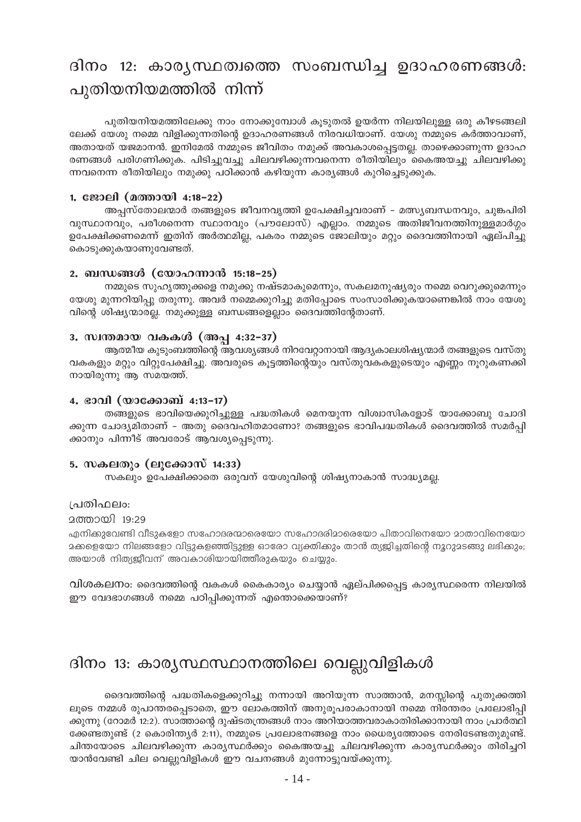# ദിനം 12: കാര്യസ്ഥത്വത്തെ സംബന്ധിച്ച ഉദാഹരണങ്ങൾ: പുതിയനിയമത്തിൽ നിന്ന്

പുതിയനിയമത്തിലേക്കു നാം നോക്കുമ്പോൾ കൂടുതൽ ഉയർന്ന നിലയിലുള്ള ഒരു കീഴടങ്ങലി ലേക്ക് യേശു നമ്മെ വിളിക്കുന്നതിന്റെ ഉദാഹരണങ്ങൾ നിരവധിയാണ്. യേശു നമ്മുടെ കർത്താവാണ്, അതായത് യജമാനൻ. ഇനിമേൽ നമ്മുടെ ജീവിതം നമുക്ക് അവകാശപ്പെട്ടതല്ല. താഴെക്കാണുന്ന ഉദാഹ രണങ്ങൾ പരിഗണിക്കുക. പിടിച്ചുവച്ചു ചിലവഴിക്കുന്നവനെന്ന രീതിയിലും കൈഅയച്ചു ചിലവഴിക്കു ന്നവനെന്ന രീതിയിലും നമുക്കു പഠിക്കാൻ കഴിയുന്ന കാര്യങ്ങൾ കുറിച്ചെടുക്കുക.

### 1. ജോലി (മത്തായി 4:18-22)

അപ്പസ്തോലന്മാർ തങ്ങളുടെ ജീവനവൃത്തി ഉപേക്ഷിച്ചവരാണ് – മത്സ്യബന്ധനവും, ചുങ്കപിരി വുസ്ഥാനവും, പരീശനെന്ന സ്ഥാനവും (പൗലോസ്) എല്ലാം. നമ്മുടെ അതിജീവനത്തിനുള്ളമാർഗ്ഗം ഉപേക്ഷിക്കണമെന്ന് ഇതിന് അർത്ഥമില്ല, പകരം നമ്മുടെ ജോലിയും മറ്റും ദൈവത്തിനായി ഏല്പിച്ചു കൊടുക്കുകയാണുവേണ്ടത്.

### 2. ബന്ധങ്ങൾ (യോഹന്നാൻ 15:18–25)

നമ്മുടെ സുഹൃത്തുക്കളെ നമുക്കു നഷ്ടമാകുമെന്നും, സകലമനുഷൃരും നമ്മെ വെറുക്കുമെന്നും യേശു മുന്നറിയിപ്പു തരുന്നു. അവർ നമ്മെക്കുറിച്ചു മതിപ്പോടെ സംസാരിക്കുകയാണെങ്കിൽ നാം യേശു വിന്റെ ശിഷ്യന്മാരല്ല. നമുക്കുള്ള ബന്ധങ്ങളെല്ലാം ദൈവത്തിന്റേതാണ്.

### 3. സ്വന്തമായ വകകൾ (അപ്പ 4:32-37)

ആത്മീയ കുടുംബത്തിന്റെ ആവശ്യങ്ങൾ നിറവേറ്റാനായി ആദ്യകാലശിഷ്യന്മാർ തങ്ങളുടെ വസ്തു വകകളും മറ്റും വിറ്റുപേക്ഷിച്ചു. അവരുടെ കൂട്ടത്തിന്റെയും വസ്തുവകകളുടെയും എണ്ണം നൂറുകണക്കി നായിരുന്നു ആ സമയത്ത്.

### 4. ഭാവി (യാക്കോബ് 4:13-17)

തങ്ങളുടെ ഭാവിയെക്കുറിച്ചുള്ള പദ്ധതികൾ മെനയുന്ന വിശ്വാസികളോട് യാക്കോബു ചോദി ക്കുന്ന ചോദ്യമിതാണ് – അതു ദൈവഹിതമാണോ? തങ്ങളുടെ ഭാവിപദ്ധതികൾ ദൈവത്തിൽ സമർപ്പി ക്കാനും പിന്നീട് അവരോട് ആവശ്യപ്പെടുന്നു.

### <u>5. സകലതും (ലൂക്കോസ് 14:33)</u>

സകലും ഉപേക്ഷിക്കാതെ ഒരുവന് യേശുവിന്റെ ശിഷ്യനാകാൻ സാദ്ധ്യമല്ല.

### ⊦പതിഫലം։

2ത്തായി 19:29

എനിക്കുവേണ്ടി വീടുകളോ സഹോദരന്മാരെയോ സഹോദരിമാരെയോ പിതാവിനെയോ മാതാവിനെയോ മക്കളെയോ നിലങ്ങളോ വിട്ടുകളഞ്ഞിട്ടുള്ള ഓരോ വ്യക്തിക്കും താൻ ത്യജിച്ചതിന്റെ നൂറുമടങ്ങു ലഭിക്കും; അയാൾ നിത്യജീവന് അവകാശിയായിത്തീരുകയും ചെയ്യും.

വിശകലനം: ദൈവത്തിന്റെ വകകൾ കൈകാര്യം ചെയ്യാൻ ഏല്പിക്കപ്പെട്ട കാര്യസ്ഥരെന്ന നിലയിൽ ഈ വേദഭാഗങ്ങൾ നമ്മെ പഠിപ്പിക്കുന്നത് എന്തൊക്കെയാണ്?

# ദിനം 13: കാര്യസ്ഥസ്ഥാനത്തിലെ വെല്ലുവിളികൾ

ദൈവത്തിന്റെ പദ്ധതികളെക്കുറിച്ചു നന്നായി അറിയുന്ന സാത്താൻ, മനസ്സിന്റെ പുതുക്കത്തി ലൂടെ നമ്മൾ രുപാന്തരപ്പെടാതെ, ഈ ലോകത്തിന് അനുരൂപരാകാനായി നമ്മെ നിരന്തരം പ്രലോഭിപ്പി ക്കുന്നു (റോമർ 12:2). സാത്താന്റെ ദുഷ്ടതന്ത്രങ്ങൾ നാം അറിയാത്തവരാകാതിരിക്കാനായി നാം പ്രാർത്ഥി ക്കേണ്ടതുണ്ട് (2 കൊരിന്ത്യർ 2:11), നമ്മുടെ പ്രലോഭനങ്ങളെ നാം ധൈര്യത്തോടെ നേരിടേണ്ടതുമുണ്ട്. ചിന്തയോടെ ചിലവഴിക്കുന്ന കാര്യസ്ഥർക്കും കൈഅയച്ചു ചിലവഴിക്കുന്ന കാര്യസ്ഥർക്കും തിരിച്ചറി യാൻവേണ്ടി ചില വെല്ലുവിളികൾ ഈ വചനങ്ങൾ മുന്നോട്ടുവയ്ക്കുന്നു.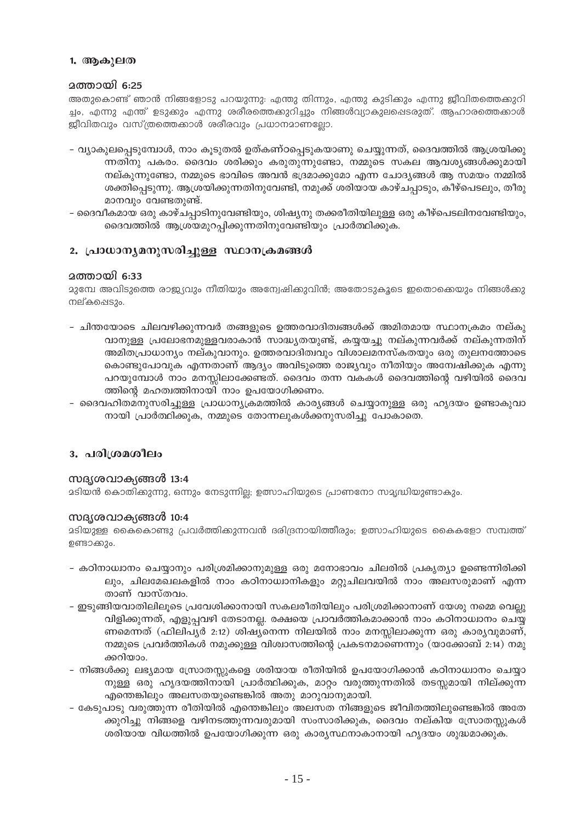### <u>1. ആകൂലത</u>

### **ഛതായി 6:25**

അതുകൊണ്ട് ഞാൻ നിങ്ങളോടു പറയുന്നു: എന്തു തിന്നും, എന്തു കുടിക്കും എന്നു ജീവിതത്തെക്കുറി ച്ചം, എന്നു എന്ത് ഉടുക്കും എന്നു ശരീരത്തെക്കുറിച്ചും നിങ്ങൾവ്യാകുലപ്പെടരുത്. ആഹാരത്തെക്കാൾ ജീവിതവും വസ്ത്രത്തെക്കാൾ ശരീരവും പ്രധാനമാണല്ലോ.

- വ്യാകുലപ്പെടുമ്പോൾ, നാം കൂടുതൽ ഉത്കണ്ഠപ്പെടുകയാണു ചെയ്യുന്നത്, ദൈവത്തിൽ ആശ്രയിക്കു ന്നതിനു പകരം. ദൈവം ശരിക്കും കരുതുന്നുണ്ടോ, നമ്മുടെ സകല ആവശ്യങ്ങൾക്കുമായി നല്കുന്നുണ്ടോ, നമ്മുടെ ഭാവിടെ അവൻ ഭദ്രമാക്കുമോ എന്ന ചോദ്യങ്ങൾ ആ സമയം നമ്മിൽ ശക്തിപ്പെടുന്നു. ആശ്രയിക്കുന്നതിനുവേണ്ടി, നമുക്ക് ശരിയായ കാഴ്ചപ്പാടും, കീഴ്പെടലും, തീരു മാനവും വേണ്ടതുണ്ട്.
- ദൈവീകമായ ഒരു കാഴ്ചപ്പാടിനുവേണ്ടിയും, ശിഷ്യനു തക്കരീതിയിലുള്ള ഒരു കീഴ്പെടലിനവേണ്ടിയും, ദൈവത്തിൽ ആശ്രയമുറപ്പിക്കുന്നതിനുവേണ്ടിയും പ്രാർത്ഥിക്കുക.

### 2. പ്രാധാന്യമനുസരിച്ചുള്ള സ്ഥാനക്രമങ്ങൾ

### **2** ത്തായി 6:33

മുമ്പേ അവിടുത്തെ രാജ്യവും നീതിയും അന്വേഷിക്കുവിൻ; അതോടുകൂടെ ഇതൊക്കെയും നിങ്ങൾക്കു നല്കപ്പെടും.

- ചിന്തയോടെ ചിലവഴിക്കുന്നവർ തങ്ങളുടെ ഉത്തരവാദിത്വങ്ങൾക്ക് അമിതമായ സ്ഥാനക്രമം നല്കു വാനുള്ള പ്രലോഭനമുള്ളവരാകാൻ സാദ്ധ്യതയുണ്ട്, കയ്യയച്ചു നല്കുന്നവർക്ക് നല്കുന്നതിന് അമിതപ്രാധാന്യം നല്കുവാനും. ഉത്തരവാദിത്വവും വിശാലമനസ്കതയും ഒരു തുലനത്തോടെ കൊണ്ടുപോവുക എന്നതാണ് ആദ്യം അവിടുത്തെ രാജ്യവും നീതിയും അമ്പേഷിക്കുക എന്നു പറയുമ്പോൾ നാം മനസ്സിലാക്കേണ്ടത്. ദൈവം തന്ന വകകൾ ദൈവത്തിന്റെ വഴിയിൽ ദൈവ ത്തിന്റെ മഹത്വത്തിനായി നാം ഉപയോഗിക്കണം.
- ദൈവഹിതമനുസരിച്ചുള്ള പ്രാധാന്യക്രമത്തിൽ കാര്യങ്ങൾ ചെയ്യാനുള്ള ഒരു ഹൃദയം ഉണ്ടാകുവാ നായി പ്രാർത്ഥിക്കുക, നമ്മുടെ തോന്നലുകൾക്കനുസരിച്ചു പോകാതെ.

### 3. പരിശ്രമശീലം

### സദൃശവാക്യങ്ങൾ 13:4

മടിയൻ കൊതിക്കുന്നു, ഒന്നും നേടുന്നില്ല; ഉത്സാഹിയുടെ പ്രാണനോ സമൃദ്ധിയുണ്ടാകും.

### സദൃശവാക്യങ്ങൾ  $10:4$

ദടിയുള്ള കൈകൊണ്ടു പ്രവർത്തിക്കുന്നവൻ ദരിദ്രനായിത്തീരും; ഉത്സാഹിയുടെ കൈകളോ സമ്പത്ത് ഉണ്ടാക്കും.

- കഠിനാധ്വാനം ചെയ്യാനും പരിശ്രമിക്കാനുമുള്ള ഒരു മനോഭാവം ചിലരിൽ പ്രകൃത്യാ ഉണ്ടെന്നിരിക്കി ലും, ചിലമേഖലകളിൽ നാം കഠിനാധ്വാനികളും മറ്റുചിലവയിൽ നാം അലസരുമാണ് എന്ന താണ് വാസ്തവം.
- ഇടുങ്ങിയവാതിലിലൂടെ പ്രവേശിക്കാനായി സകലരീതിയിലും പരിശ്രമിക്കാനാണ് യേശു നമ്മെ വെല്ലു വിളിക്കുന്നത്, എളുപ്പവഴി തേടാനല്ല. രക്ഷയെ പ്രാവർത്തികമാക്കാൻ നാം കഠിനാധ്വാനം ചെയ്യ ണമെന്നത് (ഫിലിപൃർ 2:12) ശിഷ്യനെന്ന നിലയിൽ നാം മനസ്സിലാക്കുന്ന ഒരു കാര്യവുമാണ്, നമ്മുടെ പ്രവർത്തികൾ നമുക്കുള്ള വിശ്വാസത്തിന്റെ പ്രകടനമാണെന്നും (യാക്കോബ് 2:14) നമു ക്കറിയാം.
- നിങ്ങൾക്കു ലഭ്യമായ സ്രോതസ്സുകളെ ശരിയായ രീതിയിൽ ഉപയോഗിക്കാൻ കഠിനാധ്വാനം ചെയ്യാ നുള്ള ഒരു ഹൃദയത്തിനായി പ്രാർത്ഥിക്കുക, മാറ്റം വരുത്തുന്നതിൽ തടസ്സമായി നില്ക്കുന്ന എന്തെങ്കിലും അലസതയുണ്ടെങ്കിൽ അതു മാറുവാനുമായി.
- കേടുപാടു വരുത്തുന്ന രീതിയിൽ എന്തെങ്കിലും അലസത നിങ്ങളുടെ ജീവിതത്തിലുണ്ടെങ്കിൽ അതേ ക്കുറിച്ചു നിങ്ങളെ വഴിനടത്തുന്നവരുമായി സംസാരിക്കുക, ദൈവം നല്കിയ സ്രോതസ്സുകൾ ശരിയായ വിധത്തിൽ ഉപയോഗിക്കുന്ന ഒരു കാര്യസ്ഥനാകാനായി ഹൃദയം ശുദ്ധമാക്കുക.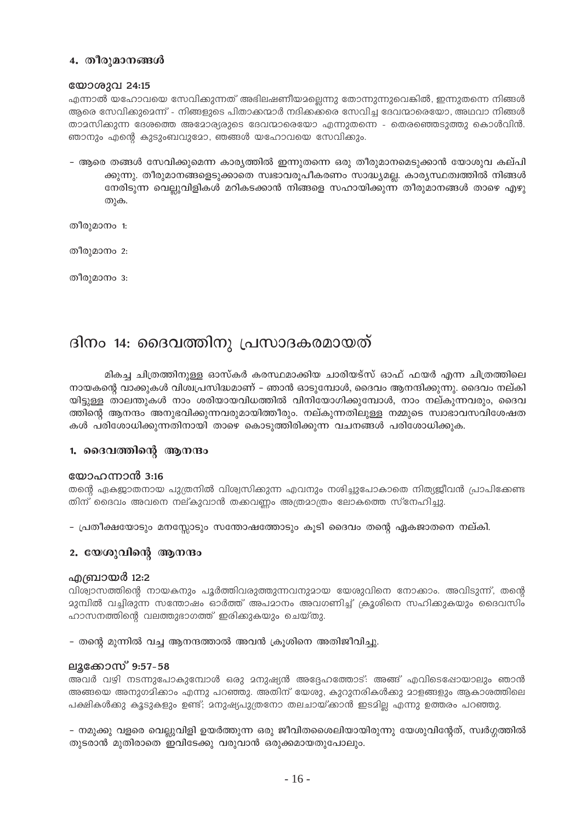### 4. തീരുമാനങ്ങൾ

### യോശുവ 24:15

എന്നാൽ യഹോവയെ സേവികുന്നത് അഭിലഷണീയമല്ലെന്നു തോന്നുന്നുവെങ്കിൽ, ഇന്നുതന്നെ നിങ്ങൾ ആരെ സേവിക്കുമെന്ന് - നിങ്ങളുടെ പിതാക്കന്മാർ നദിക്കക്കര സേവിച്ച ദേവന്മാരെയോ, അഥവാ നിങ്ങൾ താമസിക്കുന്ന ദേശത്തെ അമോര്യരുടെ ദേവന്മാരെയോ എന്നുതന്നെ - തെരഞ്ഞെടുത്തു കൊൾവിൻ. ഞാനും എന്റെ കുടുംബവുമോ, ഞങ്ങൾ യഹോവയെ സേവിക്കും.

– ആരെ തങ്ങൾ സേവിക്കുമെന്ന കാര്യത്തിൽ ഇന്നുതന്നെ ഒരു തീരുമാനമെടുക്കാൻ യോശുവ കല്പി ക്കുന്നു. തീരുമാനങ്ങളെടുക്കാതെ സ്വഭാവരൂപീകരണം സാദ്ധ്യമല്ല. കാര്യസ്ഥത്വത്തിൽ നിങ്ങൾ നേരിടുന്ന വെല്ലുവിളികൾ മറികടക്കാൻ നിങ്ങളെ സഹായിക്കുന്ന തീരുമാനങ്ങൾ താഴെ എഴു തുക.

തീരുമാനം 1:

തീരുമാനം 2:

തീരുമാനം 3:

# ദിനം 14: ദൈവത്തിനു പ്രസാദകരമായത്

മികച്ച ചിത്രത്തിനുള്ള ഓസ്കർ കരസ്ഥമാക്കിയ ചാരിയട്സ് ഓഫ് ഫയർ എന്ന ചിത്രത്തിലെ നായകന്റെ വാക്കുകൾ വിശ്വപ്രസിദ്ധമാണ് – ഞാൻ ഓടുമ്പോൾ, ദൈവം ആനന്ദിക്കുന്നു. ദൈവം നല്കി യിട്ടുള്ള താലന്തുകൾ നാം ശരിയായവിധത്തിൽ വിനിയോഗിക്കുമ്പോൾ, നാം നല്കുന്നവരും, ദൈവ ത്തിന്റെ ആനന്ദം അനുഭവിക്കുന്നവരുമായിത്തീരും. നല്കുന്നതിലുള്ള നമ്മുടെ സ്വാഭാവസവിശേഷത കൾ പരിശോധിക്കുന്നതിനായി താഴെ കൊടുത്തിരിക്കുന്ന വചനങ്ങൾ പരിശോധിക്കുക.

### 1. ദൈവത്തിന്റെ ആനന്ദം

### യോഹന്നാൻ 3:16

തന്റെ ഏകജ്യാതനായ പുത്രനിൽ വിശ്വസിക്കുന്ന എവനും നശിച്ചുപോകാതെ നിത്യജീവൻ പ്രാപിക്കേണ്ട തിന് ദൈവം അവനെ നല്കുവാൻ തക്കവണ്ണം അത്രമാത്രം ലോകത്തെ സ്നേഹിച്ചു.

– പ്രതീക്ഷയോടും മനസ്സോടും സന്തോഷത്തോടും കൂടി ദൈവം തന്റെ ഏകജാതനെ നല്കി.

### 2. യേശുവിന്റെ ആനന്ദം

### .എബ്രായർ 12:2

വിശ്വാസത്തിന്റെ നായകനും പൂർത്തിവരുത്തുന്നവനുമായ യേശുവിനെ നോക്കാം. അവിടുന്ന്, തന്റെ മുമ്പിൽ വച്ചിരുന്ന സന്തോഷം ഓർത്ത് അപമാനം അവഗണിച്ച് ക്രൂശിനെ സഹിക്കുകയും ദൈവസിം ഹാസനത്തിന്റെ വലത്തുഭാഗത്ത് ഇരിക്കുകയും ചെയ്തു.

- തന്റെ മുന്നിൽ വച്ച ആനന്ദത്താൽ അവൻ ക്രൂശിനെ അതിജീവിച്ചു.

### ലൂക്കോസ് 9:57-58

അവർ വഴി നടന്നുപോകുമ്പോൾ ഒരു മനുഷ്യൻ അദ്ദേഹത്തോട്: അങ്ങ് എവിടെപ്പോയാലും ഞാൻ അങ്ങയെ അനുഗമിക്കാം എന്നു പറഞ്ഞു. അതിന് യേശു, കുറുനരികൾക്കു മാളങ്ങളും ആകാശത്തിലെ പക്ഷികൾക്കു കൂടുകളും ഉണ്ട്; മനുഷ്യപുത്രനോ തലചായ്ക്കാൻ ഇടമില്ല എന്നു ഉത്തരം പറഞ്ഞു.

– നമുക്കു വളരെ വെല്ലുവിളി ഉയർത്തുന്ന ഒരു ജീവിതശൈലിയായിരുന്നു യേശുവിന്റേത്, സ്വർഗ്ഗത്തിൽ തുടരാൻ മുതിരാതെ ഇവിടേക്കു വരുവാൻ ഒരുക്കമായതുപോലും.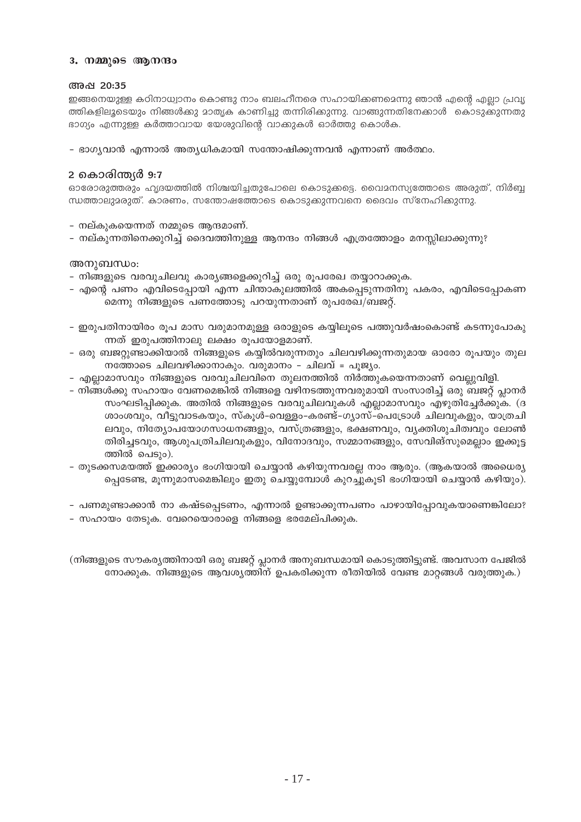### 3. നമ്മുടെ ആനന്ദം

### അഷ 20:35

ഇങ്ങനെയുള്ള കഠിനാധ്വാനം കൊണ്ടു നാം ബലഹീനരെ സഹായിക്കണമെന്നു ഞാൻ എന്റെ എല്ലാ പ്രവൃ ത്തികളിലൂടെയും നിങ്ങൾക്കു മാതൃക കാണിച്ചു തന്നിരിക്കുന്നു. വാങ്ങുന്നതിനേക്കാൾ കൊടുക്കുന്നതു ഭാഗ്യം എന്നുള്ള കർത്താവായ യേശുവിന്റെ വാക്കുകൾ ഓർത്തു കൊൾക.

– ഭാഗ്യവാൻ എന്നാൽ അത്യധികമായി സന്തോഷിക്കുന്നവൻ എന്നാണ് അർത്ഥം.

### 2 കൊരിന്ത്യർ 9:7

ഓരോരുത്തരും ഹൃദയത്തിൽ നിശ്ചയിച്ചതുപോലെ കൊടുക്കട്ടെ. വൈമനസ്യത്തോടെ അരുത്, നിർബ്ബ ന്ധത്താലുമരുത്. കാരണം, സന്തോഷത്തോടെ കൊടുക്കുന്നവനെ ദൈവം സ്നേഹിക്കുന്നു.

- നല്കുകയെന്നത് നമ്മുടെ ആന്ദമാണ്.
- നല്കുന്നതിനെക്കുറിച്ച് ദൈവത്തിനുള്ള ആനന്ദം നിങ്ങൾ എത്രത്തോളം മനസ്സിലാക്കുന്നു?

### അനുബന്ധം:

- നിങ്ങളുടെ വരവുചിലവു കാര്യങ്ങളെക്കുറിച്ച് ഒരു രുപരേഖ തയ്യാറാക്കുക.
- എന്റെ പണം എവിടെപ്പോയി എന്ന ചിന്താകുലത്തിൽ അകപ്പെടുന്നതിനു പകരം, എവിടെപ്പോകണ മെന്നു നിങ്ങളുടെ പണത്തോടു പറയുന്നതാണ് രുപരേഖ/ബജറ്റ്.
- ഇരുപതിനായിരം രൂപ മാസ വരുമാനമുള്ള ഒരാളുടെ കയ്യിലുടെ പത്തുവർഷംകൊണ്ട് കടന്നുപോകു ന്നത് ഇരുപത്തിനാലു ലക്ഷം രൂപയോളമാണ്.
- ഒരു ബജറ്റുണ്ടാക്കിയാൽ നിങ്ങളുടെ കയ്യിൽവരുന്നതും ചിലവഴിക്കുന്നതുമായ ഓരോ രൂപയും തുല നത്തോടെ ചിലവഴിക്കാനാകും. വരുമാനം - ചിലവ് = പൂജ്യം.
- എല്ലാമാസവും നിങ്ങളുടെ വരവുചിലവിനെ തുലനത്തിൽ നിർത്തുകയെന്നതാണ് വെല്ലുവിളി.
- നിങ്ങൾക്കു സഹായം വേണമെങ്കിൽ നിങ്ങളെ വഴിനടത്തുന്നവരുമായി സംസാരിച്ച് ഒരു ബജറ്റ് പ്ലാനർ സംഘടിപ്പിക്കുക. അതിൽ നിങ്ങളുടെ വരവുചിലവുകൾ എല്ലാമാസവും എഴുതിച്ചേർക്കുക. (ദ ശാംശവും, വീട്ടുവാടകയും, സ്കൂൾ-വെള്ളം-കരണ്ട്-ഗ്യാസ്-പെട്രോൾ ചിലവുകളും, യാത്രചി ലവും, നിത്യോപയോഗസാധനങ്ങളും, വസ്ത്രങ്ങളും, ഭക്ഷണവും, വ്യക്തിശുചിത്വവും ലോൺ തിരിച്ചടവും, ആശുപത്രിചിലവുകളും, വിനോദവും, സമ്മാനങ്ങളും, സേവിങ്സുമെല്ലാം ഇക്കൂട്ട ത്തിൽ പെടും).
- തുടക്കസമയത്ത് ഇക്കാര്യം ഭംഗിയായി ചെയ്യാൻ കഴിയുന്നവരല്ല നാം ആരും. (ആകയാൽ അധൈര്യ പ്പെടേണ്ട, മൂന്നുമാസമെങ്കിലും ഇതു ചെയ്യുമ്പോൾ കുറച്ചുകൂടി ഭംഗിയായി ചെയ്യാൻ കഴിയും).
- പണമുണ്ടാക്കാൻ നാ കഷ്ടപ്പെടണം, എന്നാൽ ഉണ്ടാക്കുന്നപണം പാഴായിപ്പോവുകയാണെങ്കിലോ?
- സഹായം തേടുക. വേറെയൊരാളെ നിങ്ങളെ ഭരമേല്പിക്കുക.

(നിങ്ങളുടെ സൗകര്യത്തിനായി ഒരു ബജറ്റ് പ്ലാനർ അനുബന്ധമായി കൊടുത്തിട്ടുണ്ട്. അവസാന പേജിൽ നോക്കുക. നിങ്ങളുടെ ആവശ്യത്തിന് ഉപകരിക്കുന്ന രീതിയിൽ വേണ്ട മാറ്റങ്ങൾ വരുത്തുക.)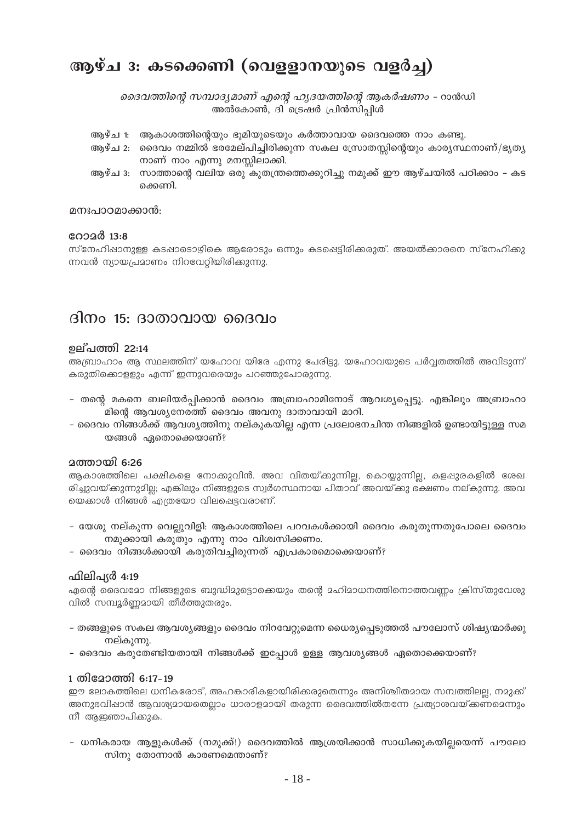# ആഴ്ച 3: കടക്കെണി (വെളളാനയുടെ വളർച്ച)

ദൈവത്തിന്റെ സമ്പാദ്യമാണ് എന്റെ ഹൃദയത്തിന്റെ ആകർഷണം - റാൻഡി അൽകോൺ, ദി ട്രെഷർ പ്രിൻസിപ്പിൾ

- ആഴ്ച 1: ആകാശത്തിന്റെയും ഭൂമിയുടെയും കർത്താവായ ദൈവത്തെ നാം കണ്ടു.
- ആഴ്ച 2: ദൈവം നമ്മിൽ ഭരമേല്പിച്ചിരിക്കുന്ന സകല സ്രോതസ്സിന്റെയും കാര്യസ്ഥനാണ്/ഭൃത്യ നാണ് നാം എന്നു മനസ്സിലാക്കി.
- ആഴ്ച 3: സാത്താന്റെ വലിയ ഒരു കുതന്ത്രത്തെക്കുറിച്ചു നമുക്ക് ഈ ആഴ്ചയിൽ പഠിക്കാം കട ക്കെണി

### മനഃപാഠമാക്കാൻ:

### റോ $\alpha$ ർ 13:8

സ്നേഹിഷാനുള്ള കടഷാടൊഴികെ ആരോടും ഒന്നും കടപ്പെട്ടിരിക്കരുത്. അയൽക്കാരനെ സ്നേഹിക്കു ന്നവൻ ന്യായപ്രമാണം നിറവേറ്റിയിരിക്കുന്നു.

### ദിനം 15: ദാതാവായ ദൈവം

### **ഉല്**പത്തി 22:14

അബ്രാഹാം ആ സ്ഥലത്തിന് യഹോവ യിരേ എന്നു പേരിട്ടു. യഹോവയുടെ പർവ്വതത്തിൽ അവിടുന്ന് കരുതിക്കൊള്ളും എന്ന് ഇന്നുവരെയും പറഞ്ഞുപോരുന്നു.

- തന്റെ മകനെ ബലിയർപ്പിക്കാൻ ദൈവം അബ്രാഹാമിനോട് ആവശ്യപ്പെട്ടു. എങ്കിലും അബ്രാഹാ മിന്റെ ആവശ്യനേരത്ത് ദൈവം അവനു ദാതാവായി മാറി.
- ദൈവം നിങ്ങൾക്ക് ആവശ്യത്തിനു നല്കുകയില്ല എന്ന പ്രലോഭനചിന്ത നിങ്ങളിൽ ഉണ്ടായിട്ടുള്ള സമ യങ്ങൾ ഏതൊക്കെയാണ്?

### **ഛതായി 6:26**

ആകാശത്തിലെ പക്ഷികളെ നോക്കുവിൻ. അവ വിതയ്ക്കുന്നില്ല, കൊയ്യുന്നില്ല, കളപ്പുരകളിൽ ശേഖ രിച്ചുവയ്ക്കുന്നുദില്യ എങ്കിലും നിങ്ങളുടെ സ്വർഗസ്ഥനായ പിതാവ് അവയ്ക്കു ഭക്ഷണം നല്കുന്നു. അവ യെക്കാൾ നിങ്ങൾ എത്രയോ വിലപ്പെട്ടവരാണ്.

- യേശു നല്കുന്ന വെല്ലുവിളി: ആകാശത്തിലെ പറവകൾക്കായി ദൈവം കരുതുന്നതുപോലെ ദൈവം നമുക്കായി കരുതും എന്നു നാം വിശ്വസിക്കണം.
- ദൈവം നിങ്ങൾക്കായി കരുതിവച്ചിരുന്നത് എപ്രകാരമൊക്കെയാണ്?

### ഫിലിപ്യർ 4:19

എന്റെ ദൈവമോ നിങ്ങളുടെ ബുദ്ധിമുട്ടൊക്കെയും തന്റെ മഹിമാധനത്തിനൊത്തവണ്ണം ക്രിസ്തുവേശു വിൽ സമ്പൂർണമായി തീർത്തുതരും.

- തങ്ങളുടെ സകല ആവശ്യങ്ങളും ദൈവം നിറവേറ്റുമെന്ന ധൈര്യപ്പെടുത്തൽ പൗലോസ് ശിഷ്യന്മാർക്കു നല്കുന്നു.
- ദൈവം കരുതേണ്ടിയതായി നിങ്ങൾക്ക് ഇപ്പോൾ ഉള്ള ആവശ്യങ്ങൾ ഏതൊക്കെയാണ്?

### 1 തിമോത്തി 6:17-19

ഈ ലോകത്തിലെ ധനികരോട്, അഹങ്കാരികളായിരിക്കരുതെന്നും അനിശ്ചിതമായ സമ്പത്തിലല്ല, നമുക്ക് അനുഭവിഷാൻ ആവശ്യമായതെല്ലാം ധാരാളമായി തരുന്ന ദൈവത്തിൽതന്നേ പ്രത്യാശവയ്ക്കണമെന്നും നീ ആഇഞാപിക്കുക.

- ധനികരായ ആളുകൾക്ക് (നമുക്ക്!) ദൈവത്തിൽ ആശ്രയിക്കാൻ സാധിക്കുകയില്ലയെന്ന് പൗലോ സിനു തോന്നാൻ കാരണമെന്താണ്?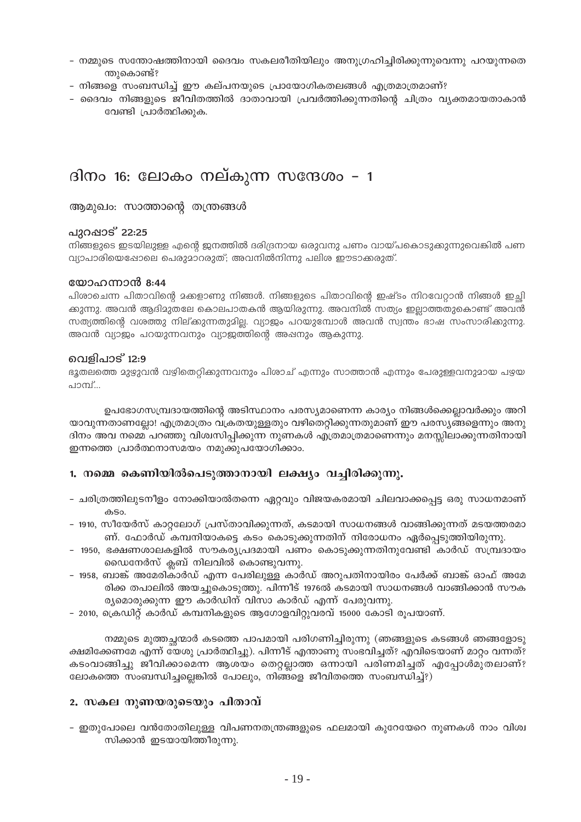- നമ്മുടെ സന്തോഷത്തിനായി ദൈവം സകലരീതിയിലും അനുഗ്രഹിച്ചിരിക്കുന്നുവെന്നു പറയുന്നതെ ന്തുകൊണ്ട്?
- നിങ്ങളെ സംബന്ധിച്ച് ഈ കല്പനയുടെ പ്രായോഗികതലങ്ങൾ എത്രമാത്രമാണ്?
- ദൈവം നിങ്ങളുടെ ജീവിതത്തിൽ ദാതാവായി പ്രവർത്തിക്കുന്നതിന്റെ ചിത്രം വ്യക്തമായതാകാൻ വേണ്ടി പ്രാർത്ഥിക്കുക.

### ദിനം 16: ലോകം നല്കുന്ന സന്ദേശം – 1

ആമുഖം: സാത്താന്റെ തന്ത്രങ്ങൾ

### പുറഷാട് 22:25

നിങ്ങളുടെ ഇടയിലുള്ള എന്റെ ജനത്തിൽ ദരിദ്രനായ ഒരുവനു പണം വായ്പകൊടുക്കുന്നുവെങ്കിൽ പണ വ്യാപാരിയെഷോലെ പെരുമാറരുത്; അവനിൽനിന്നു പലിശ ഈടാക്കരുത്.

### യോഹന്നാൻ 8:44

പിശാചെന്ന പിതാവിന്റെ മക്കളാണു നിങ്ങൾ. നിങ്ങളുടെ പിതാവിന്റെ ഇഷ്ടം നിറവേറ്റാൻ നിങ്ങൾ ഇച്ഛി ക്കുന്നു. അവൻ ആദിമുതലേ കൊലപാതകൻ ആയിരുന്നു. അവനിൽ സത്യം ഇല്ലാത്തതുകൊണ്ട് അവൻ സത്യത്തിന്റെ വശത്തു നില്ക്കുന്നതുമില്ല. വ്യാജം പറയുമ്പോൾ അവൻ സ്വന്തം ഭാഷ സംസാരിക്കുന്നു. അവൻ വ്യാജം പറയുന്നവനും വ്യാജത്തിന്റെ അഷനും ആകുന്നു.

### വെളിപാട് 12:9

ഭൂതലത്തെ മുഴുവൻ വഴിതെറ്റിക്കുന്നവനും പിശാച് എന്നും സാത്താൻ എന്നും പേരുള്ളവനുമായ പഴയ പാമ്പ്...

ഉപഭോഗസമ്പ്രദായത്തിന്റെ അടിസ്ഥാനം പരസ്യമാണെന്ന കാര്യം നിങ്ങൾക്കെല്ലാവർക്കും അറി യാവുന്നതാണല്ലോ! എത്രമാത്രം വക്രതയുള്ളതും വഴിതെറ്റിക്കുന്നതുമാണ് ഈ പരസ്യങ്ങളെന്നും അനു ദിനം അവ നമ്മെ പറഞ്ഞു വിശ്വസിപ്പിക്കുന്ന നുണകൾ എത്രമാത്രമാണെന്നും മനസ്സിലാക്കുന്നതിനായി ഇന്നത്തെ പ്രാർത്ഥനാസമയം നമുക്കുപയോഗിക്കാം.

### 1. നമ്മെ കെണിയിൽപെടുത്താനായി ലക്ഷ്യം വച്ചിരിക്കുന്നു.

- ചരിത്രത്തിലുടനീളം നോക്കിയാൽതന്നെ ഏറ്റവും വിജയകരമായി ചിലവാക്കപ്പെട്ട ഒരു സാധനമാണ് കടം.
- 1910, സീയേർസ് കാറ്റലോഗ് പ്രസ്താവിക്കുന്നത്, കടമായി സാധനങ്ങൾ വാങ്ങിക്കുന്നത് മടയത്തരമാ ണ്. ഫോർഡ് കമ്പനിയാകട്ടെ കടം കൊടുക്കുന്നതിന് നിരോധനം ഏർപ്പെടുത്തിയിരുന്നു.
- 1950, ഭക്ഷണശാലകളിൽ സൗകര്യപ്രദമായി പണം കൊടുക്കുന്നതിനുവേണ്ടി കാർഡ് സമ്പ്രദായം ഡൈനേർസ് ക്ലബ് നിലവിൽ കൊണ്ടുവന്നു.
- 1958, ബാങ്ക് അമേരികാർഡ് എന്ന പേരിലുള്ള കാർഡ് അറുപതിനായിരം പേർക്ക് ബാങ്ക് ഓഫ് അമേ രിക്ക തപാലിൽ അയച്ചുകൊടുത്തു. പിന്നീട് 1976ൽ കടമായി സാധനങ്ങൾ വാങ്ങിക്കാൻ സൗക ര്യമൊരുക്കുന്ന ഈ കാർഡിന് വിസാ കാർഡ് എന്ന് പേരുവന്നു.
- 2010, ക്രെഡിറ്റ് കാർഡ് കമ്പനികളുടെ ആഗോളവിറ്റുവരവ് 15000 കോടി രൂപയാണ്.

നമ്മുടെ മുത്തച്ഛന്മാർ കടത്തെ പാപമായി പരിഗണിച്ചിരുന്നു (ഞങ്ങളുടെ കടങ്ങൾ ഞങ്ങളോടു ക്ഷമിക്കേണമേ എന്ന് യേശു പ്രാർത്ഥിച്ചു). പിന്നീട് എന്താണു സംഭവിച്ചത്? എവിടെയാണ് മാറ്റം വന്നത്? കടംവാങ്ങിച്ചു ജീവിക്കാമെന്ന ആശയം തെറ്റല്ലാത്ത ഒന്നായി പരിണമിച്ചത് എപ്പോൾമുതലാണ്? ലോകത്തെ സംബന്ധിച്ചല്ലെങ്കിൽ പോലും, നിങ്ങളെ ജീവിതത്തെ സംബന്ധിച്ച്?)

### 2. സകല നുണയരുടെയും പിതാവ്

– ഇതുപോലെ വൻതോതിലുള്ള വിപണനതന്ത്രങ്ങളുടെ ഫലമായി കുറേയേറെ നുണകൾ നാം വിശ്വ സിക്കാൻ ഇടയായിത്തീരുന്നു.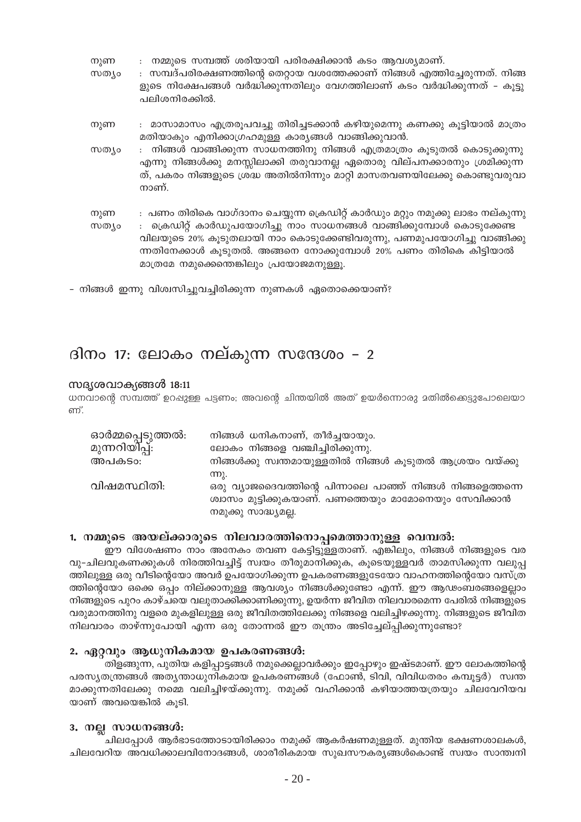| നുണ |  |  | നമ്മുടെ സമ്പത്ത് ശരിയായി പരിരക്ഷിക്കാൻ കടം ആവശ്യമാണ്. |  |
|-----|--|--|-------------------------------------------------------|--|
|     |  |  |                                                       |  |

- : സമ്പദ്പരിരക്ഷണത്തിന്റെ തെറ്റായ വശത്തേക്കാണ് നിങ്ങൾ എത്തിച്ചേരുന്നത്. നിങ്ങ സത്യം ളുടെ നിക്ഷേപങ്ങൾ വർദ്ധിക്കുന്നതിലും വേഗത്തിലാണ് കടം വർദ്ധിക്കുന്നത് – കൂട്ടു പലിശനിരക്കിൽ.
- : മാസാമാസം എത്രരുപവച്ചു തിരിച്ചടക്കാൻ കഴിയുമെന്നു കണക്കു കുട്ടിയാൽ മാത്രം നുണ മതിയാകും എനിക്കാഗ്രഹമുള്ള കാര്യങ്ങൾ വാങ്ങിക്കുവാൻ.
- : നിങ്ങൾ വാങ്ങിക്കുന്ന സാധനത്തിനു നിങ്ങൾ എത്രമാത്രം കൂടുതൽ കൊടുക്കുന്നു സത്യം എന്നു നിങ്ങൾക്കു മനസ്സിലാക്കി തരുവാനല്ല ഏതൊരു വില്പനക്കാരനും ശ്രമിക്കുന്ന ത്, പകരം നിങ്ങളുടെ ശ്രദ്ധ അതിൽനിന്നും മാറ്റി മാസതവണയിലേക്കു കൊണ്ടുവരുവാ നാണ്.
- നുണ : പണം തിരികെ വാഗ്ദാനം ചെയ്യുന്ന ക്രെഡിറ്റ് കാർഡും മറ്റും നമുക്കു ലാഭം നല്കുന്നു : ക്രെഡിറ്റ് കാർഡുപയോഗിച്ചു നാം സാധനങ്ങൾ വാങ്ങിക്കുമ്പോൾ കൊടുക്കേണ്ട സത്യം വിലയുടെ 20% കൂടുതലായി നാം കൊടുക്കേണ്ടിവരുന്നു, പണമുപയോഗിച്ചു വാങ്ങിക്കു ന്നതിനേക്കാൾ കൂടുതൽ. അങ്ങനെ നോക്കുമ്പോൾ 20% പണം തിരികെ കിട്ടിയാൽ മാത്രമേ നമുക്കെന്തെങ്കിലും പ്രയോജമനുള്ളൂ.
- നിങ്ങൾ ഇന്നു വിശ്വസിച്ചുവച്ചിരിക്കുന്ന നുണകൾ ഏതൊക്കെയാണ്?

# ദിനം 17: ലോകം നല്കുന്ന സന്ദേശം – 2

### സദൃശവാക്യങ്ങൾ 18:11

ധനവാന്റെ സമ്പത്ത് ഉറപ്പുള്ള പട്ടണം; അവന്റെ ചിന്തയിൽ അത് ഉയർന്നൊരു മതിൽക്കെട്ടുപോലെയാ ണ്.

| ഓർമ്മപ്പെടുത്തൽ:<br>മുന്നറിയി്പ്പ്: | നിങ്ങൾ ധനികനാണ്, തീർച്ചയായും.<br>ലോകം നിങ്ങളെ വഞ്ചിച്ചിരിക്കുന്നു.                                                                                  |
|-------------------------------------|-----------------------------------------------------------------------------------------------------------------------------------------------------|
| അപകടം:                              | നിങ്ങൾക്കു സ്വന്തമായുള്ളതിൽ നിങ്ങൾ കൂടുതൽ ആശ്രയം വയ്ക്കു                                                                                            |
| വിഷമസ്ഥിതി:                         | (M).<br>ഒരു വ്യാജദൈവത്തിന്റെ പിന്നാലെ പാഞ്ഞ് നിങ്ങൾ നിങ്ങളെത്തന്നെ<br>ശ്വാസം മുട്ടിക്കുകയാണ്. പണത്തെയും മാമോനെയും സേവിക്കാൻ<br>നമുക്കു സാദ്ധ്യമല്ല. |

### 1. നമ്മുടെ അയല്ക്കാരുടെ നിലവാരത്തിനൊപ്പമെത്താനുള്ള വെമ്പൽ:

ഈ വിശേഷണം നാം അനേകം തവണ കേട്ടിട്ടുള്ളതാണ്. എങ്കിലും, നിങ്ങൾ നിങ്ങളുടെ വര വു-ചിലവുകണക്കുകൾ നിരത്തിവച്ചിട്ട് സ്വയം തീരുമാനിക്കുക, കൂടെയുള്ളവർ താമസിക്കുന്ന വലുപ്പ ത്തിലുള്ള ഒരു വീടിന്റെയോ അവർ ഉപയോഗിക്കുന്ന ഉപകരണങ്ങളുടേയോ വാഹനത്തിന്റെയോ വസ്ത്ര ത്തിന്റെയോ ഒക്കെ ഒപ്പം നില്ക്കാനുള്ള ആവശ്യം നിങ്ങൾക്കുണ്ടോ എന്ന്. ഈ ആഢംബരങ്ങളെല്ലാം നിങ്ങളുടെ പുറം കാഴ്ചയെ വലുതാക്കിക്കാണിക്കുന്നു, ഉയർന്ന ജീവിത നിലവാരമെന്ന പേരിൽ നിങ്ങളുടെ വരുമാനത്തിനു വളരെ മുകളിലുള്ള ഒരു ജീവിതത്തിലേക്കു നിങ്ങളെ വലിച്ചിഴക്കുന്നു. നിങ്ങളുടെ ജീവിത നിലവാരം താഴ്ന്നുപോയി എന്ന ഒരു തോന്നൽ ഈ തന്ത്രം അടിച്ചേല്പ്പിക്കുന്നുണ്ടോ?

### 2. ഏറ്റവും ആധുനികമായ ഉപകരണങ്ങൾ:

തിളങ്ങുന്ന, പുതിയ കളിപ്പാട്ടങ്ങൾ നമുക്കെല്ലാവർക്കും ഇപ്പോഴും ഇഷ്ടമാണ്. ഈ ലോകത്തിന്റെ പരസ്യതന്ത്രങ്ങൾ അത്യന്താധുനികമായ ഉപകരണങ്ങൾ (ഫോൺ, ടിവി, വിവിധതരം കമ്പൂട്ടർ) സ്വന്ത മാക്കുന്നതിലേക്കു നമ്മെ വലിച്ചിഴയ്ക്കുന്നു. നമുക്ക് വഹിക്കാൻ കഴിയാത്തയത്രയും ചിലവേറിയവ യാണ് അവയെങ്കിൽ കൂടി.

### 3. നല്ല സാധനങ്ങൾ:

ചിലപ്പോൾ ആർഭാടത്തോടായിരിക്കാം നമുക്ക് ആകർഷണമുള്ളത്. മുന്തിയ ഭക്ഷണശാലകൾ, ചിലവേറിയ അവധിക്കാലവിനോദങ്ങൾ, ശാരീരികമായ സുഖസൗകര്യങ്ങൾകൊണ്ട് സ്വയം സാന്ത്വനി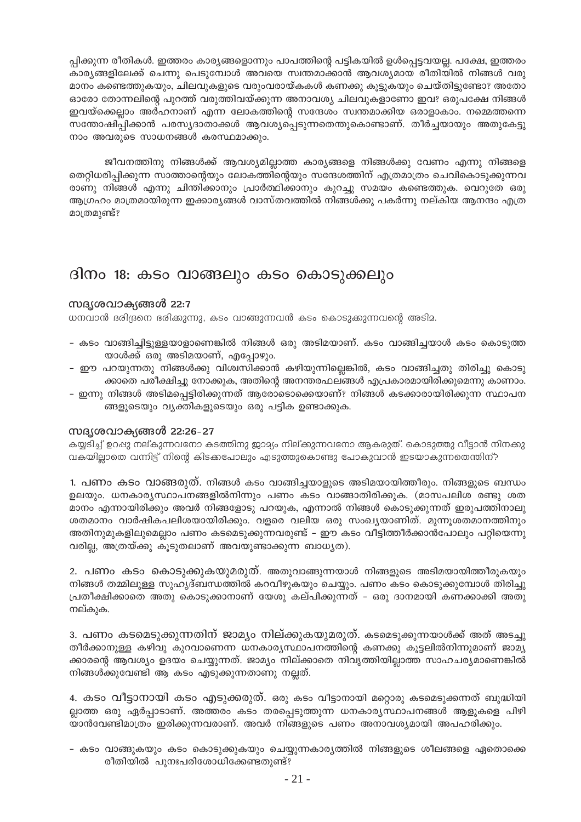പ്പിക്കുന്ന രീതികൾ. ഇത്തരം കാര്യങ്ങളൊന്നും പാപത്തിന്റെ പട്ടികയിൽ ഉൾപ്പെട്ടവയല്ല. പക്ഷേ, ഇത്തരം കാര്യങ്ങളിലേക്ക് ചെന്നു പെടുമ്പോൾ അവയെ സ്വന്തമാക്കാൻ ആവശ്യമായ രീതിയിൽ നിങ്ങൾ വരു മാനം കണ്ടെത്തുകയും, ചിലവുകളുടെ വരുംവരായ്കകൾ കണക്കു കുട്ടുകയും ചെയ്തിട്ടുണ്ടോ? അതോ ഓരോ തോന്നലിന്റെ പുറത്ത് വരുത്തിവയ്ക്കുന്ന അനാവശ്യ ചിലവുകളാണോ ഇവ? ഒരുപക്ഷേ നിങ്ങൾ ഇവയ്ക്കെല്ലാം അർഹനാണ് എന്ന ലോകത്തിന്റെ സന്ദേശം സ്വന്തമാക്കിയ ഒരാളാകാം. നമ്മെത്തന്നെ സന്തോഷിപ്പിക്കാൻ പരസ്യദാതാക്കൾ ആവശ്യപ്പെടുന്നതെന്തുകൊണ്ടാണ്. തീർച്ചയായും അതുകേട്ടു നാം അവരുടെ സാധനങ്ങൾ കരസ്ഥമാക്കും.

ജീവനത്തിനു നിങ്ങൾക്ക് ആവശ്യമില്ലാത്ത കാര്യങ്ങളെ നിങ്ങൾക്കു വേണം എന്നു നിങ്ങളെ തെറ്റിധരിപ്പിക്കുന്ന സാത്താന്റെയും ലോകത്തിന്റെയും സന്ദേശത്തിന് എത്രമാത്രം ചെവികൊടുക്കുന്നവ രാണു നിങ്ങൾ എന്നു ചിന്തിക്കാനും പ്രാർത്ഥിക്കാനും കുറച്ചു സമയം കണ്ടെത്തുക. വെറുതേ ഒരു ആഗ്രഹം മാത്രമായിരുന്ന ഇക്കാര്യങ്ങൾ വാസ്തവത്തിൽ നിങ്ങൾക്കു പകർന്നു നല്കിയ ആനന്ദം എത്ര മാത്രമുണ്ട്?

### ദിനം 18: കടം വാങ്ങലും കടം കൊടുക്കലും

### സദൃശവാക്യങ്ങൾ 22:7

ധനവാൻ ദരിദ്രനെ ഭരിക്കുന്നു, കടം വാങ്ങുന്നവൻ കടം കൊടുക്കുന്നവന്റെ അടിമ.

- കടം വാങ്ങിച്ചിട്ടുള്ളയാളാണെങ്കിൽ നിങ്ങൾ ഒരു അടിമയാണ്. കടം വാങ്ങിച്ചയാൾ കടം കൊടുത്ത യാൾക്ക് ഒരു അടിമയാണ്, എപ്പോഴും.
- ഈ പറയുന്നതു നിങ്ങൾക്കു വിശ്വസിക്കാൻ കഴിയുന്നില്ലെങ്കിൽ, കടം വാങ്ങിച്ചതു തിരിച്ചു കൊടു ക്കാതെ പരീക്ഷിച്ചു നോക്കുക, അതിന്റെ അനന്തരഫലങ്ങൾ എപ്രകാരമായിരിക്കുമെന്നു കാണാം.
- ഇന്നു നിങ്ങൾ അടിമപ്പെട്ടിരിക്കുന്നത് ആരോടൊക്കെയാണ്? നിങ്ങൾ കടക്കാരായിരിക്കുന്ന സ്ഥാപന ങ്ങളുടെയും വ്യക്തികളുടെയും ഒരു പട്ടിക ഉണ്ടാക്കുക.

### സദൃശവാക്യങ്ങൾ 22:26-27

കയ്യടിച്ച് ഉറഷു നല്കുന്നവനോ കടത്തിനു ജാമ്യം നില്ക്കുന്നവനോ ആകരുത്. കൊടുത്തു വീട്ടാൻ നിനക്കു വകയില്ലാതെ വന്നിട്ട് നിന്റെ കിടക്കപോലും എടുത്തുകൊണ്ടു പോകുവാൻ ഇടയാകുന്നതെന്തിന്?

1. പണം കടം വാങ്ങരുത്. നിങ്ങൾ കടം വാങ്ങിച്ചയാളുടെ അടിമയായിത്തീരും. നിങ്ങളുടെ ബന്ധം ഉലയും. ധനകാര്യസ്ഥാപനങ്ങളിൽനിന്നും പണം കടം വാങ്ങാതിരിക്കുക. (മാസപലിശ രണ്ടു ശത മാനം എന്നായിരിക്കും അവർ നിങ്ങളോടു പറയുക, എന്നാൽ നിങ്ങൾ കൊടുക്കുന്നത് ഇരുപത്തിനാലു ശതമാനം വാർഷികപലിശയായിരിക്കും. വളരെ വലിയ ഒരു സംഖ്യയാണിത്. മുന്നുശതമാനത്തിനും അതിനുമുകളിലുമെല്ലാം പണം കടമെടുക്കുന്നവരുണ്ട് – ഈ കടം വീട്ടിത്തീർക്കാൻപോലും പറ്റിയെന്നു വരില്ല, അത്രയ്ക്കു കൂടുതലാണ് അവയുണ്ടാക്കുന്ന ബാധ്യത).

2. പണം കടം കൊടുക്കുകയുമരുത്. അതുവാങ്ങുന്നയാൾ നിങ്ങളുടെ അടിമയായിത്തീരുകയും നിങ്ങൾ തമ്മിലുള്ള സുഹൃദ്ബന്ധത്തിൽ കറവീഴുകയും ചെയ്യും. പണം കടം കൊടുക്കുമ്പോൾ തിരിച്ചു പ്രതീക്ഷിക്കാതെ അതു കൊടുക്കാനാണ് യേശു കല്പിക്കുന്നത് – ഒരു ദാനമായി കണക്കാക്കി അതു നല്കുക.

3. പണം കടമെടുക്കുന്നതിന് ജാമ്യം നില്ക്കുകയുമരുത്. കടമെടുക്കുന്നയാൾക്ക് അത് അടച്ചു തീർക്കാനുള്ള കഴിവു കുറവാണെന്ന ധനകാര്യസ്ഥാപനത്തിന്റെ കണക്കു കുട്ടലിൽനിന്നുമാണ് ജാമ്യ ക്കാരന്റെ ആവശ്യം ഉദയം ചെയ്യുന്നത്. ജാമ്യം നില്ക്കാതെ നിവൃത്തിയില്ലാത്ത സാഹചര്യമാണെങ്കിൽ നിങ്ങൾക്കുവേണ്ടി ആ കടം എടുക്കുന്നതാണു നല്ലത്.

4. കടം വീട്ടാനായി കടം എടുക്കരുത്. ഒരു കടം വീട്ടാനായി മറ്റൊരു കടമെടുക്കന്നത് ബുദ്ധിയി ല്ലാത്ത ഒരു ഏർപ്പാടാണ്. അത്തരം കടം തരപ്പെടുത്തുന്ന ധനകാര്യസ്ഥാപനങ്ങൾ ആളുകളെ പിഴി യാൻവേണ്ടിമാത്രം ഇരിക്കുന്നവരാണ്. അവർ നിങ്ങളുടെ പണം അനാവശ്യമായി അപഹരിക്കും.

- കടം വാങ്ങുകയും കടം കൊടുക്കുകയും ചെയ്യുന്നകാര്യത്തിൽ നിങ്ങളുടെ ശീലങ്ങളെ ഏതൊക്കെ രീതിയിൽ പുനഃപരിശോധിക്കേണ്ടതുണ്ട്?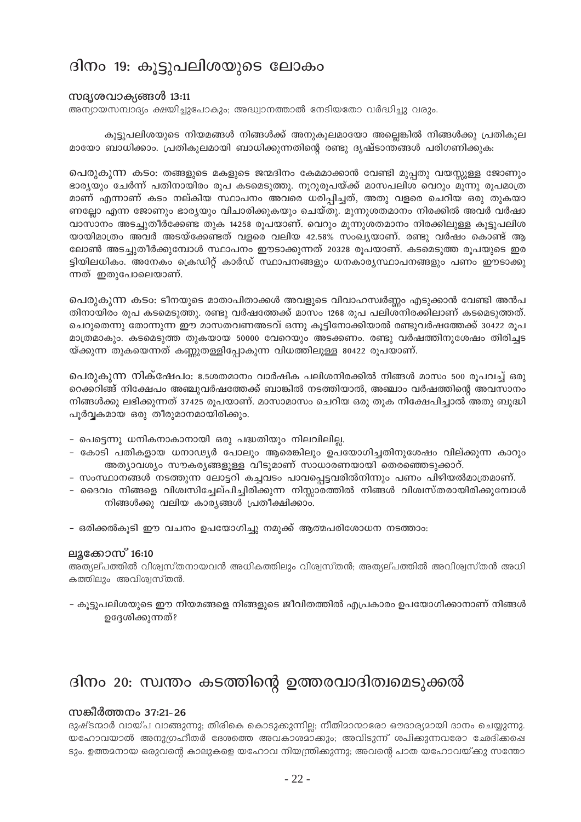### ദിനം 19: കുട്ടുപലിശയുടെ ലോകം

### സദൃശവാക്യങ്ങൾ 13:11

അന്യായസമ്പാദ്യം ക്ഷയിച്ചുപോകും; അദ്ധ്വാനത്താൽ നേടിയതോ വർദ്ധിച്ചു വരും.

കൂട്ടുപലിശയുടെ നിയമങ്ങൾ നിങ്ങൾക്ക് അനുകൂലമായോ അല്ലെങ്കിൽ നിങ്ങൾക്കു പ്രതികൂല മായോ ബാധിക്കാം. പ്രതികുലമായി ബാധിക്കുന്നതിന്റെ രണ്ടു ദൃഷ്ടാന്തങ്ങൾ പരിഗണിക്കുക:

പെരുകുന്ന കടം: തങ്ങളുടെ മകളുടെ ജന്മദിനം കേമമാക്കാൻ വേണ്ടി മുപ്പതു വയസ്സുള്ള ജോണും ഭാര്യയും ചേർന്ന് പതിനായിരം രൂപ കടമെടുത്തു. നൂറുരൂപയ്ക്ക് മാസപലിശ വെറും മൂന്നു രൂപമാത്ര മാണ് എന്നാണ് കടം നല്കിയ സ്ഥാപനം അവരെ ധരിപ്പിച്ചത്, അതു വളരെ ചെറിയ ഒരു തുകയാ ണല്ലോ എന്ന ജോണും ഭാര്യയും വിചാരിക്കുകയും ചെയ്തു. മുന്നുശതമാനം നിരക്കിൽ അവർ വർഷാ വാസാനം അടച്ചുതീർക്കേണ്ട തുക 14258 രൂപയാണ്. വെറും മൂന്നുശതമാനം നിരക്കിലുള്ള കൂട്ടുപലിശ യായിമാത്രം അവർ അടയ്ക്കേണ്ടത് വളരെ വലിയ 42.58% സംഖ്യയാണ്. രണ്ടു വർഷം കൊണ്ട് ആ ലോൺ അടച്ചുതീർക്കുമ്പോൾ സ്ഥാപനം ഈടാക്കുന്നത് 20328 രൂപയാണ്. കടമെടുത്ത രൂപയുടെ ഇര ട്ടിയിലധികം. അനേകം ക്രെഡിറ്റ് കാർഡ് സ്ഥാപനങ്ങളും ധനകാര്യസ്ഥാപനങ്ങളും പണം ഈടാക്കു ന്നത് ഇതുപോലെയാണ്.

പെരുകുന്ന കടം: ടീനയുടെ മാതാപിതാക്കൾ അവളുടെ വിവാഹസ്വർണ്ണം എടുക്കാൻ വേണ്ടി അൻപ തിനായിരം രൂപ കടമെടുത്തു. രണ്ടു വർഷത്തേക്ക് മാസം 1268 രൂപ പലിശനിരക്കിലാണ് കടമെടുത്തത്. ചെറുതെന്നു തോന്നുന്ന ഈ മാസതവണഅടവ് ഒന്നു കൂട്ടിനോക്കിയാൽ രണ്ടുവർഷത്തേക്ക് 30422 രൂപ മാത്രമാകും. കടമെടുത്ത തുകയായ 50000 വേറെയും അടക്കണം. രണ്ടു വർഷത്തിനുശേഷം തിരിച്ചട യ്ക്കുന്ന തുകയെന്നത് കണ്ണുതള്ളിപ്പോകുന്ന വിധത്തിലുള്ള 80422 രൂപയാണ്.

പെരുകുന്ന നിക്ഷേപം: 8.5ശതമാനം വാർഷിക പലിശനിരക്കിൽ നിങ്ങൾ മാസം 500 രൂപവച്ച് ഒരു റെക്കറിങ്ങ് നിക്ഷേപം അഞ്ചുവർഷത്തേക്ക് ബാങ്കിൽ നടത്തിയാൽ, അഞ്ചാം വർഷത്തിന്റെ അവസാനം നിങ്ങൾക്കു ലഭിക്കുന്നത് 37425 രൂപയാണ്. മാസാമാസം ചെറിയ ഒരു തുക നിക്ഷേപിച്ചാൽ അതു ബുദ്ധി പൂർവ്വകമായ ഒരു തീരുമാനമായിരിക്കും.

- പെട്ടെന്നു ധനികനാകാനായി ഒരു പദ്ധതിയും നിലവിലില്ല.
- കോടി പതികളായ ധനാഢ്യർ പോലും ആരെങ്കിലും ഉപയോഗിച്ചതിനുശേഷം വില്ക്കുന്ന കാറും അത്യാവശ്യം സൗകര്യങ്ങളുള്ള വീടുമാണ് സാധാരണയായി തെരഞ്ഞെടുക്കാറ്.
- സംസ്ഥാനങ്ങൾ നടത്തുന്ന ലോട്ടറി കച്ചവടം പാവപ്പെട്ടവരിൽനിന്നും പണം പിഴിയൽമാത്രമാണ്.
- ദൈവം നിങ്ങളെ വിശ്വസിച്ചേല്പിച്ചിരിക്കുന്ന നിസ്സാരത്തിൽ നിങ്ങൾ വിശ്വസ്തരായിരിക്കുമ്പോൾ നിങ്ങൾക്കു വലിയ കാര്യങ്ങൾ പ്രതീക്ഷിക്കാം.
- ഒരിക്കൽകൂടി ഈ വചനം ഉപയോഗിച്ചു നമുക്ക് ആത്മപരിശോധന നടത്താം:

### ലൂക്കോസ് 16:10

അത്യല്പത്തിൽ വിശ്വസ്തനായവൻ അധികത്തിലും വിശ്വസ്തൻ; അത്യല്പത്തിൽ അവിശ്വസ്തൻ അധി കത്തിലും അവിശ്വസ്തൻ.

– കുട്ടുപലിശയുടെ ഈ നിയമങ്ങളെ നിങ്ങളുടെ ജീവിതത്തിൽ എപ്രകാരം ഉപയോഗിക്കാനാണ് നിങ്ങൾ ഉദ്ദേശിക്കുന്നത്?

# ദിനം 20: സ്വന്തം കടത്തിന്റെ ഉത്തരവാദിത്വമെടുക്കൽ

### സങ്കീർത്തനം 37:21-26

ദുഷ്ടന്മാർ വായ്പ വാങ്ങുന്നു; തിരികെ കൊടുക്കുന്നില്ല; നീതിമാന്മാരോ ഔദാര്യമായി ദാനം ചെയ്യുന്നു. യഹോവയാൽ അനുഗ്രഹീതർ ദേശത്തെ അവകാശമാകും; അവിടുന്ന് ശപിക്കുന്നവരോ ഛേദിക്കപ്പെ ടും. ഉത്തമനായ ഒരുവന്റെ കാലുകളെ യഹോവ നിയന്ത്രിക്കുന്നു; അവന്റെ പാത യഹോവയ്ക്കു സന്തോ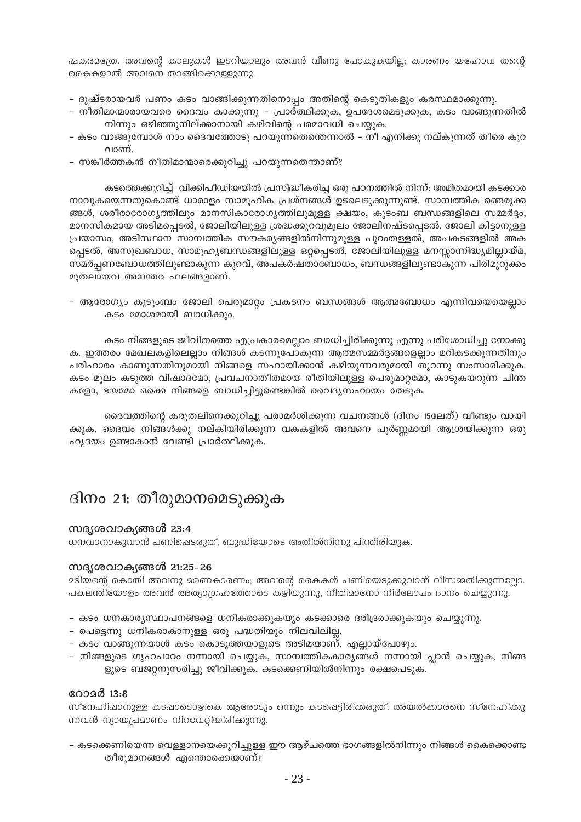ഷകരമന്ത്രേ. അവന്റെ കാലുകൾ ഇടറിയാലും അവൻ വീണു പോകുകയില്യ കാരണം യഹോവ തന്റെ കൈകളാൽ അവനെ താങ്ങികൊള്ളുന്നു.

- ദുഷ്ടരായവർ പണം കടം വാങ്ങിക്കുന്നതിനൊപ്പം അതിന്റെ കെടുതികളും കരസ്ഥമാക്കുന്നു.
- നീതിമാന്മാരായവരെ ദൈവം കാക്കുന്നു പ്രാർത്ഥിക്കുക, ഉപദേശമെടുക്കുക, കടം വാങ്ങുന്നതിൽ നിന്നും ഒഴിഞ്ഞുനില്ക്കാനായി കഴിവിന്റെ പരമാവധി ചെയ്യുക.
- കടം വാങ്ങുമ്പോൾ നാം ദൈവത്തോടു പറയുന്നതെന്തെന്നാൽ നീ എനിക്കു നല്കുന്നത് തീരെ കുറ വാണ്.
- സങ്കീർത്തകൻ നീതിമാന്മാരെക്കുറിച്ചു പറയുന്നതെന്താണ്?

കടത്തെക്കുറിച്ച് വിക്കിപീഡിയയിൽ പ്രസിദ്ധീകരിച്ച ഒരു പഠനത്തിൽ നിന്ന്: അമിതമായി കടക്കാര നാവുകയെന്നതുകൊണ്ട് ധാരാളം സാമുഹിക പ്രശ്നങ്ങൾ ഉടലെടുക്കുന്നുണ്ട്. സാമ്പത്തിക ഞെരുക്ക ങ്ങൾ, ശരീരാരോഗ്യത്തിലും മാനസികാരോഗ്യത്തിലുമുള്ള ക്ഷയം, കുടംബ ബന്ധങ്ങളിലെ സമ്മർദ്ദം, മാനസികമായ അടിമപ്പെടൽ, ജോലിയിലുള്ള ശ്രദ്ധക്കുറവുമൂലം ജോലിനഷ്ടപ്പെടൽ, ജോലി കിട്ടാനുള്ള പ്രയാസം, അടിസ്ഥാന സാമ്പത്തിക സൗകര്യങ്ങളിൽനിന്നുമുള്ള പുറംതള്ളൽ, അപകടങ്ങളിൽ അക പ്പെടൽ, അസുഖബാധ, സാമൂഹ്യബന്ധങ്ങളിലുള്ള ഒറ്റപ്പെടൽ, ജോലിയിലുള്ള മനസ്സാന്നിദ്ധ്യമില്ലായ്മ, സമർപ്പണബോധത്തിലുണ്ടാകുന്ന കുറവ്, അപകർഷതാബോധം, ബന്ധങ്ങളിലുണ്ടാകുന്ന പിരിമുറുക്കം മുതലായവ അനന്തര ഫലങ്ങളാണ്.

– ആരോഗ്യം കുടുംബം ജോലി പെരുമാറ്റം പ്രകടനം ബന്ധങ്ങൾ ആത്മബോധം എന്നിവയെയെല്ലാം കടം മോശമായി ബാധിക്കും.

കടം നിങ്ങളുടെ ജീവിതത്തെ എപ്രകാരമെല്ലാം ബാധിച്ചിരിക്കുന്നു എന്നു പരിശോധിച്ചു നോക്കു ക. ഇത്തരം മേഖലകളിലെല്ലാം നിങ്ങൾ കടന്നുപോകുന്ന ആത്മസമ്മർദ്ദങ്ങളെല്ലാം മറികടക്കുന്നതിനും പരിഹാരം കാണുന്നതിനുമായി നിങ്ങളെ സഹായിക്കാൻ കഴിയുന്നവരുമായി തുറന്നു സംസാരിക്കുക. കടം മൂലം കടുത്ത വിഷാദമോ, പ്രവചനാതീതമായ രീതിയിലുള്ള പെരുമാറ്റമോ, കാടുകയറുന്ന ചിന്ത കളോ, ഭയമോ ഒക്കെ നിങ്ങളെ ബാധിച്ചിട്ടുണ്ടെങ്കിൽ വൈദ്യസഹായം തേടുക.

ദൈവത്തിന്റെ കരുതലിനെക്കുറിച്ചു പരാമർശിക്കുന്ന വചനങ്ങൾ (ദിനം 15ലേത്) വീണ്ടും വായി ക്കുക, ദൈവം നിങ്ങൾക്കു നല്കിയിരിക്കുന്ന വകകളിൽ അവനെ പൂർണ്ണമായി ആശ്രയിക്കുന്ന ഒരു ഹൃദയം ഉണ്ടാകാൻ വേണ്ടി പ്രാർത്ഥിക്കുക.

### ദിനം 21: തീരുമാനമെടുക്കുക

### സദൃശവാക്യങ്ങൾ 23:4

ധനവാനാകുവാൻ പണിഷെടരുത്, ബുദ്ധിയോടെ അതിൽനിന്നു പിന്തിരിയുക.

### സദൃശവാക്യങ്ങൾ 21:25-26

ദടിയന്റെ കൊതി അവനു ദരണകാരണം; അവന്റെ കൈകൾ പണിയെടുക്കുവാൻ വിസമ്മതിക്കുന്നല്ലോ. പകലന്തിയോളം അവൻ അത്യാഗ്രഹത്തോടെ കഴിയുന്നു, നീതിമാനോ നിർലോപം ദാനം ചെയ്യുന്നു.

- കടം ധനകാര്യസ്ഥാപനങ്ങളെ ധനികരാക്കുകയും കടക്കാരെ ദരിദ്രരാക്കുകയും ചെയ്യുന്നു.
- പെട്ടെന്നു ധനികരാകാനുള്ള ഒരു പദ്ധതിയും നിലവിലില്ല.
- കടം വാങ്ങുന്നയാൾ കടം കൊടുത്തയാളുടെ അടിമയാണ്, എല്ലായ്പോഴും.
- നിങ്ങളുടെ ഗൃഹപാഠം നന്നായി ചെയ്യുക, സാമ്പത്തികകാര്യങ്ങൾ നന്നായി പ്ലാൻ ചെയ്യുക, നിങ്ങ ളുടെ ബജറ്റനുസരിച്ചു ജീവിക്കുക, കടക്കെണിയിൽനിന്നും രക്ഷപെടുക.

### റോമർ 13:8

സ്നേഹിഷാനുള്ള കടഷാടൊഴികെ ആരോടും ഒന്നും കടപ്പെട്ടിരിക്കരുത്. അയൽക്കാരനെ സ്നേഹിക്കു ന്നവൻ ന്യായപ്രമാണം നിറവേറ്റിയിരിക്കുന്നു.

– കടക്കെണിയെന്ന വെള്ളാനയെക്കുറിച്ചുള്ള ഈ ആഴ്ചത്തെ ഭാഗങ്ങളിൽനിന്നും നിങ്ങൾ കൈക്കൊണ്ട തീരുമാനങ്ങൾ എന്തൊക്കെയാണ്?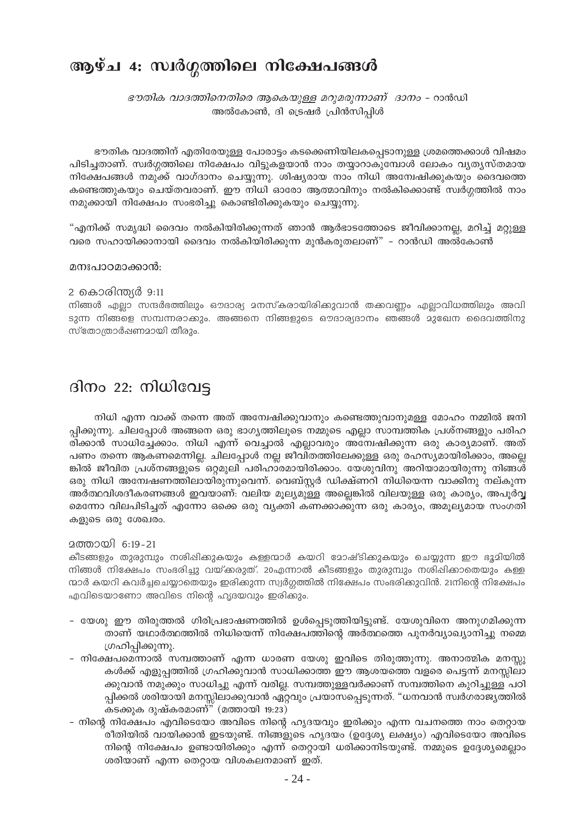# ആഴ്ച 4: സ്വർഗ്ഗത്തിലെ നിക്ഷേപങ്ങൾ

ഭൗതിക വാദത്തിനെതിരെ ആകെയുള്ള മറുമരുന്നാണ് ദാനം - റാൻഡി അൽകോൺ, ദി ട്രെഷർ പ്രിൻസിപ്പിൾ

ഭൗതിക വാദത്തിന് എതിരേയുള്ള പോരാട്ടം കടക്കെണിയിലകപ്പെടാനുള്ള ശ്രമത്തെക്കാൾ വിഷമം പിടിച്ചതാണ്. സ്വർഗ്ഗത്തിലെ നിക്ഷേപം വിട്ടുകളയാൻ നാം തയ്യാറാകുമ്പോൾ ലോകം വ്യത്യസ്തമായ നിക്ഷേപങ്ങൾ നമുക്ക് വാഗ്ദാനം ചെയ്യുന്നു. ശിഷ്യരായ നാം നിധി അന്വേഷിക്കുകയും ദൈവത്തെ കണ്ടെത്തുകയും ചെയ്തവരാണ്. ഈ നിധി ഓരോ ആത്മാവിനും നൽകിക്കൊണ്ട് സ്വർഗ്ഗത്തിൽ നാം നമുക്കായി നിക്ഷേപം സംഭരിച്ചു കൊണ്ടിരിക്കുകയും ചെയ്യുന്നു.

"എനിക്ക് സമൃദ്ധി ദൈവം നൽകിയിരിക്കുന്നത് ഞാൻ ആർഭാടത്തോടെ ജീവിക്കാനല്ല, മറിച്ച് മറ്റുള്ള വരെ സഹായിക്കാനായി ദൈവം നൽകിയിരിക്കുന്ന മുൻകരുതലാണ്" – റാൻഡി അൽകോൺ

#### മനഃപാഠമാക്കാൻ:

#### 2 കൊരിന്ത്യർ 9:11

നിങ്ങൾ എലാ സന്ദർഭത്തിലും ഔദാര്യ മനസ്കരായിരിക്കുവാൻ തക്കവണം എലാവിധത്തിലും അവി ടുന്ന നിങ്ങളെ സമ്പന്നരാക്കും. അങ്ങനെ നിങ്ങളുടെ ഔദാര്യദാനം ഞങ്ങൾ മുഖേന ദൈവത്തിനു സ്തോത്രാർഷണമായി തീരും.

### ദിനം 22: നിധിവേട്ട

നിധി എന്ന വാക്ക് തന്നെ അത് അന്വേഷിക്കുവാനും കണ്ടെത്തുവാനുമള്ള മോഹം നമ്മിൽ ജനി പ്പിക്കുന്നു. ചിലപ്പോൾ അങ്ങനെ ഒരു ഭാഗ്യത്തിലൂടെ നമ്മുടെ എല്ലാ സാമ്പത്തിക പ്രശ്നങ്ങളും പരിഹ രിക്കാൻ സാധിച്ചേക്കാം. നിധി എന്ന് വെച്ചാൽ എല്ലാവരും അന്വേഷിക്കുന്ന ഒരു കാര്യമാണ്. അത് പണം തന്നെ ആകണമെന്നില്ല. ചിലപ്പോൾ നല്ല ജീവിതത്തിലേക്കുള്ള ഒരു രഹസ്യമായിരിക്കാം, അല്ലെ ങ്കിൽ ജീവിത പ്രശ്നങ്ങളുടെ ഒറ്റമുലി പരിഹാരമായിരിക്കാം. യേശുവിനു അറിയാമായിരുന്നു നിങ്ങൾ ഒരു നിധി അമ്പേഷണത്തിലായിരുന്നുവെന്ന്. വെബ്സ്റ്റർ ഡിക്ഷ്ണറി നിധിയെന്ന വാക്കിനു നല്കുന്ന അർത്ഥവിശദീകരണങ്ങൾ ഇവയാണ്: വലിയ മൂല്യമുള്ള അല്ലെങ്കിൽ വിലയുള്ള ഒരു കാര്യം, അപൂർവ്വ മെന്നോ വിലപിടിച്ചത് എന്നോ ഒക്കെ ഒരു വ്യക്തി കണക്കാക്കുന്ന ഒരു കാര്യം, അമൂല്യമായ സംഗതി കളുടെ ഒരു ശേഖരം.

### 2ത്തായി 6:19-21

കീടങ്ങളും തുരുമ്പും നശിപ്പിക്കുകയും കള്ളന്മാർ കയറി മോഷ്ടിക്കുകയും ചെയ്യുന്ന ഈ ഭൂമിയിൽ നിങ്ങൾ നിക്ഷേപം സംഭരിച്ചു വയ്ക്കരുത്. 20എന്നാൽ കീടങ്ങളും തുരുമ്പും നശിഷിക്കാതെയും കള്ള ന്മാർ കയറി കവർച്ചചെയ്യാതെയും ഇരിക്കുന്ന സ്വർഗ്ഗത്തിൽ നിക്ഷേപം സംഭരിക്കുവിൻ. 21നിന്റെ നിക്ഷേപം എവിടെയാണോ അവിടെ നിന്റെ ഹൃദയവും ഇരിക്കും.

- യേശു ഈ തിരുത്തൽ ഗിരിപ്രഭാഷണത്തിൽ ഉൾപ്പെടുത്തിയിട്ടുണ്ട്. യേശുവിനെ അനുഗമിക്കുന്ന താണ് യഥാർത്ഥത്തിൽ നിധിയെന്ന് നിക്ഷേപത്തിന്റെ അർത്ഥത്തെ പുനർവ്യാഖ്യാനിച്ചു നമ്മെ ഗ്രഹിപ്പിക്കുന്നു.
- നിക്ഷേപമെന്നാൽ സമ്പത്താണ് എന്ന ധാരണ യേശു ഇവിടെ തിരുത്തുന്നു. അനാത്മിക മനസ്യ കൾക്ക് എളുപ്പത്തിൽ ഗ്രഹിക്കുവാൻ സാധിക്കാത്ത ഈ ആശയത്തെ വളരെ പെട്ടന്ന് മനസ്സിലാ ക്കുവാൻ നമുക്കും സാധിച്ചു എന്ന് വരില്ല. സമ്പത്തുള്ളവർക്കാണ് സമ്പത്തിനെ കുറിച്ചുള്ള പഠി പ്പിക്കൽ ശരിയായി മനസ്സിലാക്കുവാൻ ഏറ്റവും പ്രയാസപ്പെടുന്നത്. "ധനവാൻ സ്വർഗരാജ്യത്തിൽ കടക്കുക ദുഷ്കരമാണ്" (മത്തായി 19:23)
- നിന്റെ നിക്ഷേപം എവിടെയോ അവിടെ നിന്റെ ഹൃദയവും ഇരിക്കും എന്ന വചനത്തെ നാം തെറ്റായ രീതിയിൽ വായിക്കാൻ ഇടയുണ്ട്. നിങ്ങളുടെ ഹൃദയം (ഉദ്ദേശ്യ ലക്ഷ്യം) എവിടെയോ അവിടെ നിന്റെ നിക്ഷേപം ഉണ്ടായിരിക്കും എന്ന് തെറ്റായി ധരിക്കാനിടയുണ്ട്. നമ്മുടെ ഉദ്ദേശ്യമെല്ലാം ശരിയാണ് എന്ന തെറ്റായ വിശകലനമാണ് ഇത്.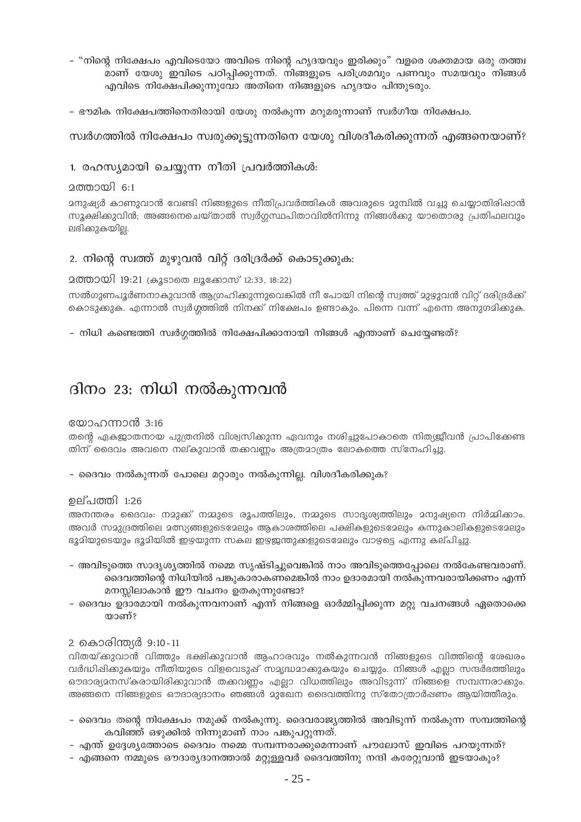- "നിന്റെ നിക്ഷേപം എവിടെയോ അവിടെ നിന്റെ ഹൃദയവും ഇരിക്കും" വളരെ ശക്തമായ ഒരു തത്ത്വ മാണ് യേശു ഇവിടെ പഠിപ്പിക്കുന്നത്. നിങ്ങളുടെ പരിശ്രമവും പണവും സമയവും നിങ്ങൾ എവിടെ നിക്ഷേപിക്കുന്നുവോ അതിനെ നിങ്ങളുടെ ഹൃദയം പിന്തുടരും.
- ഭൗമിക നിക്ഷേപത്തിനെതിരായി യേശു നൽകുന്ന മറുമരുന്നാണ് സ്വർഗീയ നിക്ഷേപം.

### സ്വർഗത്തിൽ നിക്ഷേപം സ്വരുക്കുട്ടുന്നതിനെ യേശു വിശദീകരിക്കുന്നത് എങ്ങനെയാണ്?

### 1. രഹസ്യമായി ചെയ്യുന്ന നീതി പ്രവർത്തികൾ:

### 2ത്തായി 6:1

മനുഷ്യർ കാണുവാൻ വേണ്ടി നിങ്ങളുടെ നീതിപ്രവർത്തികൾ അവരുടെ മുമ്പിൽ വച്ചു ചെയ്യാതിരിഷാൻ സൂക്ഷിക്കുവിൻ; അങ്ങനെചെയ്താൽ സ്വർഗ്ഗസ്ഥപിതാവിൽനിന്നു നിങ്ങൾക്കു യാതൊരു പ്രതിഫലവും ലഭിക്കുകയില്ല.

### 2. നിന്റെ സ്വത്ത് മുഴുവൻ വിറ്റ് ദരിദ്രർക്ക് കൊടുക്കുക:

### 2ത്തായി 19:21 (കൂടാതെ ലൂക്കോസ് 12:33, 18:22)

സൽഗുണപൂർണനാകുവാൻ ആഗ്രഹിക്കുന്നുവെങ്കിൽ നീ പോയി നിന്റെ സ്വത്ത് മുഴുവൻ വിറ്റ് ദരിദ്രർക്ക് കൊടുക്കുക. എന്നാൽ സ്വർഗ്ഗത്തിൽ നിനക്ക് നിക്ഷേപം ഉണ്ടാകും. പിന്നെ വന്ന് എന്നെ അനുഗമിക്കുക.

### - നിധി കണ്ടെത്തി സ്വർഗ്ഗത്തിൽ നിക്ഷേപിക്കാനായി നിങ്ങൾ എന്താണ് ചെയ്യേണ്ടത്?

### ദിനം 23: നിധി നൽകുന്നവൻ

### യോഹന്നാൻ 3:16

തന്റെ ഏകജാതനായ പുത്രനിൽ വിശ്വസിക്കുന്ന ഏവനും നശിച്ചുപോകാതെ നിത്യജീവൻ പ്രാപിക്കേണ്ട തിന് ദൈവം അവനെ നല്കുവാൻ തക്കവണ്ണം അത്രമാത്രം ലോകത്തെ സ്നേഹിച്ചു.

– ദൈവം നൽകുന്നത് പോലെ മറ്റാരും നൽകുന്നില്ല. വിശദീകരിക്കുക?

### ഉല്പത്തി 1:26

അനന്തരം ദൈവം: നമുക്ക് നമ്മുടെ രൂപത്തിലും, നമ്മുടെ സാദൃശ്യത്തിലും മനുഷ്യനെ നിർമ്മിക്കാം. അവർ സമുദ്രത്തിലെ മത്സ്യങ്ങളുടെമ്പോം ആകാശത്തിലെ പക്ഷികളുടെമേലും കന്നുകാലികളുടെമേലും ഭൂദിയുടെയും ഭൂദിയിൽ ഇഴയുന്ന സകല ഇഴജ്ഞുക്കളുടെദേലും വാഴ്ചെ എന്നു കല്പിച്ചു.

- അവിടുത്തെ സാദൃശൃത്തിൽ നമ്മെ സൃഷ്ടിച്ചുവെങ്കിൽ നാം അവിടുത്തെപ്പോലെ നൽകേണ്ടവരാണ്. ദൈവത്തിന്റെ നിധിയിൽ പങ്കുകാരാകണമെങ്കിൽ നാം ഉദാരമായി നൽകുന്നവരായിക്കണം എന്ന് മനസ്സിലാകാൻ ഈ വചനം ഉതകുന്നുണ്ടോ?
- ദൈവം ഉദാരമായി നൽകുന്നവനാണ് എന്ന് നിങ്ങളെ ഓർമ്മിപ്പിക്കുന്ന മറ്റു വചനങ്ങൾ ഏതൊക്കെ യാണ്?

### 2 കൊരിന്ത്യർ 9:10-11

വിതയ്ക്കുവാൻ വിത്തും ഭക്ഷിക്കുവാൻ ആഹാരവും നൽകുന്നവൻ നിങ്ങളുടെ വിത്തിന്റെ ശേഖരം വർദ്ധിഷിക്കുകയും നീതിയുടെ വിളവെടുപ്പ് സമൃദ്ധമാക്കുകയും ചെയ്യും. നിങ്ങൾ എല്ലാ സന്ദർഭത്തിലും ഔദാര്യമനസ്കരായിരിക്കുവാൻ തക്കവണ്ണം എല്ലാ വിധത്തിലും അവിടുന്ന് നിങ്ങളെ സമ്പന്നരാകും. അങ്ങനെ നിങ്ങളുടെ ഔദാര്യദാനം ഞങ്ങൾ മുഖേന ദൈവത്തിനു സ്തോത്രാർഷണം ആയിത്തീരും.

- ദൈവം തന്റെ നിക്ഷേപം നമുക്ക് നൽകുന്നു. ദൈവരാജ്യത്തിൽ അവിടുന്ന് നൽകുന്ന സമ്പത്തിന്റെ കവിഞ്ഞ് ഒഴുക്കിൽ നിന്നുമാണ് നാം പങ്കുപറ്റുന്നത്.
- എന്ത് ഉദ്ദേശ്യത്തോടെ ദൈവം നമ്മെ സമ്പന്നരാക്കുമെന്നാണ് പൗലോസ് ഇവിടെ പറയുന്നത്?
- എങ്ങനെ നമ്മുടെ ഔദാര്യദാനത്താൽ മറ്റുള്ളവർ ദൈവത്തിനു നന്ദി കരേറ്റുവാൻ ഇടയാകും?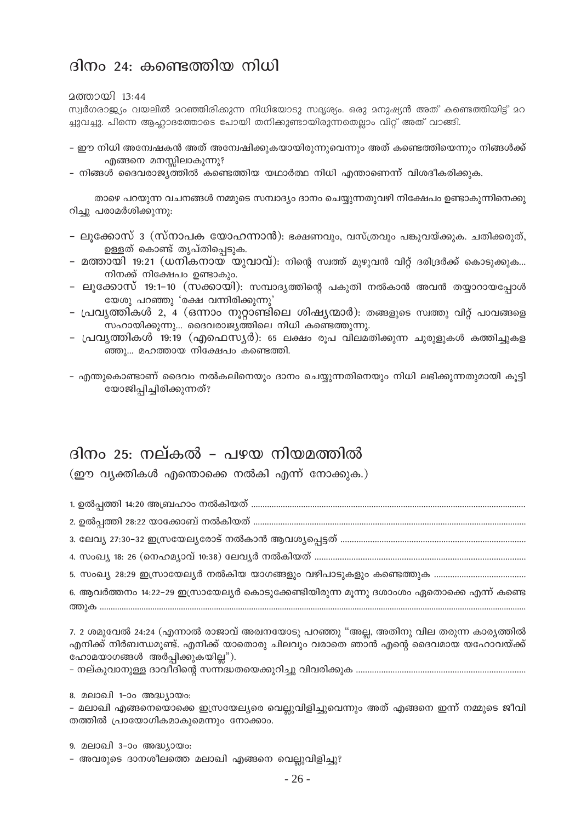### ദിനം 24: കണ്ടെത്തിയ നിധി

2ത്തായി 13:44

സ്വർഗരാജ്യം വയലിൽ മറഞ്ഞിരിക്കുന്ന നിധിയോടു സദൃശ്യം. ഒരു മനുഷ്യൻ അത് കണ്ടെത്തിയിട്ട് മറ ച്ചുവച്ചു. പിന്നെ ആഹ്ലാദത്തോടെ പോയി തനിക്കുണ്ടായിരുന്നതെല്ലാം വിറ്റ് അത് വാങ്ങി.

- ഈ നിധി അന്വേഷകൻ അത് അമ്പേഷിക്കുകയായിരുന്നുവെന്നും അത് കണ്ടെത്തിയെന്നും നിങ്ങൾക്ക് എങ്ങനെ മനസ്സിലാകുന്നു?
- നിങ്ങൾ ദൈവരാജ്യത്തിൽ കണ്ടെത്തിയ യഥാർത്ഥ നിധി എന്താണെന്ന് വിശദീകരിക്കുക.

താഴെ പറയുന്ന വചനങ്ങൾ നമ്മുടെ സമ്പാദ്യം ദാനം ചെയ്യുന്നതുവഴി നിക്ഷേപം ഉണ്ടാകുന്നിനെക്കു റിച്ചു പരാമർശിക്കുന്നു:

- ലൂക്കോസ് 3 (സ്നാപക യോഹന്നാൻ): ഭക്ഷണവും, വസ്ത്രവും പങ്കുവയ്ക്കുക. ചതിക്കരുത്, ഉള്ളത് കൊണ്ട് തൃപ്തിപ്പെടുക.
- മത്തായി 19:21 (ധനികനായ യുവാവ്): നിന്റെ സ്വത്ത് മുഴുവൻ വിറ്റ് ദരിദ്രർക്ക് കൊടുക്കുക... നിനക്ക് നിക്ഷേപം ഉണ്ടാകും.
- ലുക്കോസ് 19:1-10 (സക്കായി): സമ്പാദൃത്തിന്റെ പകുതി നൽകാൻ അവൻ തയ്യാറായപ്പോൾ യേശു പറഞ്ഞു 'രക്ഷ വന്നിരിക്കുന്നു'
- പ്രവൃത്തികൾ 2, 4 (ഒന്നാം നൂറ്റാണ്ടിലെ ശിഷ്യന്മാർ): തങ്ങളുടെ സ്വത്തു വിറ്റ് പാവങ്ങളെ സഹായിക്കുന്നു... ദൈവരാജ്യത്തിലെ നിധി കണ്ടെത്തുന്നു.
- പ്രവ്യത്തികൾ 19:19 (എഫെസ്യർ): 65 ലക്ഷം രുപ വിലമതിക്കുന്ന ചുരുളുകൾ കത്തിച്ചുകള ഞ്ഞു… മഹത്തായ നിക്ഷേപം കണ്ടെത്തി.

– എന്തുകൊണ്ടാണ് ദൈവം നൽകലിനെയും ദാനം ചെയ്യുന്നതിനെയും നിധി ലഭിക്കുന്നതുമായി കൂട്ടി യോജിപ്പിച്ചിരിക്കുന്നത്?

### ദിനം 25: നല്കൽ – പഴയ നിയമത്തിൽ

(ഈ വ്യക്തികൾ എന്തൊക്കെ നൽകി എന്ന് നോക്കുക.)

6. ആവർത്തനം 14:22–29 ഇസ്രായേല്യർ കൊടുക്കേണ്ടിയിരുന്ന മൂന്നു ദശാംശം ഏതൊക്കെ എന്ന് കണ്ടെ 

7. 2 ശമുവേൽ 24:24 (എന്നാൽ രാജാവ് അര്വനയോടു പറഞ്ഞു "അല്ല, അതിനു വില തരുന്ന കാര്യത്തിൽ എനിക്ക് നിർബന്ധമുണ്ട്. എനിക്ക് യാതൊരു ചിലവും വരാതെ ഞാൻ എന്റെ ദൈവമായ യഹോവയ്ക്ക് ഹോമയാഗങ്ങൾ അർപ്പിക്കുകയില്ല").

8. മലാഖി 1-ാം അദ്ധ്യായം:

– മലാഖി എങ്ങനെയൊക്കെ ഇസ്രയേല്യരെ വെല്ലുവിളിച്ചുവെന്നും അത് എങ്ങനെ ഇന്ന് നമ്മുടെ ജീവി തത്തിൽ പ്രായോഗികമാകുമെന്നും നോക്കാം.

9. മലാഖി 3-ാം അദ്ധ്യായം:

- അവരുടെ ദാനശീലത്തെ മലാഖി എങ്ങനെ വെല്ലുവിളിച്ചു?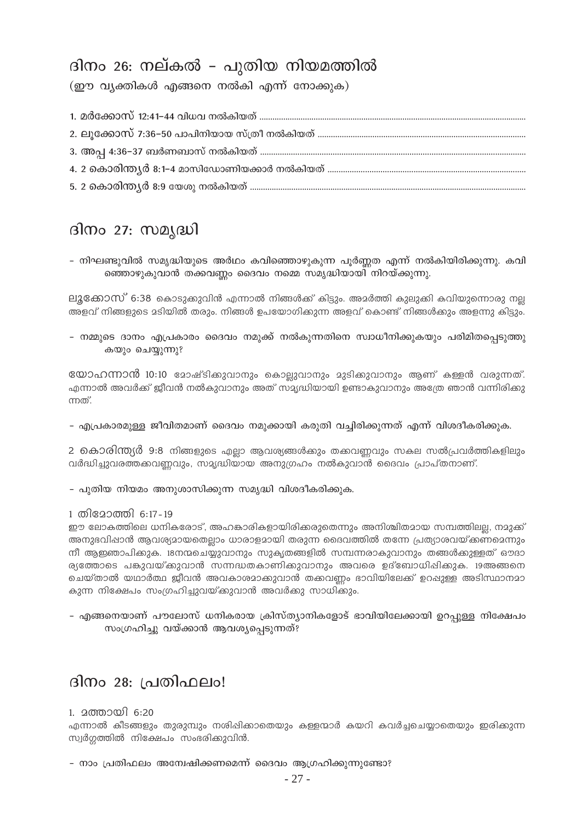# ദിനം 26: നല്കൽ – പുതിയ നിയമത്തിൽ

(ഈ വ്യക്തികൾ എങ്ങനെ നൽകി എന്ന് നോക്കുക)

### ദിനം 27: സമ്യദ്ധി

– നിഘണ്ടുവിൽ സമൃദ്ധിയുടെ അർഥം കവിഞ്ഞൊഴുകുന്ന പൂർണ്ണത എന്ന് നൽകിയിരിക്കുന്നു. കവി ഞ്ഞൊഴുകുവാൻ തക്കവണ്ണം ദൈവം നമ്മെ സമൃദ്ധിയായി നിറയ്ക്കുന്നു.

ലൂക്കോസ് 6:38 കൊടുക്കുവിൻ എന്നാൽ നിങ്ങൾക്ക് കിട്ടും. അമർത്തി കുലുക്കി കവിയുന്നൊരു നല്ല അളവ് നിങ്ങളുടെ മടിയിൽ തരും. നിങ്ങൾ ഉപയോഗിക്കുന്ന അളവ് കൊണ്ട് നിങ്ങൾക്കും അളന്നു കിട്ടും.

– നമ്മുടെ ദാനം എപ്രകാരം ദൈവം നമുക്ക് നൽകുന്നതിനെ സ്വാധീനിക്കുകയും പരിമിതപ്പെടുത്തു കയും ചെയ്യുന്നു?

യോഹന്നാൻ 10:10 മോഷ്ടിക്കുവാനും കൊല്ലുവാനും മുടിക്കുവാനും ആണ് കള്ളൻ വരുന്നത്. എന്നാൽ അവർക്ക് ജീവൻ നൽകുവാനും അത് സമൃദ്ധിയായി ഉണ്ടാകുവാനും അത്രേ ഞാൻ വന്നിരിക്കു ന്നത്.

– എപ്രകാരമുള്ള ജീവിതമാണ് ദൈവം നമുക്കായി കരുതി വച്ചിരിക്കുന്നത് എന്ന് വിശദീകരിക്കുക.

2 കൊരിന്ത്യർ 9:8 നിങ്ങളുടെ എല്ലാ ആവശ്യങ്ങൾക്കും തകവണ്ണവും സകല സൽപ്രവർത്തികളിലും വർദ്ധിച്ചുവരത്തക്കവണ്ണവും, സമൃദ്ധിയായ അനുഗ്രഹം നൽകുവാൻ ദൈവം പ്രാപ്തനാണ്.

– പുതിയ നിയമം അനുശാസിക്കുന്ന സമൃദ്ധി വിശദീകരിക്കുക.

### 1 തിമോത്തി 6:17-19

ഈ ലോകത്തിലെ ധനികരോട്, അഹങ്കാരികളായിരിക്കരുതെന്നും അനിശ്ചിതമായ സമ്പത്തിലല്ല, നമുക്ക് അനുഭവിഷാൻ ആവശ്യമായതെല്ലാം ധാരാളമായി തരുന്ന ദൈവത്തിൽ തന്നേ പ്രത്യാശവയ്ക്കണമെന്നും നീ ആഇഞാപിക്കുക. 18നന്മചെയ്യുവാനും സുകൃതങ്ങളിൽ സമ്പന്നരാകുവാനും തങ്ങൾക്കുള്ളത് ഔദാ ര്യത്തോടെ പങ്കുവയ്ക്കുവാൻ സന്നദ്ധതകാണിക്കുവാനും അവരെ ഉദ്ബോധിപ്പിക്കുക. 19അങ്ങനെ ചെയ്താൽ യഥാർത്ഥ ജീവൻ അവകാശമാക്കുവാൻ തക്കവണ്ണം ഭാവിയിലേക്ക് ഉറപ്പുള്ള അടിസ്ഥാനമാ കുന്ന നിക്ഷേപം സംഗ്രഹിച്ചുവയ്ക്കുവാൻ അവർക്കു സാധിക്കും.

– എങ്ങനെയാണ് പൗലോസ് ധനികരായ ക്രിസ്ത്യാനികളോട് ഭാവിയിലേക്കായി ഉറപ്പുള്ള നിക്ഷേപം സംഗ്രഹിച്ചു വയ്ക്കാൻ ആവശ്യപ്പെടുന്നത്?

### ദിനം 28: പ്രതിഫലം!

### 1. മത്തായി 6:20

എന്നാൽ കീടങ്ങളും തുരുമ്പും നശിപ്പിക്കാതെയും കള്ളന്മാർ കയറി കവർച്ചചെയ്യാതെയും ഇരിക്കുന്ന സ്വർഗ്ഗത്തിൽ നിക്ഷേപം സംഭരിക്കുവിൻ.

– നാം പ്രതിഫലം അന്വേഷിക്കണമെന്ന് ദൈവം ആഗ്രഹിക്കുന്നുണ്ടോ?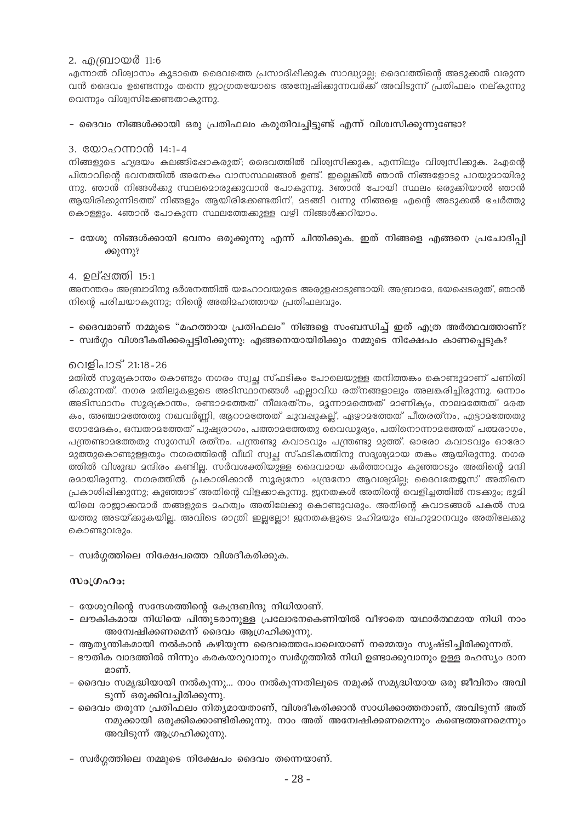### 2. എബ്രായർ 11:6

എന്നാൽ വിശ്വാസം കൂടാതെ ദൈവത്തെ പ്രസാദിഷിക്കുക സാദ്ധ്യാല്ല; ദൈവത്തിന്റെ അടുക്കൽ വരുന്ന വൻ ദൈവം ഉണ്ടെന്നും തന്നെ ജാഗ്രതയോടെ അന്വേഷിക്കുന്നവർക്ക് അവിടുന്ന് പ്രതിഫലം നല്കുന്നു വെന്നും വിശ്വസിക്കേണ്ടതാകുന്നു.

### – ദൈവം നിങ്ങൾക്കായി ഒരു പ്രതിഫലം കരുതിവച്ചിട്ടുണ്ട് എന്ന് വിശ്വസിക്കുന്നുണ്ടോ?

### 3. യോഹന്നാൻ 14:1-4

നിങ്ങളുടെ ഹൃദയം കലങ്ങിഷോകരുത്; ദൈവത്തിൽ വിശ്വസിക്കുക, എന്നിലും വിശ്വസിക്കുക. 2എന്റെ പിതാവിന്റെ ഭവനത്തിൽ അനേകം വാസസ്ഥലങ്ങൾ ഉണ്ട്. ഇല്ലെങ്കിൽ ഞാൻ നിങ്ങളോടു പറയുമായിരു ന്നു. ഞാൻ നിങ്ങൾക്കു സ്ഥലമൊരുക്കുവാൻ പോകുന്നു. 3ഞാൻ പോയി സ്ഥലം ഒരുക്കിയാൽ ഞാൻ ആയിരിക്കുന്നിടത്ത് നിങ്ങളും ആയിരിക്കേണ്ടതിന്, മടങ്ങി വന്നു നിങ്ങളെ എന്റെ അടുക്കൽ ചേർത്തു കൊള്ളും. 4ഞാൻ പോകുന്ന സ്ഥലത്തേക്കുള്ള വഴി നിങ്ങൾക്കറിയാം.

– യേശു നിങ്ങൾക്കായി ഭവനം ഒരുക്കുന്നു എന്ന് ചിന്തിക്കുക. ഇത് നിങ്ങളെ എങ്ങനെ പ്രചോദിപ്പി ക്കുന്നു?

### 4. ഉല്ഷത്തി 15:1

അനന്തരം അബ്രാമിനു ദർശനത്തിൽ യഹോവയുടെ അരുളപ്പാടുണ്ടായി: അബ്രാമേ, ഭയപ്പെടരുത്, ഞാൻ നിന്റെ പരിചയാകുന്നു; നിന്റെ അതിമഹത്തായ പ്രതിഫലവും.

- ദൈവമാണ് നമ്മുടെ "മഹത്തായ പ്രതിഫലം" നിങ്ങളെ സംബന്ധിച്ച് ഇത് എത്ര അർത്ഥവത്താണ്?
- സ്വർഗ്ഗം വിശദീകരിക്കപ്പെട്ടിരിക്കുന്നു: എങ്ങനെയായിരിക്കും നമ്മുടെ നിക്ഷേപം കാണപ്പെടുക?

### വെളിപാട് 21:18-26

മതിൽ സൂര്യകാന്തം കൊണ്ടും നഗരം സ്വച്ഛ സ്ഫടികം പോലെയുള്ള തനിത്തകം കൊണ്ടുമാണ് പണിതി രിക്കുന്നത്. നഗര മതിലുകളുടെ അടിസ്ഥാനങ്ങൾ എല്ലാവിധ രത്നങ്ങളാലും അലകരിച്ചിരുന്നു. ഒന്നാം അടിസ്ഥാനം സുര്യകാന്തം, രണ്ടാമത്തേത് നീലരത്നം, മൂന്നാമത്തെത് മാണിക്യം, നാലമത്തേത് മരത കം, അഞ്ചാമത്തേതു നഖവർണ്ണി, ആറാമത്തേത് ചുവപ്പുകല്ല്, ഏഴാമത്തേത് പീതരത്നം, എട്ടാമത്തേതു ഗോമേദകം, ഒമ്പതാമത്തേത് പുഷ്യരാഗം, പത്താമത്തേതു വൈഡൂര്യം, പതിനൊന്നാമത്തേത് പത്മരാഗം, പന്ത്രണ്ടാമത്തേതു സുഗന്ധി രത്നം. പന്ത്രണ്ടു കവാടവും പന്ത്രണ്ടു മുത്ത്. ഓരോ കവാടവും ഓരോ ദുത്തുകൊണ്ടുള്ളതും നഗരത്തിന്റെ വീഥി സ്വച്ഛ സ്ഫടികത്തിനു സദൃശ്യമായ തകം ആയിരുന്നു. നഗര ത്തിൽ വിശുദ്ധ മന്ദിരം കണ്ടില്ല. സർവശക്തിയുള്ള ദൈവമായ കർത്താവും കുഞ്ഞാടും അതിന്റെ മന്ദി രമായിരുന്നു. നഗരത്തിൽ പ്രകാശിക്കാൻ സൂര്യനോ ചന്ദ്രനോ ആവശ്യമില്യ ദൈവതേജസ് അതിനെ പ്രകാശിപ്പിക്കുന്നു; കുഞ്ഞാട് അതിന്റെ വിളക്കാകുന്നു. ജനതകൾ അതിന്റെ വെളിച്ചത്തിൽ നടക്കും; ഭൂമി യിലെ രാജാക്കന്മാർ തങ്ങളുടെ മഹത്വം അതിലേക്കു കൊണ്ടുവരും. അതിന്റെ കവാടങ്ങൾ പകൽ സമ യത്തു അടയ്ക്കുകയില്ല. അവിടെ രാത്രി ഇല്ലല്ലോ! ജനതകളുടെ മഹിമയും ബഹുമാനവും അതിലേക്കു കൊണ്ടുവരും.

- സ്വർഗ്ഗത്തിലെ നിക്ഷേപത്തെ വിശദീകരിക്കുക.

### Moltano:

- യേശുവിന്റെ സന്ദേശത്തിന്റെ കേന്ദ്രബിന്ദു നിധിയാണ്.
- ലൗകികമായ നിധിയെ പിന്തുടരാനുള്ള പ്രലോഭനകെണിയിൽ വീഴാതെ യഥാർത്ഥമായ നിധി നാം അമ്പേഷിക്കണമെന്ന് ദൈവം ആഗ്രഹിക്കുന്നു.
- ആത്യന്തികമായി നൽകാൻ കഴിയുന്ന ദൈവത്തെപോലെയാണ് നമ്മെയും സൃഷ്ടിച്ചിരിക്കുന്നത്.
- ഭൗതിക വാദത്തിൽ നിന്നും കരകയറുവാനും സ്വർഗ്ഗത്തിൽ നിധി ഉണ്ടാക്കുവാനും ഉള്ള രഹസ്യം ദാന മാണ്.
- ദൈവം സമൃദ്ധിയായി നൽകുന്നു... നാം നൽകുന്നതിലൂടെ നമുക്ക് സമൃദ്ധിയായ ഒരു ജീവിതം അവി ടുന്ന് ഒരുക്കിവച്ചിരിക്കുന്നു.
- ദൈവം തരുന്ന പ്രതിഫലം നിത്യമായതാണ്, വിശദീകരിക്കാൻ സാധിക്കാത്തതാണ്, അവിടുന്ന് അത് നമുക്കായി ഒരുക്കിക്കൊണ്ടിരിക്കുന്നു. നാം അത് അന്വേഷിക്കണമെന്നും കണ്ടെത്തണമെന്നും അവിടുന്ന് ആഗ്രഹിക്കുന്നു.

– സ്വർഗ്ഗത്തിലെ നമ്മുടെ നിക്ഷേപം ദൈവം തന്നെയാണ്.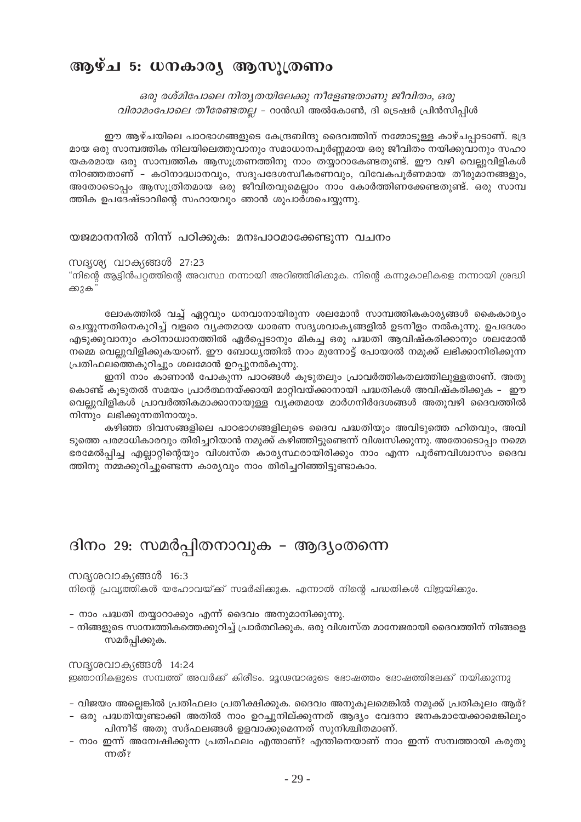### ആഴ്ച 5: ധനകാര്യ ആസുത്രണം

ഒരു രശ്മിപോലെ നിതൃതയിലേക്കു നീളേണ്ടതാണു ജീവിതം, ഒരു വിരാമംപോലെ തീരേണ്ടതല്ല - റാൻഡി അൽകോൺ, ദി ട്രെഷർ പ്രിൻസിപ്പിൾ

ഈ ആഴ്ചയിലെ പാഠഭാഗങ്ങളുടെ കേന്ദ്രബിന്ദു ദൈവത്തിന് നമ്മോടുള്ള കാഴ്ചപ്പാടാണ്. ഭദ്ര മായ ഒരു സാമ്പത്തിക നിലയിലെത്തുവാനും സമാധാനപൂർണ്ണമായ ഒരു ജീവിതം നയിക്കുവാനും സഹാ യകരമായ ഒരു സാമ്പത്തിക ആസുത്രണത്തിനു നാം തയ്യാറാകേണ്ടതുണ്ട്. ഈ വഴി വെല്ലുവിളികൾ നിറഞ്ഞതാണ് - കഠിനാദ്ധ്വാനവും, സദുപദേശസ്വീകരണവും, വിവേകപൂർണമായ തീരുമാനങ്ങളും, അതോടൊപ്പം ആസൂത്രിതമായ ഒരു ജീവിതവുമെല്ലാം നാം കോർത്തിണക്കേണ്ടതുണ്ട്. ഒരു സാമ്പ ത്തിക ഉപദേഷ്ടാവിന്റെ സഹായവും ഞാൻ ശുപാർശചെയ്യന്നു.

യജമാനനിൽ നിന്ന് പഠിക്കുക: മനഃപാഠമാക്കേണ്ടുന്ന വചനം

### സദൃശ്യ വാക്യങ്ങൾ 27:23

"നിന്റെ ആട്ടിൻപറ്റത്തിന്റെ അവസ്ഥ നന്നായി അറിഞ്ഞിരിക്കുക. നിന്റെ കന്നുകാലികളെ നന്നായി ശ്രദ്ധി ക്കുക്

ലോകത്തിൽ വച്ച് ഏറ്റവും ധനവാനായിരുന്ന ശലമോൻ സാമ്പത്തികകാര്യങ്ങൾ കൈകാര്യം ചെയ്യുന്നതിനെകുറിച്ച് വളരെ വ്യക്തമായ ധാരണ സദൃശവാക്യങ്ങളിൽ ഉടനീളം നൽകുന്നു. ഉപദേശം എടുക്കുവാനും കഠിനാധ്വാനത്തിൽ ഏർപ്പെടാനും മികച്ച ഒരു പദ്ധതി ആവിഷ്കരിക്കാനും ശലമോൻ നമ്മെ വെല്ലുവിളിക്കുകയാണ്. ഈ ബോധ്യത്തിൽ നാം മുന്നോട്ട് പോയാൽ നമുക്ക് ലഭിക്കാനിരിക്കുന്ന പ്രതിഫലത്തെകുറിച്ചും ശലമോൻ ഉറപ്പുനൽകുന്നു.

ഇനി നാം കാണാൻ പോകുന്ന പാഠങ്ങൾ കൂടുതലും പ്രാവർത്തികതലത്തിലുള്ളതാണ്. അതു കൊണ്ട് കുടുതൽ സമയം പ്രാർത്ഥനയ്ക്കായി മാറ്റിവയ്ക്കാനായി പദ്ധതികൾ അവിഷ്കരിക്കുക – ഈ വെല്ലുവിളികൾ പ്രാവർത്തികമാക്കാനായുള്ള വ്യക്തമായ മാർഗനിർദേശങ്ങൾ അതുവഴി ദൈവത്തിൽ നിന്നും ലഭിക്കുന്നതിനായും.

കഴിഞ്ഞ ദിവസങ്ങളിലെ പാഠഭാഗങ്ങളിലൂടെ ദൈവ പദ്ധതിയും അവിടുത്തെ ഹിതവും, അവി ടുത്തെ പരമാധികാരവും തിരിച്ചറിയാൻ നമുക്ക് കഴിഞ്ഞിട്ടുണ്ടെന്ന് വിശ്വസിക്കുന്നു. അതോടൊപ്പം നമ്മെ ഭരമേൽപ്പിച്ച എല്ലാറ്റിന്റെയും വിശ്വസ്ത കാര്യസ്ഥരായിരിക്കും നാം എന്ന പൂർണവിശ്വാസം ദൈവ ത്തിനു നമ്മക്കുറിച്ചുണ്ടെന്ന കാര്യവും നാം തിരിച്ചറിഞ്ഞിട്ടുണ്ടാകാം.

### ദിനം 29: സമർപ്പിതനാവുക – ആദ്യംതന്നെ

### സദൃശവാക്യങ്ങൾ 16:3

നിന്റെ പ്രവ്യത്തികൾ യഹോവയ്ക്ക് സമർഷിക്കുക. എന്നാൽ നിന്റെ പദ്ധതികൾ വിജയികും.

- നാം പദ്ധതി തയ്യാറാക്കും എന്ന് ദൈവം അനുമാനിക്കുന്നു.
- നിങ്ങളുടെ സാമ്പത്തികത്തെക്കുറിച്ച് പ്രാർത്ഥിക്കുക. ഒരു വിശ്വസ്ത മാനേജരായി ദൈവത്തിന് നിങ്ങളെ സമർപ്പിക്കുക.

സദൃശവാക്യങ്ങൾ 14:24 ഇഞാനികളുടെ സമ്പത്ത് അവർക്ക് കിരീടം. മൂഢന്മാരുടെ ഭോഷത്തം ദോഷത്തിലേക്ക് നയിക്കുന്നു

- വിജയം അല്ലെങ്കിൽ പ്രതിഫലം പ്രതീക്ഷിക്കുക. ദൈവം അനുകുലമെങ്കിൽ നമുക്ക് പ്രതികുലം ആര്?
- ഒരു പദ്ധതിയുണ്ടാക്കി അതിൽ നാം ഉറച്ചുനില്ക്കുന്നത് ആദ്യം വേദനാ ജനകമായേക്കാമെങ്കിലും പിന്നീട് അതു സദ്ഫലങ്ങൾ ഉളവാക്കുമെന്നത് സുനിശ്ചിതമാണ്.
- നാം ഇന്ന് അമ്പേഷിക്കുന്ന പ്രതിഫലം എന്താണ്? എന്തിനെയാണ് നാം ഇന്ന് സമ്പത്തായി കരുതു ന്നത്?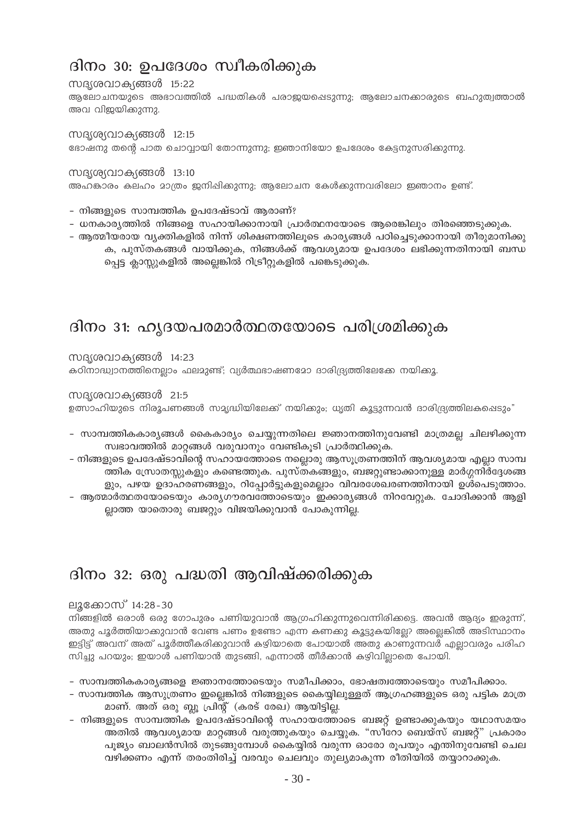# ദിനം 30: ഉപദേശം സ്വീകരിക്കുക

### സദൃശവാക്യങ്ങൾ 15:22

ആലോചനയുടെ അഭാവത്തിൽ പദ്ധതികൾ പരാജയപ്പെടുന്നു; ആലോചനക്കാരുടെ ബഹുത്വത്താൽ അവ വിജയിക്കുന്നു.

സദൃശ്യവാക്യങ്ങൾ 12:15 ഭോഷനു തന്റെ പാത ചൊവ്വായി തോന്നുന്നു; ഇഞാനിയോ ഉപദേശം കേട്ടനുസരിക്കുന്നു.

### സദൃശ്യവാക്യങ്ങൾ 13:10 അഹങ്കാരം കലഹം മാത്രം ജനിഷിക്കുന്നു; ആലോചന കേൾക്കുന്നവരിലോ ഇഞാനം ഉണ്ട്.

- നിങ്ങളുടെ സാമ്പത്തിക ഉപദേഷ്ടാവ് ആരാണ്?
- ധനകാര്യത്തിൽ നിങ്ങളെ സഹായിക്കാനായി പ്രാർത്ഥനയോടെ ആരെങ്കിലും തിരഞ്ഞെടുക്കുക.
- ആത്മീയരായ വൃക്തികളിൽ നിന്ന് ശിക്ഷണത്തിലൂടെ കാര്യങ്ങൾ പഠിച്ചെടുക്കാനായി തീരുമാനിക്കു ക, പുസ്തകങ്ങൾ വായിക്കുക, നിങ്ങൾക്ക് ആവശ്യമായ ഉപദേശം ലഭിക്കുന്നതിനായി ബന്ധ പ്പെട്ട ക്ലാസ്സുകളിൽ അല്ലെങ്കിൽ റിട്രീറ്റുകളിൽ പങ്കെടുക്കുക.

### ദിനം 31: ഹ്യദയപരമാർത്ഥതയോടെ പരിശ്രമിക്കുക

### സദൃശവാക്യങ്ങൾ 14:23

കഠിനാദ്ധ്വാനത്തിനെല്ലാം ഫലമുണ്ട്; വ്യർത്ഥഭാഷണമോ ദാരിദ്ര്യത്തിലേക്കേ നയിക്കൂ.

### സദൃശവാക്യങ്ങൾ 21:5

ഉത്സാഹിയുടെ നിരൂപണങ്ങൾ സമൃദ്ധിയിലേക്ക് നയിക്കും; ധൃതി കൂട്ടുന്നവൻ ദാരിദ്ര്യത്തിലകപ്പെടും"

- സാമ്പത്തികകാര്യങ്ങൾ കൈകാര്യം ചെയ്യുന്നതിലെ ജ്ഞാനത്തിനുവേണ്ടി മാത്രമല്ല ചിലഴിക്കുന്ന സ്വഭാവത്തിൽ മാറ്റങ്ങൾ വരുവാനും വേണ്ടികൂടി പ്രാർത്ഥിക്കുക.
- നിങ്ങളുടെ ഉപദേഷ്ടാവിന്റെ സഹായത്തോടെ നല്ലൊരു ആസൂത്രണത്തിന് ആവശ്യമായ എല്ലാ സാമ്പ ത്തിക സ്രോതസ്സുകളും കണ്ടെത്തുക. പുസ്തകങ്ങളും, ബജറ്റുണ്ടാക്കാനുള്ള മാർഗ്ഗനിർദ്ദേശങ്ങ ളും, പഴയ ഉദാഹരണങ്ങളും, റിപ്പോർട്ടുകളുമെല്ലാം വിവരശേഖരണത്തിനായി ഉൾപെടുത്താം.
- ആത്മാർത്ഥതയോടെയും കാര്യഗൗരവത്തോടെയും ഇക്കാര്യങ്ങൾ നിറവേറ്റുക. ചോദിക്കാൻ ആളി ല്ലാത്ത യാതൊരു ബജറ്റും വിജയിക്കുവാൻ പോകുന്നില്ല.

### ദിനം 32: ഒരു പദ്ധതി ആവിഷ്ക്കരിക്കുക

### ലൂക്കോസ് 14:28-30

നിങ്ങളിൽ ഒരാൾ ഒരു ഗോപുരം പണിയുവാൻ ആഗ്രഹിക്കുന്നുവെന്നിരിക്കട്ടെ. അവൻ ആദ്യം ഇരുന്ന്, അതു പൂർത്തിയാക്കുവാൻ വേണ്ട പണം ഉണ്ടോ എന്ന കണക്കു കൂട്ടുകയില്ലേ? അല്ലെങ്കിൽ അടിസ്ഥാനം ഇട്ടിട്ട് അവന് അത് പൂർത്തീകരിക്കുവാൻ കഴിയാതെ പോയാൽ അതു കാണുന്നവർ എല്ലാവരും പരിഹ സിച്ചു പറയും; ഇയാൾ പണിയാൻ തുടങ്ങി, എന്നാൽ തീർക്കാൻ കഴിവില്ലാതെ പോയി.

- സാമ്പത്തികകാര്യങ്ങളെ ജ്ഞാനത്തോടെയും സമീപിക്കാം, ഭോഷത്വത്തോടെയും സമീപിക്കാം.
- സാമ്പത്തിക ആസുത്രണം ഇല്ലെങ്കിൽ നിങ്ങളുടെ കൈയ്യിലുള്ളത് ആഗ്രഹങ്ങളുടെ ഒരു പട്ടിക മാത്ര മാണ്. അത് ഒരു ബ്ലൂ പ്രിന്റ് (കരട് രേഖ) ആയിട്ടില്ല.
- നിങ്ങളുടെ സാമ്പത്തിക ഉപദേഷ്ടാവിന്റെ സഹായത്തോടെ ബജറ്റ് ഉണ്ടാക്കുകയും യഥാസമയം അതിൽ ആവശ്യമായ മാറ്റങ്ങൾ വരുത്തുകയും ചെയ്യുക. "സീറോ ബെയ്സ് ബജറ്റ്" പ്രകാരം പൂജ്യം ബാലൻസിൽ തുടങ്ങുമ്പോൾ കൈയ്യിൽ വരുന്ന ഓരോ രൂപയും എന്തിനുവേണ്ടി ചെല വഴിക്കണം എന്ന് തരംതിരിച്ച് വരവും ചെലവും തുല്യമാകുന്ന രീതിയിൽ തയ്യാറാക്കുക.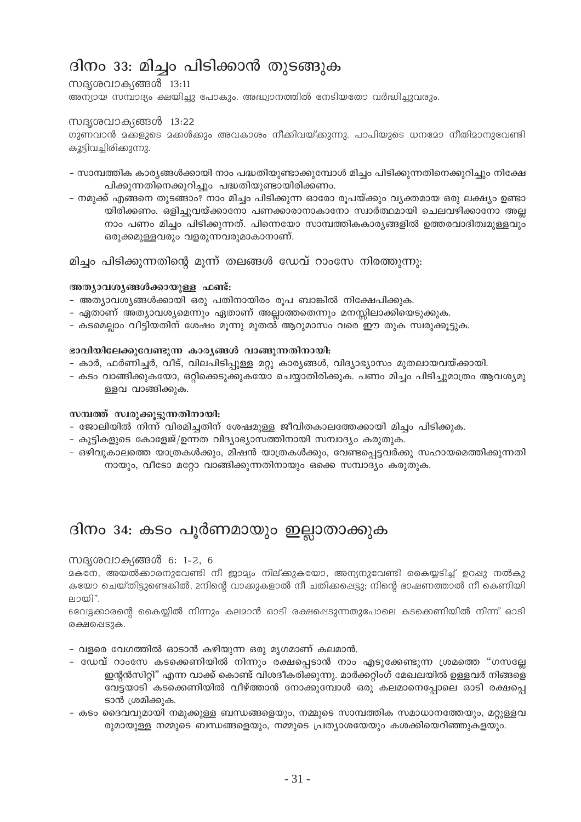# ദിനം 33: മിച്ചം പിടിക്കാൻ തുടങ്ങുക

### സദ്യശവാക്യങ്ങൾ 13:11 അന്യായ സമ്പാദ്യം ക്ഷയിച്ചു പോകും. അദ്ധ്വാനത്തിൽ നേടിയതോ വർദ്ധിച്ചുവരും.

### സദൃശവാക്യങ്ങൾ 13:22

ഗുണവാൻ മക്കളുടെ മക്കൾക്കും അവകാശം നീക്കിവയ്ക്കുന്നു. പാപിയുടെ ധനമോ നീതിമാനുവേണ്ടി കൂട്ടിവച്ചിരിക്കുന്നു.

- സാമ്പത്തിക കാര്യങ്ങൾക്കായി നാം പദ്ധതിയുണ്ടാക്കുമ്പോൾ മിച്ചം പിടിക്കുന്നതിനെക്കുറിച്ചും നിക്ഷേ പിക്കുന്നതിനെക്കുറിച്ചും പദ്ധതിയുണ്ടായിരിക്കണം.
- നമുക്ക് എങ്ങനെ തുടങ്ങാം? നാം മിച്ചം പിടിക്കുന്ന ഓരോ രുപയ്ക്കും വ്യക്തമായ ഒരു ലക്ഷ്യം ഉണ്ടാ യിരിക്കണം. ഒളിച്ചുവയ്ക്കാനോ പണക്കാരാനാകാനോ സ്വാർത്ഥമായി ചെലവഴിക്കാനോ അല്ല നാം പണം മിച്ചം പിടിക്കുന്നത്. പിന്നെയോ സാമ്പത്തികകാര്യങ്ങളിൽ ഉത്തരവാദിത്വമുള്ളവും ഒരുക്കമുള്ളവരും വളരുന്നവരുമാകാനാണ്.

മിച്ചം പിടിക്കുന്നതിന്റെ മുന്ന് തലങ്ങൾ ഡേവ് റാംസേ നിരത്തുന്നു:

### അത്യാവശ്യങ്ങൾക്കായുള്ള ഫണ്ട്:

- അത്യാവശ്യങ്ങൾക്കായി ഒരു പതിനായിരം രൂപ ബാങ്കിൽ നിക്ഷേപിക്കുക.
- ഏതാണ് അത്യാവശ്യമെന്നും ഏതാണ് അല്ലാത്തതെന്നും മനസ്സിലാക്കിയെടുക്കുക.
- കടമെല്ലാം വീട്ടിയതിന് ശേഷം മൂന്നു മുതൽ ആറുമാസം വരെ ഈ തുക സ്വരുക്കൂട്ടുക.

### ഭാവിയിലേക്കുവേണ്ടുന്ന കാര്യങ്ങൾ വാങ്ങുന്നതിനായി:

- കാർ, ഫർണിച്ചർ, വീട്, വിലപിടിപ്പുള്ള മറ്റു കാര്യങ്ങൾ, വിദ്യാഭ്യാസം മുതലായവയ്ക്കായി.
- കടം വാങ്ങിക്കുകയോ, ഒറ്റിക്കെടുക്കുകയോ ചെയ്യാതിരിക്കുക. പണം മിച്ചം പിടിച്ചുമാത്രം ആവശ്യമു ള്ളവ വാങ്ങിക്കുക.

### സമ്പത്ത് സ്വരുക്കൂട്ടുന്നതിനായി:

- ജോലിയിൽ നിന്ന് വിരമിച്ചതിന് ശേഷമുള്ള ജീവിതകാലത്തേക്കായി മിച്ചം പിടിക്കുക.
- കുട്ടികളുടെ കോളേജ്/ഉന്നത വിദ്യാഭ്യാസത്തിനായി സമ്പാദ്യം കരുതുക.
- ഒഴിവുകാലത്തെ യാത്രകൾക്കും, മിഷൻ യാത്രകൾക്കും, വേണ്ടപ്പെട്ടവർക്കു സഹായമെത്തിക്കുന്നതി നായും, വീടോ മറ്റോ വാങ്ങിക്കുന്നതിനായും ഒക്കെ സമ്പാദ്യം കരുതുക.

# ദിനം 34: കടം പൂർണമായും ഇല്ലാതാക്കുക

### സദൃശവാക്യങ്ങൾ 6: 1-2, 6

മകനേ, അയൽക്കാരനുവേണ്ടി നീ ജാമ്യം നില്ക്കുകയോ, അന്യനുവേണ്ടി കൈയുടിച്ച് ഉറപ്പു നൽകു കയോ ചെയ്തിട്ടുണ്ടെങ്കിൽ, 2നിന്റെ വാക്കുകളാൽ നീ ചതിക്കപ്പെട്ടു; നിന്റെ ഭാഷണത്താൽ നീ കെണിയി ലായി".

6വേട്ടക്കാരന്റെ കൈയ്യിൽ നിന്നും കലമാൻ ഓടി രക്ഷപ്പെടുന്നതുപോലെ കടക്കെണിയിൽ നിന്ന് ഓടി രക്ഷപ്പെടുക.

- വളരെ വേഗത്തിൽ ഓടാൻ കഴിയുന്ന ഒരു മൃഗമാണ് കലമാൻ.
- ഡേവ് റാംസേ കടക്കെണിയിൽ നിന്നും രക്ഷപ്പെടാൻ നാം എടുക്കേണ്ടുന്ന ശ്രമത്തെ "ഗസല്ലേ ഇന്റൻസിറ്റി" എന്ന വാക്ക് കൊണ്ട് വിശദീകരിക്കുന്നു. മാർക്കറ്റിംഗ് മേഖലയിൽ ഉള്ളവർ നിങ്ങളെ വേട്ടയാടി കടക്കെണിയിൽ വീഴ്ത്താൻ നോക്കുമ്പോൾ ഒരു കലമാനെപ്പോലെ ഓടി രക്ഷപ്പെ ടാൻ ശ്രമിക്കുക.
- കടം ദൈവവുമായി നമുക്കുള്ള ബന്ധങ്ങളെയും, നമ്മുടെ സാമ്പത്തിക സമാധാനത്തേയും, മറ്റുള്ളവ രുമായുള്ള നമ്മുടെ ബന്ധങ്ങളെയും, നമ്മുടെ പ്രത്യാശയേയും കശക്കിയെറിഞ്ഞുകളയും.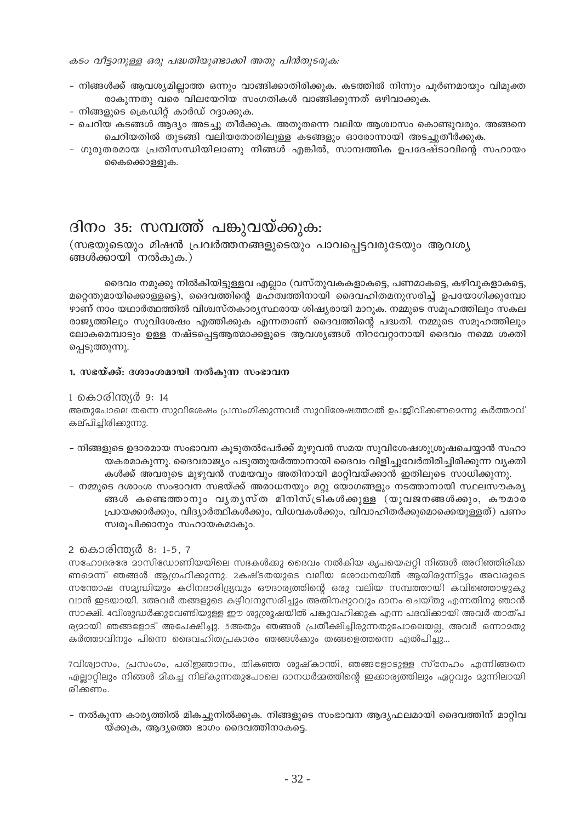കടം വീട്ടാനുള്ള ഒരു പദ്ധതിയുണ്ടാക്കി അതു പിൻതുടരുക:

- നിങ്ങൾക്ക് ആവശ്യമില്ലാത്ത ഒന്നും വാങ്ങിക്കാതിരിക്കുക. കടത്തിൽ നിന്നും പുർണമായും വിമുക്ത രാകുന്നതു വരെ വിലയേറിയ സംഗതികൾ വാങ്ങിക്കുന്നത് ഒഴിവാക്കുക.
- നിങ്ങളുടെ ഫ്രെഡിറ്റ് കാർഡ് റദ്ദാക്കുക.
- ചെറിയ കടങ്ങൾ ആദ്യം അടച്ചു തീർക്കുക. അതുതന്നെ വലിയ ആശ്വാസം കൊണ്ടുവരും. അങ്ങനെ ചെറിയതിൽ തുടങ്ങി വലിയതോതിലുള്ള കടങ്ങളും ഓരോന്നായി അടച്ചുതീർക്കുക.
- ഗുരുതരമായ പ്രതിസന്ധിയിലാണു നിങ്ങൾ എങ്കിൽ, സാമ്പത്തിക ഉപദേഷ്ടാവിന്റെ സഹായം കൈക്കൊള്ളുക.

# ദിനം 35: സമ്പത്ത് പങ്കുവയ്ക്കുക:

(സഭയുടെയും മിഷൻ പ്രവർത്തനങ്ങളുടെയും പാവപ്പെട്ടവരുടേയും ആവശ്യ ങ്ങൾക്കായി നൽകുക.)

ദൈവം നമുക്കു നിൽകിയിട്ടുള്ളവ എല്ലാം (വസ്തുവകകളാകട്ടെ, പണമാകട്ടെ, കഴിവുകളാകട്ടെ, മറ്റെന്തുമായിക്കൊള്ളട്ടെ), ദൈവത്തിന്റെ മഹത്വത്തിനായി ദൈവഹിതമനുസരിച്ച് ഉപയോഗിക്കുമ്പോ ഴാണ് നാം യഥാർത്ഥത്തിൽ വിശ്വസ്തകാര്യസ്ഥരായ ശിഷ്യരായി മാറുക. നമ്മുടെ സമുഹത്തിലും സകല രാജ്യത്തിലും സുവിശേഷം എത്തിക്കുക എന്നതാണ് ദൈവത്തിന്റെ പദ്ധതി. നമ്മുടെ സമൂഹത്തിലും ലോകമെമ്പാടും ഉള്ള നഷ്ടപ്പെട്ടആത്മാക്കളുടെ ആവശ്യങ്ങൾ നിറവേറ്റാനായി ദൈവം നമ്മെ ശക്തി പ്പെടുത്തുന്നു.

### 1. സഭയ്ക്ക്: ദശാംശമായി നൽകുന്ന സംഭാവന

### 1 കൊരിന്ത്യർ 9: 14

അതുപോലെ തന്നെ സുവിശേഷം പ്രസംഗിക്കുന്നവർ സുവിശേഷത്താൽ ഉപജീവിക്കണമെന്നു കർത്താവ് കല്പിച്ചിരിക്കുന്നു.

- നിങ്ങളുടെ ഉദാരമായ സംഭാവന കൂടുതൽപേർക്ക് മുഴുവൻ സമയ സുവിശേഷശുശ്രൂഷചെയ്യാൻ സഹാ യകരമാകുന്നു. ദൈവരാജ്യം പടുത്തുയർത്താനായി ദൈവം വിളിച്ചുവേർതിരിച്ചിരിക്കുന്ന വ്യക്തി കൾക്ക് അവരുടെ മുഴുവൻ സമയവും അതിനായി മാറ്റിവയ്ക്കാൻ ഇതിലൂടെ സാധിക്കുന്നു.
- നമ്മുടെ ദശാംശ സംഭാവന സഭയ്ക്ക് അരാധനയും മറ്റു യോഗങ്ങളും നടത്താനായി സ്ഥലസൗകര്യ ങ്ങൾ കണ്ടെത്താനും വൃതൃസ്ത മിനിസ്ട്രികൾക്കുള്ള (യുവജനങ്ങൾക്കും, കൗമാര പ്രായക്കാർക്കും, വിദ്യാർത്ഥികൾക്കും, വിധവകൾക്കും, വിവാഹിതർക്കുമൊക്കെയുള്ളത്) പണം സ്വരൂപിക്കാനും സഹായകമാകും.

### 2 കൊരിന്ത്യർ 8: 1-5, 7

സഹോദരരേ മാസിഡോണിയയിലെ സഭകൾക്കു ദൈവം നൽകിയ കൃപയെഷറ്റി നിങ്ങൾ അറിഞ്ഞിരിക്ക ണമെന്ന് ഞങ്ങൾ ആഗ്രഹിക്കുന്നു. 2കഷ്ടതയുടെ വലിയ രോധനയിൽ ആയിരുന്നിട്ടും അവരുടെ സന്തോഷ സമൃദ്ധിയും കഠിനദാരിദ്ര്യവും ഔദാര്യത്തിന്റെ ഒരു വലിയ സമ്പത്തായി കവിഞ്ഞൊഴുകു വാൻ ഇടയായി. 3അവർ തങ്ങളുടെ കഴിവനുസരിച്ചും അതിനപ്പുറവും ദാനം ചെയ്തു എന്നതിനു ഞാൻ സാക്ഷി. 4വിശുദ്ധർക്കുവേണ്ടിയുള്ള ഈ ശുശ്രൂഷയിൽ പങ്കുവഹിക്കുക എന്ന പദവിക്കായി അവർ താത്പ ര്യദായി ഞങ്ങളോട് അപേക്ഷിച്ചു. 5അതും ഞങ്ങൾ പ്രതീക്ഷിച്ചിരുന്നതുപോലെയല്ല, അവർ ഒന്നാമതു കർത്താവിനും പിന്നെ ദൈവഹിതപ്രകാരം ഞങ്ങൾക്കും തങ്ങളെത്തന്നെ ഏൽപിച്ചു...

7വിശ്വാസം, പ്രസംഗം, പരിജ്ഞാനം, തികഞ്ഞ ശുഷ്കാന്തി, ഞങ്ങളോടുള്ള സ്നേഹം എന്നിങ്ങനെ എല്ലാറ്റിലും നിങ്ങൾ മികച്ച നില്കുന്നതുപോലെ ദാനധർമ്മത്തിന്റെ ഇക്കാര്യത്തിലും ഏറ്റവും മുന്നിലായി രിക്കണം.

– നൽകുന്ന കാര്യത്തിൽ മികച്ചുനിൽക്കുക. നിങ്ങളുടെ സംഭാവന ആദ്യഫലമായി ദൈവത്തിന് മാറ്റിവ യ്ക്കുക, ആദ്യത്തെ ഭാഗം ദൈവത്തിനാകട്ടെ.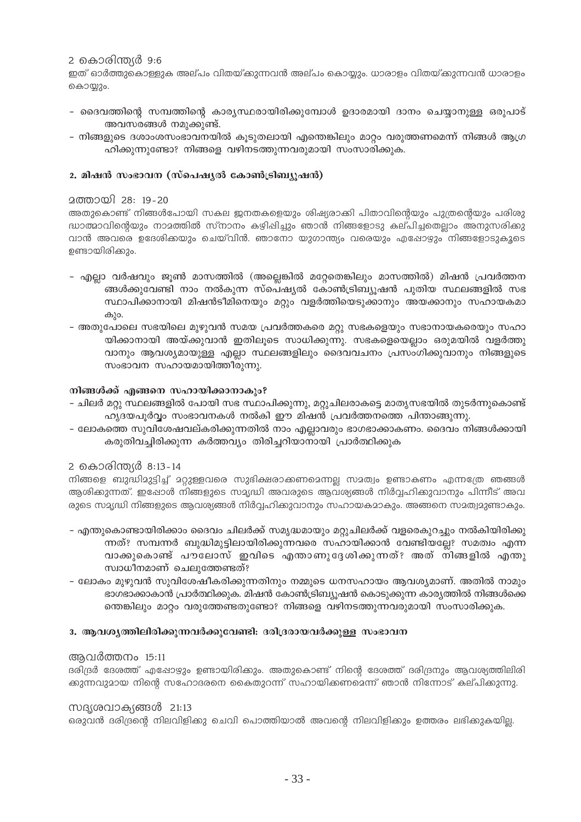### 2 കൊരിന്തർ 9:6

ഇത് ഓർത്തുകൊള്ളുക അല്പം വിതയ്ക്കുന്നവൻ അല്പം കൊയ്യും. ധാരാളം വിതയ്ക്കുന്നവൻ ധാരാളം കൊയ്യും.

- ദൈവത്തിന്റെ സമ്പത്തിന്റെ കാര്യസ്ഥരായിരിക്കുമ്പോൾ ഉദാരമായി ദാനം ചെയ്യാനുള്ള ഒരുപാട് അവസരങ്ങൾ നമുക്കുണ്ട്.
- നിങ്ങളുടെ ദശാംശസംഭാവനയിൽ കുടുതലായി എന്തെങ്കിലും മാറ്റം വരുത്തണമെന്ന് നിങ്ങൾ ആഗ്ര ഹിക്കുന്നുണ്ടോ? നിങ്ങളെ വഴിനടത്തുന്നവരുമായി സംസാരിക്കുക.

### 2. മിഷൻ സംഭാവന (സ്പെഷ്യൽ കോൺട്രിബ്യൂഷൻ)

### 

അതുകൊണ്ട് നിങ്ങൾപോയി സകല ജനതകളെയും ശിഷ്യരാക്കി പിതാവിന്റെയും പുത്രന്റെയും പരിശു ദ്ധാത്മാവിന്റെയും നാമത്തിൽ സ്നാനം കഴിപ്പിച്ചും ഞാൻ നിങ്ങളോടു കല്പിച്ചതെല്ലാം അനുസരിക്കു വാൻ അവരെ ഉദേശിക്കയും ചെയ്വിൻ. ഞാനോ യുഗാന്ത്യം വരെയും എഷോഴും നിങ്ങളോടുകൂടെ ഉണ്ടായിരിക്കും.

- എല്ലാ വർഷവും ജുൺ മാസത്തിൽ (അല്ലെങ്കിൽ മറ്റേതെങ്കിലും മാസത്തിൽ) മിഷൻ പ്രവർത്തന ങ്ങൾക്കുവേണ്ടി നാം നൽകുന്ന സ്പെഷ്യൽ കോൺട്രിബ്യൂഷൻ പുതിയ സ്ഥലങ്ങളിൽ സഭ സ്ഥാപിക്കാനായി മിഷൻടീമിനെയും മറ്റും വളർത്തിയെടുക്കാനും അയക്കാനും സഹായകമാ കും.
- അതുപോലെ സഭയിലെ മുഴുവൻ സമയ പ്രവർത്തകരെ മറ്റു സഭകളെയും സഭാനായകരെയും സഹാ യിക്കാനായി അയ്ക്കുവാൻ ഇതിലൂടെ സാധിക്കുന്നു. സഭകളെയെല്ലാം ഒരുമയിൽ വളർത്തു വാനും ആവശ്യമായുള്ള എല്ലാ സ്ഥലങ്ങളിലും ദൈവവചനം പ്രസംഗിക്കുവാനും നിങ്ങളുടെ സംഭാവന സഹായമായിത്തീരുന്നു.

### നിങ്ങൾക്ക് എങ്ങനെ സഹായിക്കാനാകും?

- ചിലർ മറ്റു സ്ഥലങ്ങളിൽ പോയി സഭ സ്ഥാപിക്കുന്നു, മറ്റുചിലരാകട്ടെ മാതൃസഭയിൽ തുടർന്നുകൊണ്ട<mark>്</mark> ഹൃദയപൂർവ്വം സംഭാവനകൾ നൽകി ഈ മിഷൻ പ്രവർത്തനത്തെ പിന്താങ്ങുന്നു.
- ലോകത്തെ സുവിശേഷവല്കരിക്കുന്നതിൽ നാം എല്ലാവരും ഭാഗഭാക്കാകണം. ദൈവം നിങ്ങൾക്കായി കരുതിവച്ചിരിക്കുന്ന കർത്തവ്യം തിരിച്ചറിയാനായി പ്രാർത്ഥിക്കുക

### 2 കൊരിന്ത്യർ 8:13-14

നിങ്ങളെ ബുദ്ധിമുട്ടിച്ച് മറുള്ളവരെ സുഭിക്ഷരാക്കണമെന്നല സമത്വം ഉണ്ടാകണം എന്നത്രേ ഞങ്ങൾ ആശിക്കുന്നത്. ഇപ്പോൾ നിങ്ങളുടെ സമൃദ്ധി അവരുടെ ആവശ്യങ്ങൾ നിർവ്വഹിക്കുവാനും പിന്നീട് അവ രുടെ സമൃദ്ധി നിങ്ങളുടെ ആവശ്യങ്ങൾ നിർവ്വഹിക്കുവാനും സഹായകമാകും. അങ്ങനെ സമത്വമുണ്ടാകും.

- എന്തുകൊണ്ടായിരിക്കാം ദൈവം ചിലർക്ക് സമൃദ്ധമായും മറ്റുചിലർക്ക് വളരെകുറച്ചും നൽകിയിരിക്കു ന്നത്? സമ്പന്നർ ബുദ്ധിമുട്ടിലായിരിക്കുന്നവരെ സഹായിക്കാൻ വേണ്ടിയല്ലേ? സമത്വം എന്ന വാക്കുകൊണ്ട് പൗലോസ് ഇവിടെ എന്താണുദ്ദേശിക്കുന്നത്? അത് നിങ്ങളിൽ എന്തു സ്വാധീനമാണ് ചെലുത്തേണ്ടത്?
- ലോകം മുഴുവൻ സുവിശേഷീകരിക്കുന്നതിനും നമ്മുടെ ധനസഹായം ആവശ്യമാണ്. അതിൽ നാമും ഭാഗഭാക്കാകാൻ പ്രാർത്ഥിക്കുക. മിഷൻ കോൺട്രിബ്യുഷൻ കൊടുക്കുന്ന കാര്യത്തിൽ നിങ്ങൾക്കെ തെങ്കിലും മാറ്റം വരുത്തേണ്ടതുണ്ടോ? നിങ്ങളെ വഴിനടത്തുന്നവരുമായി സംസാരിക്കുക.

### 3. ആവശ്യത്തിലിരിക്കുന്നവർക്കുവേണ്ടി: ദരിദ്രരായവർക്കുള്ള സംഭാവന

### ആവർത്തനം 15:11

ദരിദ്രർ ദേശത്ത് എപ്പോഴും ഉണ്ടായിരിക്കും. അതുകൊണ്ട് നിന്റെ ദേശത്ത് ദരിദ്രനും ആവശ്യത്തിലിരി ക്കുന്നവുമായ നിന്റെ സഹോദരനെ കൈതുറന്ന് സഹായിക്കണമെന്ന് ഞാൻ നിന്നോട് കല്പിക്കുന്നു.

### സദൃശവാക്യങ്ങൾ 21:13

ഒരുവൻ ദരിദ്രന്റെ നിലവിളിക്കു ചെവി പൊത്തിയാൽ അവന്റെ നിലവിളിക്കും ഉത്തരം ലഭിക്കുകയില്ല.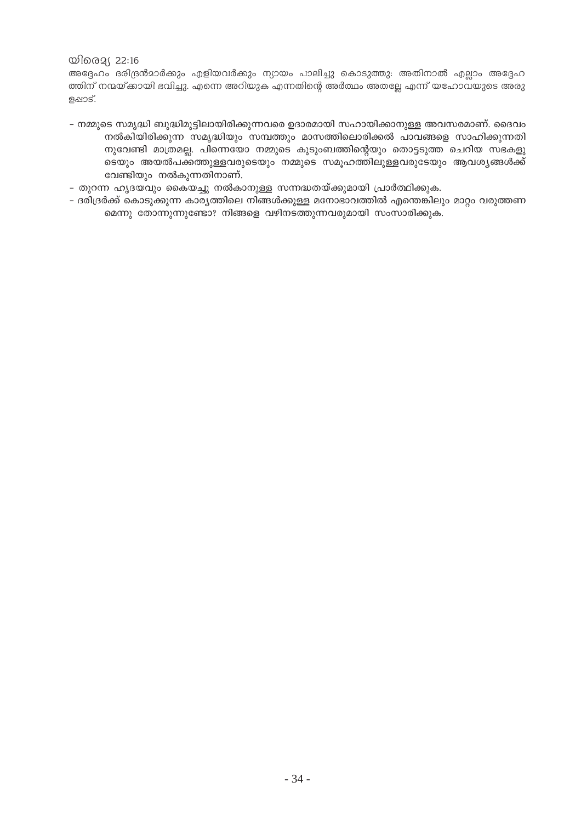### യിരെ $2(22:16)$

അദ്ദേഹം ദരിദ്രൻമാർക്കും എളിയവർക്കും ന്യായം പാലിച്ചു കൊടുത്തു: അതിനാൽ എല്ലാം അദ്ദേഹ ത്തിന് നന്മയ്ക്കായി ഭവിച്ചു. എന്നെ അറിയുക എന്നതിന്റെ അർത്ഥം അതല്ലേ എന്ന് യഹോവയുടെ അരു ളഷാട്.

- നമ്മുടെ സമൃദ്ധി ബുദ്ധിമുട്ടിലായിരിക്കുന്നവരെ ഉദാരമായി സഹായിക്കാനുള്ള അവസരമാണ്. ദൈവം നൽകിയിരിക്കുന്ന സമൃദ്ധിയും സമ്പത്തും മാസത്തിലൊരിക്കൽ പാവങ്ങളെ സാഹിക്കുന്നതി നുവേണ്ടി മാത്രമല്ല. പിന്നെയോ നമ്മുടെ കുടുംബത്തിന്റെയും തൊട്ടടുത്ത ചെറിയ സഭകളു ടെയും അയൽപക്കത്തുള്ളവരുടെയും നമ്മുടെ സമൂഹത്തിലുള്ളവരുടേയും ആവശൃങ്ങൾക്ക് വേണ്ടിയും നൽകുന്നതിനാണ്.
- തുറന്ന ഹൃദയവും കൈയച്ചു നൽകാനുള്ള സന്നദ്ധതയ്ക്കുമായി പ്രാർത്ഥിക്കുക.
- ദരിദ്രർക്ക് കൊടുക്കുന്ന കാര്യത്തിലെ നിങ്ങൾക്കുള്ള മനോഭാവത്തിൽ എന്തെങ്കിലും മാറ്റം വരുത്തണ മെന്നു തോന്നുന്നുണ്ടോ? നിങ്ങളെ വഴിനടത്തുന്നവരുമായി സംസാരിക്കുക.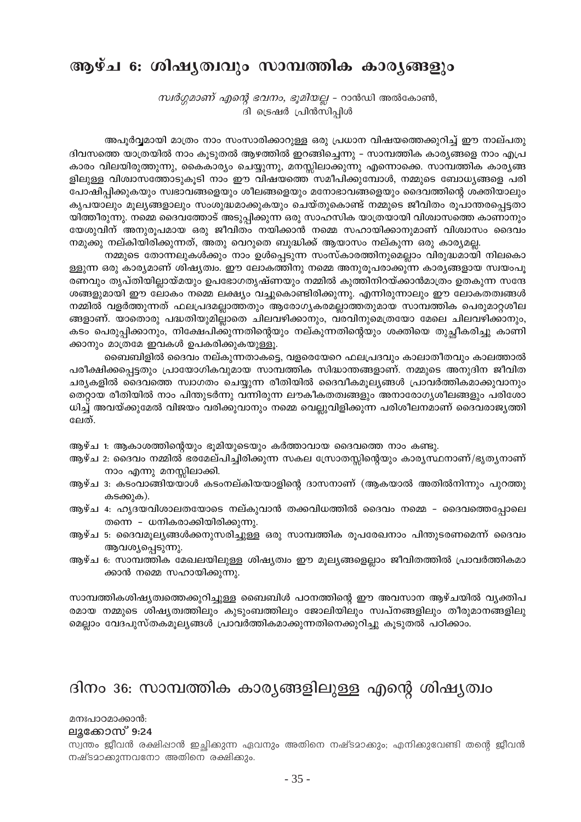# ആഴ്ച 6: ശിഷൃത്വവും സാമ്പത്തിക കാരൃങ്ങളും

*സ്വർഗ്ഗമാണ് എന്റെ ഭവനം, ഭൂമിയല്ല -* റാൻഡി അൽകോൺ, ദി ട്രെഷർ പ്രിൻസിപ്പിൾ

അപൂർവ്വമായി മാത്രം നാം സംസാരിക്കാറുള്ള ഒരു പ്രധാന വിഷയത്തെക്കുറിച്ച് ഈ നാല്പതു ദിവസത്തെ യാത്രയിൽ നാം കൂടുതൽ ആഴത്തിൽ ഇറങ്ങിച്ചെന്നു – സാമ്പത്തിക കാര്യങ്ങളെ നാം എപ്ര കാരം വിലയിരുത്തുന്നു, കൈകാര്യം ചെയ്യുന്നു, മനസ്സിലാക്കുന്നു എന്നൊക്കെ. സാമ്പത്തിക കാര്യങ്ങ ളിലുള്ള വിശ്വാസത്തോടുകുടി നാം ഈ വിഷയത്തെ സമീപിക്കുമ്പോൾ, നമ്മുടെ ബോധ്യങ്ങളെ പരി പോഷിപ്പിക്കുകയും സ്വഭാവങ്ങളെയും ശീലങ്ങളെയും മനോഭാവങ്ങളെയും ദൈവത്തിന്റെ ശക്തിയാലും കൃപയാലും മൂല്യങ്ങളാലും സംശുദ്ധമാക്കുകയും ചെയ്തുകൊണ്ട് നമ്മുടെ ജീവിതം രൂപാന്തരപ്പെട്ടതാ യിത്തീരുന്നു. നമ്മെ ദൈവത്തോട് അടുപ്പിക്കുന്ന ഒരു സാഹസിക യാത്രയായി വിശ്വാസത്തെ കാണാനും യേശുവിന് അനുരുപമായ ഒരു ജീവിതം നയിക്കാൻ നമ്മെ സഹായിക്കാനുമാണ് വിശ്വാസം ദൈവം നമുക്കു നല്കിയിരിക്കുന്നത്, അതു വെറുതെ ബുദ്ധിക്ക് ആയാസം നല്കുന്ന ഒരു കാര്യമല്ല.

നമ്മുടെ തോന്നലുകൾക്കും നാം ഉൾപ്പെടുന്ന സംസ്കാരത്തിനുമെല്ലാം വിരുദ്ധമായി നിലകൊ ള്ളുന്ന ഒരു കാര്യമാണ് ശിഷ്യത്വം. ഈ ലോകത്തിനു നമ്മെ അനുരൂപരാക്കുന്ന കാര്യങ്ങളായ സ്വയംപൂ രണവും തൃപ്തിയില്ലായ്മയും ഉപഭോഗതൃഷ്ണയും നമ്മിൽ കുത്തിനിറയ്ക്കാൻമാത്രം ഉതകുന്ന സന്ദേ ശങ്ങളുമായി ഈ ലോകം നമ്മെ ലക്ഷ്യം വച്ചുകൊണ്ടിരിക്കുന്നു. എന്നിരുന്നാലും ഈ ലോകതത്വങ്ങൾ നമ്മിൽ വളർത്തുന്നത് ഫലപ്രദമല്ലാത്തതും ആരോഗ്യകരമല്ലാത്തതുമായ സാമ്പത്തിക പെരുമാറശീല ങ്ങളാണ്. യാതൊരു പദ്ധതിയുമില്ലാതെ ചിലവഴിക്കാനും, വരവിനുമെത്രയോ മേലെ ചിലവഴിക്കാനും, കടം പെരുപ്പിക്കാനും, നിക്ഷേപിക്കുന്നതിന്റെയും നല്കുന്നതിന്റെയും ശക്തിയെ തുച്ചീകരിച്ചു കാണി ക്കാനും മാത്രമേ ഇവകൾ ഉപകരിക്കുകയുള്ളൂ.

ബൈബിളിൽ ദൈവം നല്കുന്നതാകട്ടെ, വളരെയേറെ ഫലപ്രദവും കാലാതീതവും കാലത്താൽ പരീക്ഷിക്കപ്പെട്ടതും പ്രായോഗികവുമായ സാമ്പത്തിക സിദ്ധാന്തങ്ങളാണ്. നമ്മുടെ അനുദിന ജീവിത ചര്യകളിൽ ദൈവത്തെ സ്ഥാഗതം ചെയ്യുന്ന രീതിയിൽ ദൈവീകമുല്യങ്ങൾ പ്രാവർത്തികമാക്കുവാനും തെറ്റായ രീതിയിൽ നാം പിന്തുടർന്നു വന്നിരുന്ന ലൗകീകതത്വങ്ങളും അനാരോഗ്യശീലങ്ങളും പരിശോ ധിച്ച് അവയ്ക്കുമേൽ വിജയം വരിക്കുവാനും നമ്മെ വെല്ലുവിളിക്കുന്ന പരിശീലനമാണ് ദൈവരാജ്യത്തി ലേത്.

- ആഴ്ച 1: ആകാശത്തിന്റെയും ഭുമിയുടെയും കർത്താവായ ദൈവത്തെ നാം കണ്ടു.
- ആഴ്ച 2: ദൈവം നമ്മിൽ ഭരമേല്പിച്ചിരിക്കുന്ന സകല സ്രോതസ്സിന്റെയും കാര്യസ്ഥനാണ്/ഭൃത്യനാണ് നാം എന്നു മനസ്സിലാക്കി.
- ആഴ്ച 3: കടംവാങ്ങിയയാൾ കടംനല്കിയയാളിന്റെ ദാസനാണ് (ആകയാൽ അതിൽനിന്നും പുറത്തു കടക്കുക).
- ആഴ്ച 4: ഹൃദയവിശാലതയോടെ നല്കുവാൻ തക്കവിധത്തിൽ ദൈവം നമ്മെ ദൈവത്തെപ്പോലെ തന്നെ - ധനികരാക്കിയിരിക്കുന്നു.
- ആഴ്ച 5: ദൈവമൂല്യങ്ങൾക്കനുസരിച്ചുള്ള ഒരു സാമ്പത്തിക രൂപരേഖനാം പിന്തുടരണമെന്ന് ദൈവം ആവശ്യപ്പെടുന്നു.
- ആഴ്ച 6: സാമ്പത്തിക മേഖലയിലുള്ള ശിഷ്യത്വം ഈ മൂല്യങ്ങളെല്ലാം ജീവിതത്തിൽ പ്രാവർത്തികമാ ക്കാൻ നമ്മെ സഹായിക്കുന്നു.

സാമ്പത്തികശിഷ്യത്വത്തെക്കുറിച്ചുള്ള ബൈബിൾ പഠനത്തിന്റെ ഈ അവസാന ആഴ്ചയിൽ വൃക്തിപ രമായ നമ്മുടെ ശിഷ്യത്വത്തിലും കുടുംബത്തിലും ജോലിയിലും സ്വപ്നങ്ങളിലും തീരുമാനങ്ങളിലു മെല്ലാം വേദപുസ്തകമൂല്യങ്ങൾ പ്രാവർത്തികമാക്കുന്നതിനെക്കുറിച്ചു കൂടുതൽ പഠിക്കാം.

### ദിനം 36: സാമ്പത്തിക കാര്യങ്ങളിലുള്ള എന്റെ ശിഷ്യത്വം

### മനഃപാഠമാക്കാൻ:

### ലൂക്കോസ് 9:24

സ്വന്തം ജീവൻ രക്ഷിഷാൻ ഇചിക്കുന്ന ഏവനും അതിനെ നഷ്ടമാക്കും; എനിക്കുവേണ്ടി തന്റെ ജീവൻ നഷ്ടമാക്കുന്നവനോ അതിനെ രക്ഷിക്കും.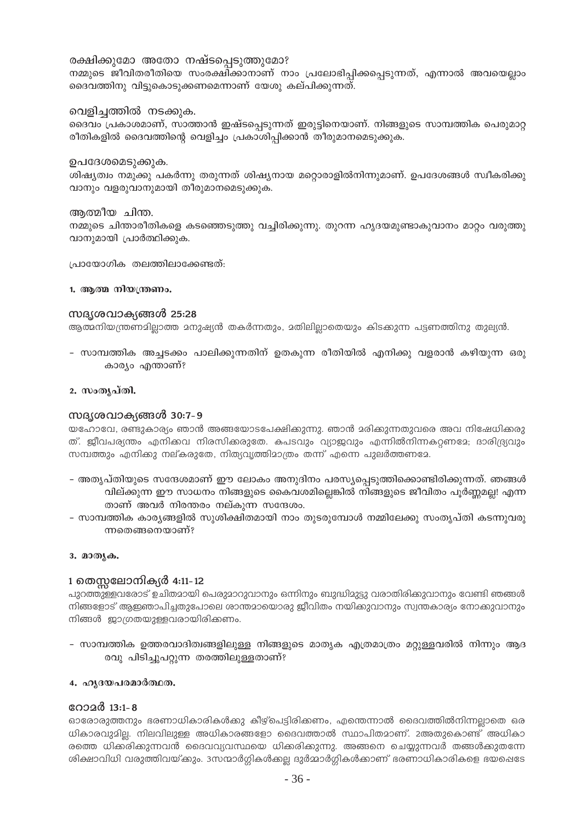### രക്ഷിക്കുമോ അതോ നഷ്ടപ്പെടുത്തുമോ?

നമ്മുടെ ജീവിതരീതിയെ സംരക്ഷിക്കാനാണ് നാം പ്രലോഭിപ്പിക്കപ്പെടുന്നത്, എന്നാൽ അവയെല്ലാം ദൈവത്തിനു വിട്ടുകൊടുക്കണമെന്നാണ് യേശു കല്പിക്കുന്നത്.

### വെളിച്ചത്തിൽ നടക്കുക.

ദൈവം പ്രകാശമാണ്, സാത്താൻ ഇഷ്ടപ്പെടുന്നത് ഇരുട്ടിനെയാണ്. നിങ്ങളുടെ സാമ്പത്തിക പെരുമാറ്റ രീതികളിൽ ദൈവത്തിന്റെ വെളിച്ചം പ്രകാശിപ്പിക്കാൻ തീരുമാനമെടുക്കുക.

### ഉപദേശമെടുക്കുക.

ശിഷ്യത്വം നമുക്കു പകർന്നു തരുന്നത് ശിഷ്യനായ മറ്റൊരാളിൽനിന്നുമാണ്. ഉപദേശങ്ങൾ സ്വീകരിക്കു വാനും വളരുവാനുമായി തീരുമാനമെടുക്കുക.

### അത്മീയ ചിന്ത.

നമ്മുടെ ചിന്താരീതികളെ കടഞ്ഞെടുത്തു വച്ചിരിക്കുന്നു. തുറന്ന ഹൃദയമുണ്ടാകുവാനം മാറ്റം വരുത്തു വാനുമായി പ്രാർത്ഥിക്കുക.

പ്രായോഗിക തലത്തിലാക്കേണ്ടത്:

### 1. ആത്മ നിയന്ത്രണം.

### സദൃശവാക്യങ്ങൾ 25:28

ആത്മനിയന്ത്രണമിലാത്ത മനുഷ്യൻ തകർന്നതും, മതിലിലാതെയും കിടക്കുന്ന പട്ടണത്തിനു തുല്യൻ.

- സാമ്പത്തിക അച്ചടക്കം പാലിക്കുന്നതിന് ഉതകുന്ന രീതിയിൽ എനിക്കു വളരാൻ കഴിയുന്ന ഒരു കാര്യം എന്താണ്?

### 2. സംതൃപ്തി.

### സദൃശവാക്യങ്ങൾ 30:7-9

യഹോവേ, രണ്ടുകാര്യം ഞാൻ അങ്ങയോടപേക്ഷിക്കുന്നു. ഞാൻ മരിക്കുന്നതുവരെ അവ നിഷേധിക്കരു ത്. ജീവപര്യന്തം എനിക്കവ നിരസിക്കരുതേ. കപടവും വ്യാജവും എന്നിൽനിന്നകറ്റണദേ; ദാരിദ്ര്യവും സമ്പത്തും എനിക്കു നല്കരുതേ, നിത്യവൃത്തിമാത്രം തന്ന് എന്നെ പുലർത്തണമേ.

- അതൃപ്തിയുടെ സന്ദേശമാണ് ഈ ലോകം അനുദിനം പരസ്യപ്പെടുത്തിക്കൊണ്ടിരിക്കുന്നത്. ഞങ്ങൾ വില്ക്കുന്ന ഈ സാധനം നിങ്ങളുടെ കൈവശമില്ലെങ്കിൽ നിങ്ങളുടെ ജീവിതം പൂർണ്ണമല്ല! എന്ന താണ് അവർ നിരന്തരം നല്കുന്ന സന്ദേശം.
- സാമ്പത്തിക കാര്യങ്ങളിൽ സുശിക്ഷിതമായി നാം തുടരുമ്പോൾ നമ്മിലേക്കു സംതൃപ്തി കടന്നുവരു ന്നതെങ്ങനെയാണ്?

### 3. മാതൃക.

### 1 തെസലോനിക്യർ 4:11-12

പുറത്തുള്ളവരോട് ഉചിതമായി പെരുമാറുവാനും ഒന്നിനും ബുദ്ധിമുട്ടു വരാതിരിക്കുവാനും വേണ്ടി ഞങ്ങൾ നിങ്ങളോട് ആഇഞാപിച്ചതുപോലെ ശാന്തമായൊരു ജീവിതം നയിക്കുവാനും സ്വന്തകാര്യം നോക്കുവാനും നിങ്ങൾ ജാഗ്രതയുള്ളവരായിരിക്കണം.

– സാമ്പത്തിക ഉത്തരവാദിത്വങ്ങളിലുള്ള നിങ്ങളുടെ മാതൃക എത്രമാത്രം മറ്റുള്ളവരിൽ നിന്നും ആദ രവു പിടിച്ചുപറ്റുന്ന തരത്തിലുള്ളതാണ്?

### 4. ഹൃദയപരമാർത്ഥത.

### റോമർ 13:1-8

ഓരോരുത്തനും ഭരണാധികാരികൾക്കു കീഴ്പെട്ടിരിക്കണം, എന്തെന്നാൽ ദൈവത്തിൽനിന്നല്ലാതെ ഒര ധികാരവുമില. നിലവിലുള്ള അധികാരങ്ങളോ ദൈവത്താൽ സ്ഥാപിതമാണ്. 2അതുകൊണ്ട് അധികാ രത്തെ ധിക്കരിക്കുന്നവൻ ദൈവവ്യവസ്ഥയെ ധിക്കരിക്കുന്നു. അങ്ങനെ ചെയ്യുന്നവർ തങ്ങൾക്കുതന്നേ ശിക്ഷാവിധി വരുത്തിവയ്ക്കും. 3സന്മാർഗ്ഗികൾക്കല്ല ദുർമ്മാർഗ്ഗികൾക്കാണ് ഭരണാധികാരികളെ ഭയപ്പെടേ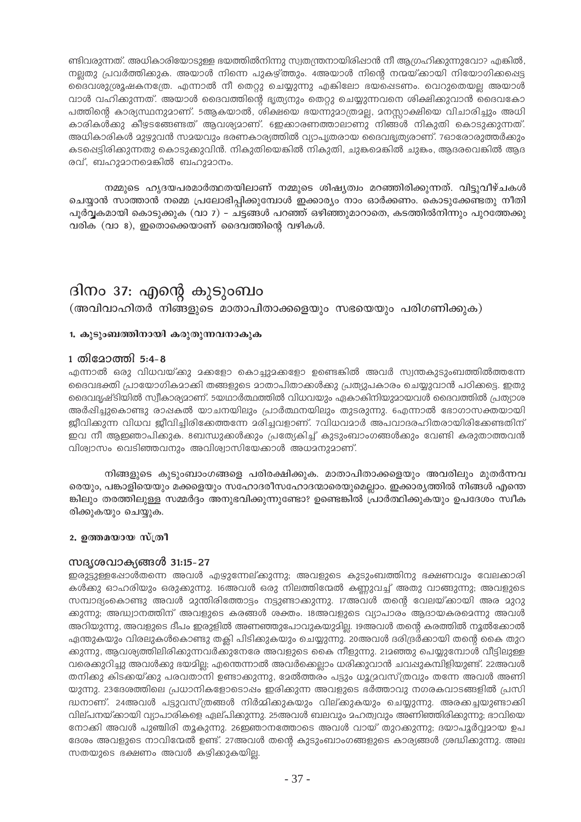ണ്ടിവരുന്നത്. അധികാരിയോടുള്ള ഭയത്തിൽനിന്നു സ്വതന്ത്രനായിരിഷാൻ നീ ആഗ്രഹിക്കുന്നുവോ? എങ്കിൽ, നലതു പ്രവർത്തിക്കുക. അയാൾ നിന്നെ പുകഴ്ത്തും. 4അയാൾ നിന്റെ നന്മയ്ക്കായി നിയോഗിക്കപ്പെട്ട ദൈവശുശ്രൂഷകനത്രേ. എന്നാൽ നീ തെറ്റു ചെയ്യുന്നു എങ്കിലോ ഭയപ്പെടണം. വെറുതെയല്ല അയാൾ വാൾ വഹിക്കുന്നത്. അയാൾ ദൈവത്തിന്റെ ഭൃത്യനും തെറ്റു ചെയ്യുന്നവനെ ശിക്ഷിക്കുവാൻ ദൈവകോ പത്തിന്റെ കാര്യസ്ഥനുമാണ്. 5ആകയാൽ, ശിക്ഷയെ ഭയന്നുമാത്രമല്ല, മനസ്സാക്ഷിയെ വിചാരിച്ചും അധി കാരികൾക്കു കീഴ്ടങ്ങേണ്ടത് ആവശ്യമാണ്. ഇെക്കാരണത്താലാണു നിങ്ങൾ നികുതി കൊടുക്കുന്നത്. അധികാരികൾ മുഴുവൻ സമയവും ഭരണകാര്യത്തിൽ വ്യാപൃതരായ ദൈവഭ്യത്യരാണ്. 7ഓരോരുത്തർക്കും കടപ്പെട്ടിരിക്കുന്നതു കൊടുക്കുവിൻ. നികുതിയെങ്കിൽ നികുതി, ചുങ്കമെങ്കിൽ ചുങ്കം, ആദരവെങ്കിൽ ആദ രവ്, ബഹുമാനമെങ്കിൽ ബഹുമാനം.

നമ്മുടെ ഹൃദയപരമാർത്ഥതയിലാണ് നമ്മുടെ ശിഷ്യത്വം മറഞ്ഞിരിക്കുന്നത്. വിട്ടുവീഴ്ചകൾ ചെയ്യാൻ സാത്താൻ നമ്മെ പ്രലോഭിപ്പിക്കുമ്പോൾ ഇക്കാര്യം നാം ഓർക്കണം. കൊടുക്കേണ്ടതു നീതി പൂർവകമായി കൊടുക്കുക (വാ 7) – ചട്ടങ്ങൾ പറഞ്ഞ് ഒഴിഞ്ഞുമാറാതെ, കടത്തിൽനിന്നും പുറത്തേക്കു വരിക (വാ 8), ഇതൊക്കെയാണ് ദൈവത്തിന്റെ വഴികൾ.

# ദിനം 37: എന്റെ കുടുംബം

(അവിവാഹിതർ നിങ്ങളുടെ മാതാപിതാക്കളെയും സഭയെയും പരിഗണിക്കുക)

### 1. കുടുംബത്തിനായി കരുതുന്നവനാകുക

### 1 തിദോത്തി 5:4-8

എന്നാൽ ഒരു വിധവയ്ക്കു മക്കളോ കൊച്ചുമക്കളോ ഉണ്ടെകിൽ അവർ സ്വന്തകുടുംബത്തിൽത്തന്നേ ദൈവഭക്തി പ്രായോഗികമാക്കി തങ്ങളുടെ മാതാപിതാക്കൾക്കു പ്രത്യുപകാരം ചെയ്യുവാൻ പഠിക്കട്ടെ. ഇതു ദൈവദൃഷ്ടിയിൽ സ്വീകാര്യമാണ്. 5യഥാർത്ഥത്തിൽ വിധവയും ഏകാകിനിയുമായവൾ ദൈവത്തിൽ പ്രത്യാശ അർഷിച്ചുകൊണ്ടു രാഷകൽ യാചനയിലും പ്രാർത്ഥനയിലും തുടരുന്നു. 6എന്നാൽ ഭോഗാസക്തയായി ജ്ബീവിക്കുന്ന വിധവ ജ്ബീവിച്ചിരിക്കേത്തന്നേ മരിച്ചവളാണ്. 7വിധവമാർ അപവാദരഹിതരായിരിക്കേണ്ടതിന് ഇവ നീ ആഇഞാപിക്കുക. 8ബന്ധുക്കൾക്കും പ്രത്യേകിച്ച് കുടുംബാംഗങ്ങൾക്കും വേണ്ടി കരുതാത്തവൻ വിശ്വാസം വെടിഞ്ഞവനും അവിശ്വാസിയേക്കാൾ അധമനുമാണ്.

നിങ്ങളുടെ കൂടുംബാംഗങ്ങളെ പരിരക്ഷിക്കുക. മാതാപിതാക്കളെയും അവരിലും മുതർന്നവ രെയും, പങ്കാളിയെയും മക്കളെയും സഹോദരീസഹോദന്മാരെയുമെല്ലാം. ഇക്കാര്യത്തിൽ നിങ്ങൾ എന്തെ ങ്കിലും തരത്തിലുള്ള സമ്മർദ്ദം അനുഭവിക്കുന്നുണ്ടോ? ഉണ്ടെങ്കിൽ പ്രാർത്ഥിക്കുകയും ഉപദേശം സ്വീക രിക്കുകയും ചെയ്യുക.

### 2. ഉത്തമയായ സ്ത്രീ

### സദൃശവാക്യങ്ങൾ 31:15-27

ഇരുട്ടുള്ളപ്പോൾതന്നെ അവൾ എഴുന്നേല്ക്കുന്നു; അവളുടെ കുടുംബത്തിനു ഭക്ഷണവും വേലക്കാരി കൾക്കു ഓഹരിയും ഒരുക്കുന്നു. 16അവൾ ഒരു നിലത്തിന്മേൽ കണ്ണുവച്ച് അതു വാങ്ങുന്നു; അവളുടെ സമ്പാദ്യംകൊണ്ടു അവൾ മുന്തിരിത്തോട്ടം നട്ടുണ്ടാക്കുന്നു. 17അവൾ തന്റെ വേലയ്ക്കായി അര മുറു ക്കുന്നു; അദ്ധ്വാനത്തിന് അവളുടെ കരങ്ങൾ ശക്തം. 18അവളുടെ വ്യാപാരം ആദായകരമെന്നു അവൾ അറിയുന്നു, അവളുടെ ദീപം ഇരുളിൽ അണഞ്ഞുപോവുകയുദില്ല. 19അവൾ തന്റെ കരത്തിൽ നൂൽക്കോൽ ഏന്തുകയും വിരലുകൾകൊണ്ടു തക്ലി പിടിക്കുകയും ചെയ്യുന്നു. 20അവൾ ദരിദ്രർക്കായി തന്റെ കൈ തുറ ക്കുന്നു, ആവശ്യത്തിലിരിക്കുന്നവർക്കുനേരേ അവളുടെ കൈ നീളുന്നു. 212ഞ്ഞു പെയ്യുമ്പോൾ വീട്ടിലുള്ള വരെക്കുറിച്ചു അവൾക്കു ഭയമില്ല; എന്തെന്നാൽ അവർക്കെല്ലാം ധരിക്കുവാൻ ചവഷുകമ്പിളിയുണ്ട്. 22അവൾ തനിക്കു കിടക്കയ്ക്കു പരവതാനി ഉണ്ടാക്കുന്നു, മേൽത്തരം പട്ടും ധൂദ്രവസ്ത്രവും തന്നേ അവൾ അണി യുന്നു. 23ദേശത്തിലെ പ്രധാനികളോടൊഷം ഇരിക്കുന്ന അവളുടെ ഭർത്താവു നഗരകവാടങ്ങളിൽ പ്രസി ദ്ധനാണ്. 24അവൾ പട്ടുവസ്ത്രങ്ങൾ നിർമ്മിക്കുകയും വില്ക്കുകയും ചെയ്യുന്നു. അരക്കച്ചയുണ്ടാക്കി വില്പനയ്ക്കായി വ്യാപാരികളെ ഏല്പിക്കുന്നു. 25അവൾ ബലവും മഹത്വവും അണിഞ്ഞിരിക്കുന്നു; ഭാവിയെ നോക്കി അവൾ പുഞ്ചിരി തൂകുന്നു. 26ഇഞാനത്തോടെ അവൾ വായ് തുറക്കുന്നു; ദയാപൂർവ്വമായ ഉപ ദേശം അവളുടെ നാവിന്മേൽ ഉണ്ട്. 27അവൾ തന്റെ കുടുംബാംഗങ്ങളുടെ കാര്യങ്ങൾ ശ്രദ്ധിക്കുന്നു. അല സതയുടെ ഭക്ഷണം അവൾ കഴിക്കുകയില്ല.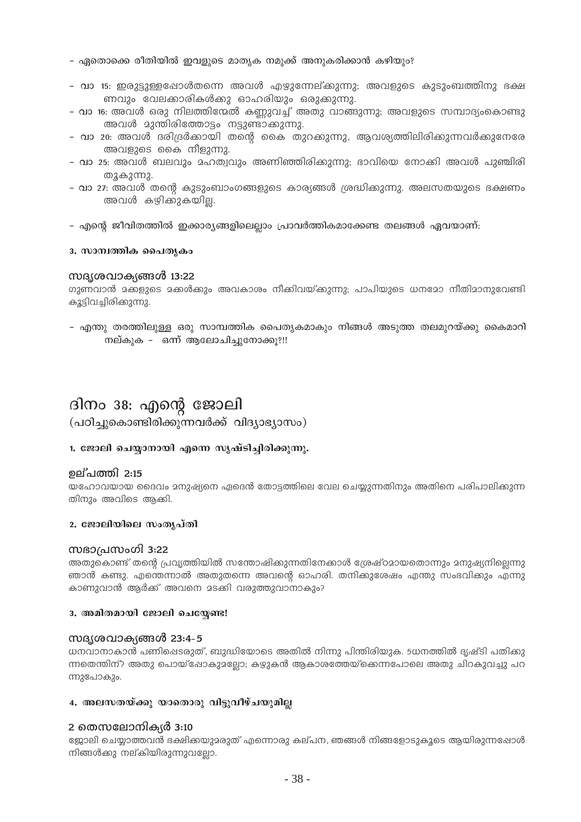- ഏതൊക്കെ രീതിയിൽ ഇവളുടെ മാതൃക നമുക്ക് അനുകരിക്കാൻ കഴിയും?
- വാ 15: ഇരുട്ടുള്ളപ്പോൾതന്നെ അവൾ എഴുന്നേല്കുന്നു; അവളുടെ കുടുംബത്തിനു ഭക്ഷ ണവും വേലക്കാരികൾക്കു ഓഹരിയും ഒരുക്കുന്നു.
- വാ 16: അവൾ ഒരു നിലത്തിന്മേൽ കണ്ണുവച്ച് അതു വാങ്ങുന്നു; അവളുടെ സമ്പാദ്യംകൊണ്ടു അവൾ മുന്തിരിത്തോട്ടം നട്ടുണ്ടാക്കുന്നു.
- <mark>- വാ 20:</mark> അവൾ ദരിദ്രർക്കായി തന്റെ കൈ തുറക്കുന്നു, ആവശ്യത്തിലിരിക്കുന്നവർക്കുനേരേ അവളുടെ കൈ നീളുന്നു.
- വാ 25: അവൾ ബലവും മഹത്വവും അണിഞ്ഞിരിക്കുന്നു; ഭാവിയെ നോക്കി അവൾ പുഞ്ചിരി തുകുന്നു.
- വാ 27: അവൾ തന്റെ കുടുംബാംഗങ്ങളുടെ കാര്യങ്ങൾ ശ്രദ്ധിക്കുന്നു. അലസതയുടെ ഭക്ഷണം അവൾ കഴിക്കുകയില്ല.
- എന്റെ ജീവിതത്തിൽ ഇക്കാര്യങ്ങളിലെല്ലാം പ്രാവർത്തികമാക്കേണ്ട തലങ്ങൾ ഏവയാണ്:

### 3. സാന്വത്തിക പൈതൃകം

### സദ്യശവാക്യങ്ങൾ 13:22

ഗുണവാൻ മക്കളുടെ മക്കൾക്കും അവകാശം നീക്കിവയ്ക്കുന്നു; പാപിയുടെ ധനമോ നീതിമാനുവേണ്ടി കൂട്ടിവച്ചിരിക്കുന്നു.

- എന്തു തരത്തിലുള്ള ഒരു സാമ്പത്തിക പൈത്യകമാകും നിങ്ങൾ അടുത്ത തലമുറയ്ക്കു കൈമാറി നല്കുക – ഒന്ന് ആലോചിച്ചുനോക്കൂ?!!

### ദിനം 38: എന്റെ ജോലി (പഠിച്ചുകൊണ്ടിരിക്കുന്നവർക്ക് വിദ്യാഭ്യാസം)

### 1. ജോലി ചെയ്യാനായി എന്നെ സൃഷ്ടിച്ചിരിക്കുന്നു.

### ഉല്പത്തി 2:15

യഹോവയായ ദൈവം മനുഷ്യനെ ഏദെൻ തോട്ടത്തിലെ വേല ചെയ്യുന്നതിനും അതിനെ പരിപാലിക്കുന്ന തിനും അവിടെ ആക്കി.

### 2. ജോലിയിലെ സംതൃപ്തി

### സഭാപ്രസംഗി 3:22

അതുകൊണ്ട് തന്റെ പ്രവ്യത്തിയിൽ സന്തോഷിക്കുന്നതിനേക്കാൾ ശ്രേഷ്ഠമായതൊന്നും മനുഷ്യനില്ലെന്നു ഞാൻ കണ്ടു. എന്തെന്നാൽ അതുതന്നെ അവന്റെ ഓഹരി. തനിക്കുശേഷം എന്തു സംഭവിക്കും എന്നു കാണുവാൻ ആർക്ക് അവനെ മടക്കി വരുത്തുവാനാകും?

### 3. അമിതമായി ജോലി ചെയ്യേണ്ട!

### സദൃശവാക്യങ്ങൾ 23:4-5

ധനവാനാകാൻ പണിഷെടരുത്, ബുദ്ധിയോടെ അതിൽ നിന്നു പിന്തിരിയുക. 5ധനത്തിൽ ദൃഷ്ടി പതിക്കു ന്നതെന്തിന്? അതു പൊയ്ഷോകുമല്ലോ; കഴുകൻ ആകാശത്തേയ്ക്കെന്നപോലെ അതു ചിറകുവച്ചു പറ ന്നുപോകും.

### 4. അലസതയ്ക്കു യാതൊരു വിട്ടുവീഴ്ചയുമില്ല

### 2 തെസലോനിക്യർ 3:10

ജോലി ചെയ്യാത്തവൻ ഭക്ഷിക്കയുമരുത് എന്നൊരു കല്പന, ഞങ്ങൾ നിങ്ങളോടുകൂടെ ആയിരുന്നപ്പോൾ നിങ്ങൾക്കു നല്കിയിരുന്നുവല്ലോ.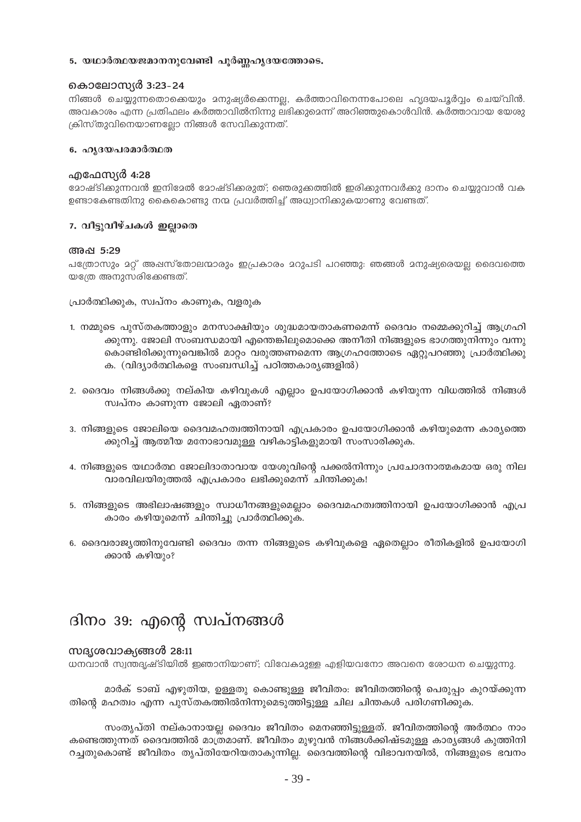### 5. യഥാർത്ഥയജമാനനുവേണ്ടി പൂർണ്ണഹ്യദയത്തോടെ.

### കൊലോസ്യർ 3:23-24

നിങ്ങൾ ചെയ്യുന്നതൊക്കെയും മനുഷ്യർക്കെന്നല്ല, കർത്താവിനെന്നപോലെ ഹൃദയപൂർവ്വം ചെയ്വിൻ. അവകാശം എന്ന പ്രതിഫലം കർത്താവിൽനിന്നു ലഭിക്കുമെന്ന് അറിഞ്ഞുകൊൾവിൻ. കർത്താവായ യേശു ക്രിസ്തുവിനെയാണല്ലോ നിങ്ങൾ സേവിക്കുന്നത്.

### 6. ഹൃദയപരമാർത്ഥത

### എഫേസ്യർ 4:28

മോഷ്ടിക്കുന്നവൻ ഇനിമേൽ മോഷ്ടിക്കരുത്; ഞെരുക്കത്തിൽ ഇരിക്കുന്നവർക്കു ദാനം ചെയ്യുവാൻ വക ഉണ്ടാകേണ്ടതിനു കൈകൊണ്ടു നന്മ പ്രവർത്തിച്ച് അധ്വാനിക്കുകയാണു വേണ്ടത്.

### 7. വീട്ടുവീഴ്ചകൾ ഇല്ലാതെ

### അഷ 5:29

പത്രോസും മറ്റ് അഷസ്തോലന്മാരും ഇപ്രകാരം മറുപടി പറഞ്ഞു: ഞങ്ങൾ മനുഷ്യരെയല്ല ദൈവത്തെ യത്രേ അനുസരിക്കേണ്ടത്.

പ്രാർത്ഥിക്കുക, സ്വപ്നം കാണുക, വളരുക

- 1. നമ്മുടെ പുസ്തകത്താളും മനസാക്ഷിയും ശുദ്ധമായതാകണമെന്ന് ദൈവം നമ്മെക്കുറിച്ച് ആഗ്രഹി ക്കുന്നു. ജോലി സംബന്ധമായി എന്തെങ്കിലുമൊക്കെ അനീതി നിങ്ങളുടെ ഭാഗത്തുനിന്നും വന്നു കൊണ്ടിരിക്കുന്നുവെങ്കിൽ മാറ്റം വരുത്തണമെന്ന ആഗ്രഹത്തോടെ ഏറ്റുപറഞ്ഞു പ്രാർത്ഥിക്കു ക. (വിദ്യാർത്ഥികളെ സംബന്ധിച്ച് പഠിത്തകാര്യങ്ങളിൽ)
- 2. ദൈവം നിങ്ങൾക്കു നല്കിയ കഴിവുകൾ എല്ലാം ഉപയോഗിക്കാൻ കഴിയുന്ന വിധത്തിൽ നിങ്ങൾ സ്വപ്നം കാണുന്ന ജോലി ഏതാണ്?
- 3. നിങ്ങളുടെ ജോലിയെ ദൈവമഹത്വത്തിനായി എപ്രകാരം ഉപയോഗിക്കാൻ കഴിയുമെന്ന കാര്യത്തെ ക്കുറിച്ച് ആത്മീയ മനോഭാവമുള്ള വഴികാട്ടികളുമായി സംസാരിക്കുക.
- 4. നിങ്ങളുടെ യഥാർത്ഥ ജോലിദാതാവായ യേശുവിന്റെ പക്കൽനിന്നും പ്രചോദനാത്മകമായ ഒരു നില വാരവിലയിരുത്തൽ എപ്രകാരം ലഭിക്കുമെന്ന് ചിന്തിക്കുക!
- 5. നിങ്ങളുടെ അഭിലാഷങ്ങളും സ്വാധീനങ്ങളുമെല്ലാം ദൈവമഹത്വത്തിനായി ഉപയോഗിക്കാൻ എപ്ര കാരം കഴിയുമെന്ന് ചിന്തിച്ചു പ്രാർത്ഥിക്കുക.
- 6. ദൈവരാജ്യത്തിനുവേണ്ടി ദൈവം തന്ന നിങ്ങളുടെ കഴിവുകളെ ഏതെല്ലാം രീതികളിൽ ഉപയോഗി ക്കാൻ കഴിയും?

# ദിനം 39: എന്റെ സ്വപ്നങ്ങൾ

### സദൃശവാക്യങ്ങൾ 28:11

ധനവാൻ സ്വന്തദൃഷ്ടിയിൽ ഇഞാനിയാണ്; വിവേകമുള്ള എളിയവനോ അവനെ രോധന ചെയ്യുന്നു.

മാർക് ടാബ് എഴുതിയ, ഉള്ളതു കൊണ്ടുള്ള ജീവിതം: ജീവിതത്തിന്റെ പെരുപ്പം കുറയ്ക്കുന്ന തിന്റെ മഹത്വം എന്ന പുസ്തകത്തിൽനിന്നുമെടുത്തിട്ടുള്ള ചില ചിന്തകൾ പരിഗണിക്കുക.

സംതൃപ്തി നല്കാനായല്ല ദൈവം ജീവിതം മെനഞ്ഞിട്ടുള്ളത്. ജീവിതത്തിന്റെ അർത്ഥം നാം കണ്ടെത്തുന്നത് ദൈവത്തിൽ മാത്രമാണ്. ജീവിതം മുഴുവൻ നിങ്ങൾക്കിഷ്ടമുള്ള കാര്യങ്ങൾ കുത്തിനി റച്ചതുകൊണ്ട് ജീവിതം തൃപ്തിയേറിയതാകുന്നില്ല. ദൈവത്തിന്റെ വിഭാവനയിൽ, നിങ്ങളുടെ ഭവനം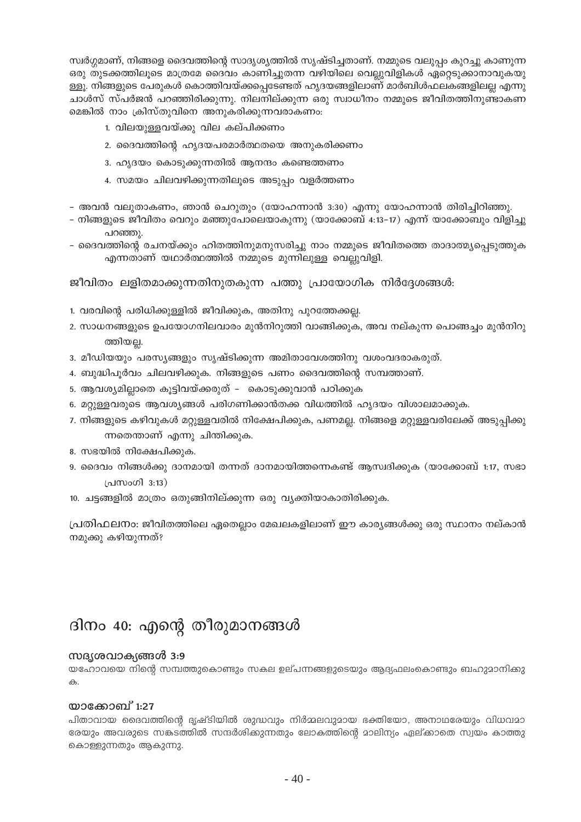സ്വർഗ്ഗമാണ്, നിങ്ങളെ ദൈവത്തിന്റെ സാദൃശ്യത്തിൽ സൃഷ്ടിച്ചതാണ്. നമ്മുടെ വലുപ്പം കുറച്ചു കാണുന്ന ഒരു തുടക്കത്തിലൂടെ മാത്രമേ ദൈവം കാണിച്ചുതന്ന വഴിയിലെ വെല്ലുവിളികൾ ഏറ്റെടുക്കാനാവുകയു ള്ളൂ. നിങ്ങളുടെ പേരുകൾ കൊത്തിവയ്ക്കപ്പെടേണ്ടത് ഹൃദയങ്ങളിലാണ് മാർബിൾഫലകങ്ങളിലല്ല എന്നു ചാൾസ് സ്പർജൻ പറഞ്ഞിരിക്കുന്നു. നിലനില്ക്കുന്ന ഒരു സ്വാധീനം നമ്മുടെ ജീവിതത്തിനുണ്ടാകണ മെങ്കിൽ നാം ക്രിസ്തുവിനെ അനുകരിക്കുന്നവരാകണം:

- 1. വിലയുള്ളവയ്ക്കു വില കല്പിക്കണം
- 2. ദൈവത്തിന്റെ ഹൃദയപരമാർത്ഥതയെ അനുകരിക്കണം
- 3. ഹൃദയം കൊടുക്കുന്നതിൽ ആനന്ദം കണ്ടെത്തണം
- 4. സമയം ചിലവഴിക്കുന്നതിലൂടെ അടുപ്പം വളർത്തണം
- അവൻ വലുതാകണം, ഞാൻ ചെറുതും (യോഹന്നാൻ 3:30) എന്നു യോഹന്നാൻ തിരിച്ചിറിഞ്ഞു.
- നിങ്ങളുടെ ജീവിതം വെറും മഞ്ഞുപോലെയാകുന്നു (യാക്കോബ് 4:13–17) എന്ന് യാക്കോബും വിളിച്ചു പറഞ്ഞു.
- ദൈവത്തിന്റെ രചനയ്ക്കും ഹിതത്തിനുമനുസരിച്ചു നാം നമ്മുടെ ജീവിതത്തെ താദാത്മ്യപെടുത്തുക എന്നതാണ് യഥാർത്ഥത്തിൽ നമ്മുടെ മുന്നിലുള്ള വെല്ലുവിളി.

ജീവിതം ലളിതമാക്കുന്നതിനുതകുന്ന പത്തു പ്രായോഗിക നിർദ്ദേശങ്ങൾ:

- 1. വരവിന്റെ പരിധിക്കുള്ളിൽ ജീവിക്കുക, അതിനു പുറത്തേക്കല്ല.
- 2. സാധനങ്ങളുടെ ഉപയോഗനിലവാരം മുൻനിറുത്തി വാങ്ങിക്കുക, അവ നല്കുന്ന പൊങ്ങച്ചം മുൻനിറു ത്തിയല.
- 3. മീഡിയയും പരസ്യങ്ങളും സൃഷ്ടിക്കുന്ന അമിതാവേശത്തിനു വശംവദരാകരുത്.
- 4. ബുദ്ധിപൂർവം ചിലവഴിക്കുക. നിങ്ങളുടെ പണം ദൈവത്തിന്റെ സമ്പത്താണ്.
- 5. ആവശ്യമില്ലാതെ കൂട്ടിവയ്ക്കരുത് കൊടുക്കുവാൻ പഠിക്കുക
- 6. മറ്റുള്ളവരുടെ ആവശ്യങ്ങൾ പരിഗണിക്കാൻതക്ക വിധത്തിൽ ഹൃദയം വിശാലമാക്കുക.
- 7. നിങ്ങളുടെ കഴിവുകൾ മറ്റുള്ളവരിൽ നിക്ഷേപിക്കുക, പണമല്ല. നിങ്ങളെ മറ്റുള്ളവരിലേക്ക് അടുപ്പിക്കു ന്നതെന്താണ് എന്നു ചിന്തിക്കുക.
- 8. സഭയിൽ നിക്ഷേപിക്കുക.
- 9. ദൈവം നിങ്ങൾക്കു ദാനമായി തന്നത് ദാനമായിത്തന്നെകണ്ട് ആസ്വദിക്കുക (യാക്കോബ് 1:17, സഭാ പ്രസംഗി 3:13)
- 10. ചട്ടങ്ങളിൽ മാത്രം ഒതുങ്ങിനില്ക്കുന്ന ഒരു വ്യക്തിയാകാതിരിക്കുക.

പ്രതിഫലനാ: ജീവിതത്തിലെ ഏതെല്ലാം മേഖലകളിലാണ് ഈ കാര്യങ്ങൾക്കു ഒരു സ്ഥാനം നല്കാൻ നമുക്കു കഴിയുന്നത്?

# ദിനം 40: എന്റെ തീരുമാനങ്ങൾ

### സദൃശവാക്യങ്ങൾ 3:9

യഹോവയെ നിന്റെ സമ്പത്തുകൊണ്ടും സകല ഉല്പന്നങ്ങളുടെയും ആദ്യഫലംകൊണ്ടും ബഹുമാനിക്കു ക.

### യാക്കോബ് 1:27

പിതാവായ ദൈവത്തിന്റെ ദൃഷ്ടിയിൽ ശുദ്ധവും നിർമ്മലവുമായ ഭക്തിയോ, അനാഥരേയും വിധവമാ രേയും അവരുടെ സകടത്തിൽ സന്ദർശിക്കുന്നതും ലോകത്തിന്റെ മാലിന്യം ഏല്ക്കാതെ സ്വയം കാത്തു കൊള്ളുന്നതും ആകുന്നു.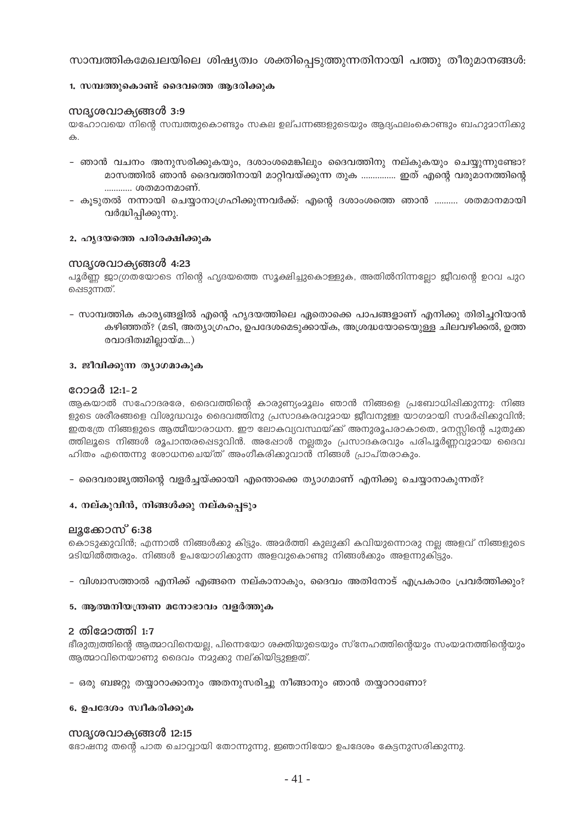സാമ്പത്തികമേഖലയിലെ ശിഷ്യത്വം ശക്തിപ്പെടുത്തുന്നതിനായി പത്തു തീരുമാനങ്ങൾ:

### 1. സമ്പത്തുകൊണ്ട് ദൈവത്തെ ആദരിക്കുക

### സദൃശവാക്യങ്ങൾ 3:9

യഹോവയെ നിന്റെ സമ്പത്തുകൊണ്ടും സകല ഉല്പന്നങ്ങളുടെയും ആദ്യഫലംകൊണ്ടും ബഹുമാനിക്കു  $\triangle$ 

- ഞാൻ വചനം അനുസരിക്കുകയും, ദശാംശമെങ്കിലും ദൈവത്തിനു നല്കുകയും ചെയ്യുന്നുണ്ടോ? മാസത്തിൽ ഞാൻ ദൈവത്തിനായി മാറ്റിവയ്ക്കുന്ന തുക ................ ഇത് എന്റെ വരുമാനത്തിന്റെ ............ ശതമാനമാണ്.
- കുടുതൽ നന്നായി ചെയ്യാനാഗ്രഹിക്കുന്നവർക്ക്: എന്റെ ദശാംശത്തെ ഞാൻ .......... ശതമാനമായി വർദ്ധിപ്പിക്കുന്നു.

### 2. ഹൃദയത്തെ പരിരക്ഷിക്കുക

### സദൃശവാക്യങ്ങൾ 4:23

പൂർണ്ണ ജാഗ്രതയോടെ നിന്റെ ഹൃദയത്തെ സുക്ഷിച്ചുകൊള്ളുക, അതിൽനിന്നല്ലോ ജീവന്റെ ഉറവ പുറ ഷെടുന്നത്.

- സാമ്പത്തിക കാര്യങ്ങളിൽ എന്റെ ഹ്യദയത്തിലെ ഏതൊക്കെ പാപങ്ങളാണ് എനിക്കു തിരിചറിയാൻ കഴിഞ്ഞത്? (മടി, അത്യാഗ്രഹം, ഉപദേശമെടുക്കായ്ക, അശ്രദ്ധയോടെയുള്ള ചിലവഴിക്കൽ, ഉത്ത രവാദിത്വമില്ലായ്മ…)

### 3. ജീവിക്കുന്ന ത്യാഗമാകുക

### റോമർ 12:1-2

ആകയാൽ സഹോദരരേ, ദൈവത്തിന്റെ കാരുണ്യംമൂലം ഞാൻ നിങ്ങളെ പ്രബോധിപ്പിക്കുന്നു: നിങ്ങ ളുടെ ശരീരങ്ങളെ വിശുദ്ധവും ദൈവത്തിനു പ്രസാദകരവുമായ ജീവനുള്ള യാഗമായി സമർഷിക്കുവിൻ; ഇതത്രേ നിങ്ങളുടെ ആത്മീയാരാധന. ഈ ലോകവ്യവസ്ഥയ്ക്ക് അനുരൂപരാകാതെ, മനസ്സിന്റെ പുതുക്ക ത്തിലൂടെ നിങ്ങൾ രൂപാന്തരപ്പെടുവിൻ. അഷോൾ നല്ലതും പ്രസാദകരവും പരിപൂർണ്ണവുമായ ദൈവ ഹിതം എന്തെന്നു രോധനചെയ്ത് അംഗീകരിക്കുവാൻ നിങ്ങൾ പ്രാപ്തരാകും.

– ദൈവരാജ്യത്തിന്റെ വളർച്ചയ്ക്കായി എന്തൊക്കെ ത്യാഗമാണ് എനിക്കു ചെയ്യാനാകുന്നത്?

### 4. നല്കുവിൻ, നിങ്ങൾക്കു നല്കപ്പെടും

### ലൂക്കോസ് 6:38

കൊടുക്കുവിൻ; എന്നാൽ നിങ്ങൾക്കു കിട്ടും. അമർത്തി കുലുക്കി കവിയുന്നൊരു നല്ല അളവ് നിങ്ങളുടെ <u> മടിയിൽത്തരും. നിങ്ങൾ ഉപയോഗിക്കുന്ന അളവുകൊണ്ടു നിങ്ങൾക്കും അളന്നുകിട്ടും.</u>

- വിശ്വാസത്താൽ എനിക്ക് എങ്ങനെ നല്കാനാകും, ദൈവം അതിനോട് എപ്രകാരം പ്രവർത്തിക്കും?
- 5. ആത്മനിയന്ത്രണ മനോഭാവം വളർത്തുക

### 2 തിമോത്തി 1:7

ഭീരുത്വത്തിന്റെ ആത്മാവിനെയല്ല, പിന്നെയോ ശക്തിയുടെയും സ്നേഹത്തിന്റെയും സംയമനത്തിന്റെയും ആത്മാവിനെയാണു ദൈവം നമുക്കു നല്കിയിട്ടുള്ളത്.

### – ഒരു ബജറ്റു തയ്യാറാക്കാനും അതനുസരിച്ചു നീങ്ങാനും ഞാൻ തയ്യാറാണോ?

### 6. ഉപദേശം സ്വീകരിക്കുക

### സദശ്രവാകങ്ങൾ 12:15

ഭോഷനു തന്റെ പാത ചൊവ്വായി തോന്നുന്നു, ഇഞാനിയോ ഉപദേശം കേട്ടനുസരിക്കുന്നു.